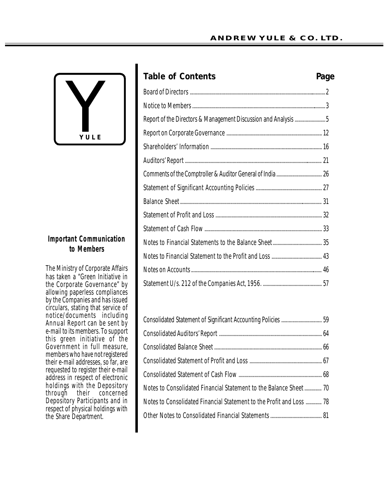

# **Important Communication to Members**

The Ministry of Corporate Affairs has taken a "Green Initiative in the Corporate Governance" by allowing paperless compliances by the Companies and has issued circulars, stating that service of notice/documents including Annual Report can be sent by e-mail to its members. To support this green initiative of the Government in full measure, members who have not registered their e-mail addresses, so far, are requested to register their e-mail address in respect of electronic holdings with the Depository through their concerned Depository Participants and in respect of physical holdings with the Share Department.

| <b>Table of Contents</b>                                       | Page |
|----------------------------------------------------------------|------|
|                                                                |      |
|                                                                |      |
| Report of the Directors & Management Discussion and Analysis 5 |      |
|                                                                |      |
|                                                                |      |
|                                                                |      |
|                                                                |      |
|                                                                |      |
|                                                                |      |
|                                                                |      |
|                                                                |      |
|                                                                |      |
|                                                                |      |
|                                                                |      |
|                                                                |      |
|                                                                |      |

| Notes to Consolidated Financial Statement to the Balance Sheet 70    |  |
|----------------------------------------------------------------------|--|
| Notes to Consolidated Financial Statement to the Profit and Loss  78 |  |
|                                                                      |  |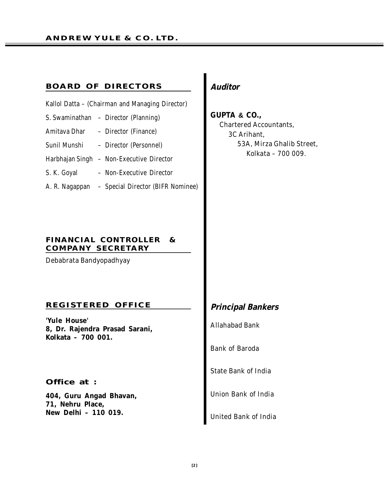#### **BOARD OF DIRECTORS**

| Kallol Datta – <i>(Chairman and Managing Director)</i> |  |
|--------------------------------------------------------|--|
|                                                        |  |

- **S. Swaminathan – Director (Planning)**
- **Amitava Dhar – Director (Finance)**
- **Sunil Munshi – Director (Personnel)**
- **Harbhajan Singh – Non-Executive Director**
- **S. K. Goyal – Non-Executive Director**
- **A. R. Nagappan – Special Director (BIFR Nominee)**

### **FINANCIAL CONTROLLER & COMPANY SECRETARY**

**Debabrata Bandyopadhyay**

#### **REGISTERED OFFICE**

**'Yule House' 8, Dr. Rajendra Prasad Sarani, Kolkata – 700 001.**

#### **Office at :**

**404, Guru Angad Bhavan, 71, Nehru Place, New Delhi – 110 019.**

# *Auditor*

**GUPTA & CO., Chartered Accountants, 3C Arihant, 53A, Mirza Ghalib Street, Kolkata – 700 009.**

# *Principal Bankers*

**Allahabad Bank**

**Bank of Baroda**

**State Bank of India**

**Union Bank of India**

**United Bank of India**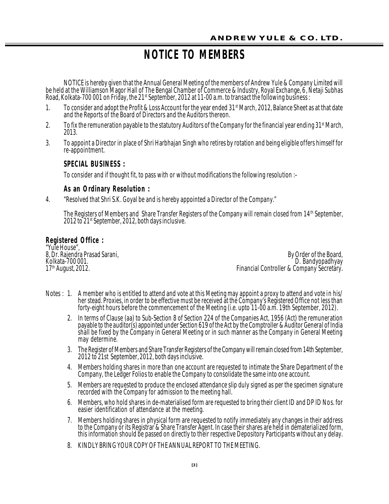# **NOTICE TO MEMBERS**

NOTICE is hereby given that the Annual General Meeting of the members of Andrew Yule & Company Limited will be held at the Williamson Magor Hall of The Bengal Chamber of Commerce & Industry, Royal Exchange, 6, Netaji Subhas Road, Kolkata-700 001 on Friday, the 21st September, 2012 at 11-00 a.m. to transact the following business :

- 1. To consider and adopt the Profit & Loss Account for the year ended 31st March, 2012, Balance Sheet as at that date and the Reports of the Board of Directors and the Auditors thereon.
- 2. To fix the remuneration payable to the statutory Auditors of the Company for the financial year ending  $31<sup>st</sup>$  March, 2013.
- 3. To appoint a Director in place of Shri Harbhajan Singh who retires by rotation and being eligible offers himself for re-appointment.

# **SPE CIAL BUSINESS :**

To consider and if thought fit, to pass with or without modifications the following resolution :–

# As an Ordinary Resolution :

4. "Resolved that Shri S.K. Goyal be and is hereby appointed a Director of the Company."

The Registers of Members and Share Transfer Registers of the Company will remain closed from 14<sup>th</sup> September, 2012 to 21<sup>st</sup> September, 2012, both days inclusive.

## **Regis ter ed Office :**

"Yule House",

8, Dr. Rajendra Prasad Sarani, By Order of the Board, Kolkata-700 001. D. Bandyopadhyay Financial Controller & Company Secretary.

- Notes : 1. A member who is entitled to attend and vote at this Meeting may appoint a proxy to attend and vote in his/ her stead. Proxies, in order to be effective must be received at the Company's Registered Office not less than forty-eight hours before the commencement of the Meeting (i.e. upto 11-00 a.m. 19th September, 2012).
	- 2. In terms of Clause (aa) to Sub-Section 8 of Section 224 of the Companies Act, 1956 (Act) the remuneration payable to the auditor(s) appointed under Section 619 of the Act by the Comptroller & Auditor General of India shall be fixed by the Company in General Meeting or in such manner as the Company in General Meeting may determine.
	- 3. The Register of Members and Share Transfer Registers of the Company will remain closed from 14th September, 2012 to 21st September, 2012, both days inclusive.
	- 4. Members holding shares in more than one account are requested to intimate the Share Department of the Company, the Ledger Folios to enable the Company to consolidate the same into one account.
	- 5. Members are requested to produce the enclosed attendance slip duly signed as per the specimen signature recorded with the Company for admission to the meeting hall.
	- 6. Members, who hold shares in de-materialised form are requested to bring their client ID and DP ID Nos. for easier identification of attendance at the meeting.
	- 7. Members holding shares in physical form are requested to notify immediately any changes in their address to the Company or its Registrar & Share Transfer Agent. In case their shares are held in dematerialized form, this information should be passed on directly to their respective Depository Participants without any delay.
	- 8. KINDLY BRING YOUR COPY OF THE ANNUAL REPORT TO THE MEETING.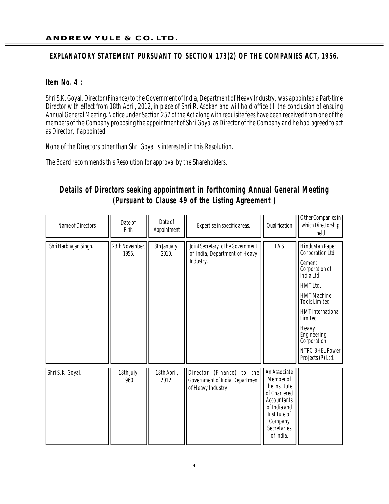# EXPLANATORY STATEMENT PURSUANT TO SECTION 173(2) OF THE COMPANIES ACT, 1956.

## **Item No. 4 :**

Shri S.K. Goyal, Director (Finance) to the Government of India, Department of Heavy Industry, was appointed a Part-time Director with effect from 18th April, 2012, in place of Shri R. Asokan and will hold office till the conclusion of ensuing Annual General Meeting. Notice under Section 257 of the Act along with requisite fees have been received from one of the members of the Company proposing the appointment of Shri Goyal as Director of the Company and he had agreed to act as Director, if appointed.

None of the Directors other than Shri Goyal is interested in this Resolution.

The Board recommends this Resolution for approval by the Shareholders.

# **Details of Directors seeking appointment in forthcoming Annual General Meeting (Pursuant to Clause 49 of the Listing Agreement )**

| Name of Directors     | Date of<br>Birth        | Date of<br>Appointment | Expertise in specific areas.                                                       | Qualification                                                                                                                                           | Other Companies in<br>which Directorship<br>held                                                                                                                                                                                                              |
|-----------------------|-------------------------|------------------------|------------------------------------------------------------------------------------|---------------------------------------------------------------------------------------------------------------------------------------------------------|---------------------------------------------------------------------------------------------------------------------------------------------------------------------------------------------------------------------------------------------------------------|
| Shri Harbhajan Singh. | 23th November,<br>1955. | 8th January,<br>2010.  | Joint Secretary to the Government<br>of India, Department of Heavy<br>Industry.    | IAS                                                                                                                                                     | Hindustan Paper<br>Corporation Ltd.<br>Cement<br>Corporation of<br>India Ltd.<br>HMT Ltd.<br><b>HMT</b> Machine<br><b>Tools Limited</b><br><b>HMT</b> International<br>Limited<br>Heavy<br>Engineering<br>Corporation<br>NTPC-BHEL Power<br>Projects (P) Ltd. |
| Shri S.K. Goyal.      | 18th July,<br>1960.     | 18th April,<br>2012.   | Director (Finance) to the<br>Government of India, Department<br>of Heavy Industry. | An Associate<br>Member of<br>the Institute<br>of Chartered<br><b>Accountants</b><br>of India and<br>Institute of<br>Company<br>Secretaries<br>of India. |                                                                                                                                                                                                                                                               |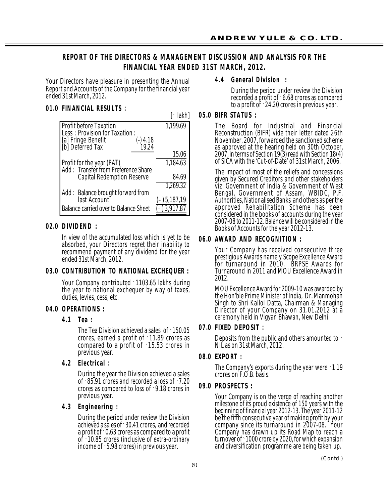# **REPORT OF THE DIRECTORS & MANAGEMENT DISCUSSION AND ANALYSIS FOR THE FINANCIAL YEAR ENDED 31ST MARCH, 2012.**

Your Directors have pleasure in presenting the Annual Report and Accounts of the Company for the financial year ended 31st March, 2012.

# **01.0 FINANCIAL RESULTS :**

| $\lceil \cdot  akh $ |
|----------------------|
| 1,199.69             |
|                      |
|                      |
| 15.06                |
| 1,184.63             |
|                      |
| 84.69                |
| 1,269.32             |
|                      |
| $(-)$ 5, 187, 19     |
|                      |
|                      |

# **02.0 DIVIDEND:**

In view of the accumulated loss which is yet to be absorbed, your Directors regret their inability to recommend payment of any dividend for the year ended 31st March, 2012.

# **03. 0 CONTRIBUTION TO NATIONAL EXCHEQUER :**

Your Company contributed `1103.65 lakhs during the year to national exchequer by way of taxes, duties, levies, cess, etc.

# **04. 0 OP ERAT I ONS :**

# **4 . 1 Tea :**

The Tea Division achieved a sales of `150.05 crores, earned a profit of `11.89 crores as compared to a profit of `15.53 crores in previous year.

**4 . 2 E l e c tr ic a l :**

During the year the Division achieved a sales of `85.91 crores and recorded a loss of `7.20 crores as compared to loss of `9.18 crores in previous year.

# **4 . 3 E n g in e e r in g :**

During the period under review the Division achieved a sales of 30.41 crores, and recorded a profit of `0.63 crores as compared to a profit of `10.85 crores (inclusive of extra-ordinary income of `5.98 crores) in previous year.

# **4 . 4 G en era l D iv is io n :**

During the period under review the Division recorded a profit of `6.68 crores as compared to a profit of `24.20 crores in previous year.

# **05. 0 BI FR STATUS :**

The Board for Industrial and Financial Reconstruction (BIFR) vide their letter dated 26th November, 2007, forwarded the sanctioned scheme as approved at the hearing held on 30th October, 2007, in terms of Section 19(3) read with Section 18(4) of SICA with the 'Cut-of-Date' of 31st March, 2006.

The impact of most of the reliefs and concessions given by Secured Creditors and other stakeholders viz. Government of India & Government of West Bengal, Government of Assam, WBIDC, P.F. Authorities, Nationalised Banks and others as per the approved Rehabilitation Scheme has been considered in the books of accounts during the year 2007-08 to 2011-12. Balance will be considered in the Books of Accounts for the year 2012-13.

# **06.0 AWARD AND RECOGNITION :**

Your Company has received consecutive three prestigious Awards namely Scope Excellence Award for turnaround in 2010. BRPSE Awards for Turnaround in 2011 and MOU Excellence Award in 2012.

MOU Excellence Award for 2009-10 was awarded by the Hon'ble Prime Minister of India, Dr. Manmohan Singh to Shri Kallol Datta, Chairman & Managing Director of your Company on 31.01.2012 at a ceremony held in Vigyan Bhawan, New Delhi.

# **07.0 FIXED DEPOSIT :**

Deposits from the public and others amounted to ` NIL as on 31st March, 2012.

# **08. 0 EXPORT :**

The Company's exports during the year were 1.19 crores on F.O.B. basis.

# **09.0 PROSPECTS:**

Your Company is on the verge of reaching another milestone of its proud existence of 150 years with the beginning of financial year 2012-13. The year 2011-12 be the fifth consecutive year of making profit by your company since its turnaround in 2007-08. Your Company has drawn up its Road Map to reach a turnover of `1000 crore by 2020, for which expansion and diversification programme are being taken up.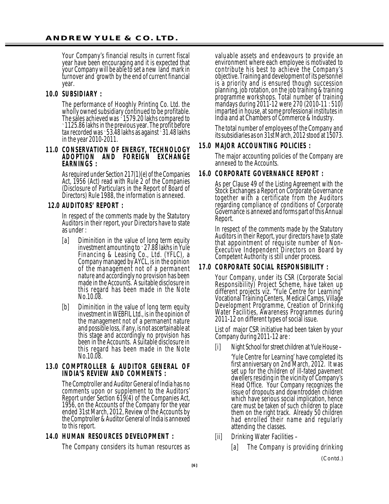Your Company's financial results in current fiscal year have been encouraging and it is expected that your Company will be able to set a new land mark in turnover and growth by the end of current financial year.

### **10. 0 SU B SI DI ARY :**

The performance of Hooghly Printing Co. Ltd. the wholly owned subsidiary continued to be profitable. The sales achieved was `1579.20 lakhs compared to `1125.86 lakhs in the previous year. The profit before tax recorded was `53.48 lakhs as against `31.48 lakhs in the year 2010-2011.

#### **11.0 CONSERVATION OF ENERGY, TECHNOLOGY ADOPTION AND FOREIGN EXCHANGE** EARNINGS :

As required under Section 217(1)(e) of the Companies Act, 1956 (Act) read with Rule 2 of the Companies (Disclosure of Particulars in the Report of Board of Directors) Rule 1988, the information is annexed.

### **12.0 AUDITORS' REPORT :**

In respect of the comments made by the Statutory Auditors in their report, your Directors have to state as under :

- [a] Diminition in the value of long term equity investment amounting to `27.88 lakhs in Yule Financing & Leasing Co., Ltd. (YFLC), a Company managed by AYCL, is in the opinion of the management not of a permanent nature and accordingly no provision has been made in the Accounts. A suitable disclosure in this regard has been made in the Note No.10.08.
- [b] Diminition in the value of long term equity investment in WEBFIL Ltd., is in the opinion of the management not of a permanent nature and possible loss, if any, is not ascertainable at this stage and accordingly no provision has been in the Accounts. A suitable disclosure in this regard has been made in the Note No.10.08.

#### 13.0 COMPTROLLER & AUDITOR GENERAL OF **INDIA'S REVIEW AND COMMENTS :**

The Comptroller and Auditor General of India has no comments upon or supplement to the Auditors' Report under Section 619(4) of the Companies Act, 1956, on the Accounts of the Company for the year ended 31st March, 2012, Review of the Accounts by the Comptroller & Auditor General of India is annexed to this report.

#### **14.0 HUMAN RESOURCES DEVELOPMENT :**

The Company considers its human resources as

valuable assets and endeavours to provide an environment where each employee is motivated to contribute his best to achieve the Company's objective. Training and development of its personnel is a priority and is ensured though succession planning, job rotation, on the job training & training programme workshops. Total number of training mandays during 2011-12 were 270 (2010-11 : 510) imparted in house, at some professional institutes in India and at Chambers of Commerce & Industry.

The total number of employees of the Company and its subsidiaries as on 31st March, 2012 stood at 15073.

#### **15.0 MAJOR ACCOUNTING POLICIES :**

The major accounting policies of the Company are annexed to the Accounts.

### **16.0 CORPORATE GOVERNANCE REPORT :**

As per Clause 49 of the Listing Agreement with the Stock Exchanges a Report on Corporate Governance together with a certificate from the Auditors regarding compliance of conditions of Corporate Governance is annexed and forms part of this Annual Report.

In respect of the comments made by the Statutory Auditors in their Report, your directors have to state that appointment of requisite number of Non-Executive Independent Directors on Board by Competent Authority is still under process.

#### **17. 0 C ORPORATE SOC IAL RESPONSIB IL IT Y :**

Your Company, under its CSR (Corporate Social Responsibility) Project Scheme, have taken up different projects viz. "Yule Centre for Learning" Vocational Training Centers, Medical Camps, Village Development Programme, Creation of Drinking Water Facilities, Awareness Programmes during 2011-12 on different types of social issue.

List of major CSR initiative had been taken by your Company during 2011-12 are :

[i] Night School for street children at Yule House –

'Yule Centre for Learning' have completed its first anniversary on 2nd March, 2012. It was set up for the children of ill-fated pavement dwellers residing in the vicinity of Company's Head Office. Your Company recognizes the issue of dropouts and downtrodden children which have serious social implication, hence care must be taken of such children to place them on the right track. Already 50 children had enrolled their name and regularly attending the classes.

- [ii] Drinking Water Facilities
	- [a] The Company is providing drinking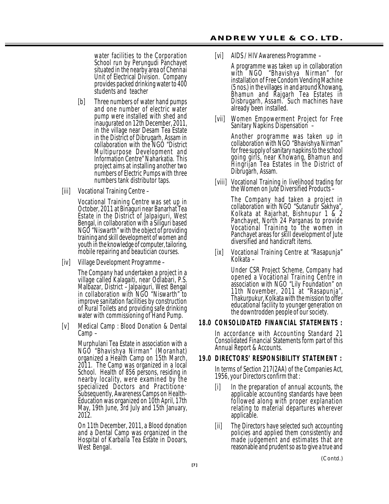water facilities to the Corporation School run by Perungudi Panchayet situated in the nearby area of Chennai Unit of Electrical Division. Company provides packed drinking water to 400 students and teacher

- [b] Three numbers of water hand pumps and one number of electric water pump were installed with shed and inaugurated on 12th December, 2011, in the village near Desam Tea Estate in the District of Dibrugarh, Assam in collaboration with the NGO "District Multipurpose Development and Information Centre" Naharkatia. This project aims at installing another two numbers of Electric Pumps with three numbers tank distributor taps.
- [iii] Vocational Training Centre –

Vocational Training Centre was set up in October, 2011 at Binaguri near Banarhat Tea Estate in the District of Jalpaiguri, West Bengal, in collaboration with a Siliguri based NGO "Niswarth" with the object of providing training and skill development of women and youth in the knowledge of computer, tailoring, mobile repairing and beautician courses.

[iv] Village Development Programme –

The Company had undertaken a project in a village called Kalagaiti, near Odlabari, P.S. Malbazar, District –Jalpaiguri, West Bengal in collaboration with NGO "Niswarth" to improve sanitation facilities by construction of Rural Toilets and providing safe drinking water with commissioning of Hand Pump.

[v] Medical Camp : Blood Donation & Dental Camp –

> Murphulani Tea Estate in association with a NGO "Bhavishya Nirman" (Moranhat) organized a Health Camp on 15th March, 2011. The Camp was organized in a local School. Health of 856 persons, residing in nearby locality, were examined by the specialized Doctors and Practitione ` Subsequently, Awareness Camps on Health-Education was organized on 10th April, 17th May, 19th June, 3rd July and 15th January, 2012.

> On 11th December, 2011, a Blood donation and a Dental Camp was organized in the Hospital of Karballa Tea Estate in Dooars, West Bengal.

[vi] AIDS / HIV Awareness Programme –

A programme was taken up in collaboration with NGO "Bhavishya Nirman" for installation of Free Condom Vending Machine (5 nos.) in the villages in and around Khowang, Bhamun and Rajgarh Tea Estates in Disbrugarh, Assam. Such machines have already been installed.

[vii] Women Empowerment Project for Free Sanitary Napkins Dispensation –

> Another programme was taken up in collaboration with NGO "Bhavishya Nirman" for free supply of sanitary napkins to the school going girls, near Khowang, Bhamun and Hingrijan Tea Estates in the District of Dibrugarh, Assam.

[viii] Vocational Training in livelihood trading for the Women on Jute Diversified Products -

> The Company had taken a project in collaboration with NGO "Sutanutir Sakhya", Kolkata at Rajarhat, Bishnupur 1 & 2 Panchayet, North 24 Parganas to provide Vocational Training to the women in Panchayet areas for skill development of Jute diversified and handicraft items.

[ix] Vocational Training Centre at "Rasapunja" Kolkata –

> Under CSR Project Scheme, Company had opened a Vocational Training Centre in association with NGO "Lily Foundation" on 11th November, 2011 at "Rasapunja", Thakurpukur, Kolkata with the mission to offer educational facility to younger generation on the downtrodden people of our society.

## **18.0 CONSOLIDATED FINANCIAL STATEMENTS:**

In accordance with Accounting Standard 21 Consolidated Financial Statements form part of this Annual Report & Accounts.

#### **19.0 DIRECTORS' RESPONSIBILITY STATEMENT :**

In terms of Section 217(2AA) of the Companies Act, 1956, your Directors confirm that :

- [i] In the preparation of annual accounts, the applicable accounting standards have been followed along with proper explanation relating to material departures wherever applicable.
- [ii] The Directors have selected such accounting policies and applied them consistently and made judgement and estimates that are reasonable and prudent so as to give a true and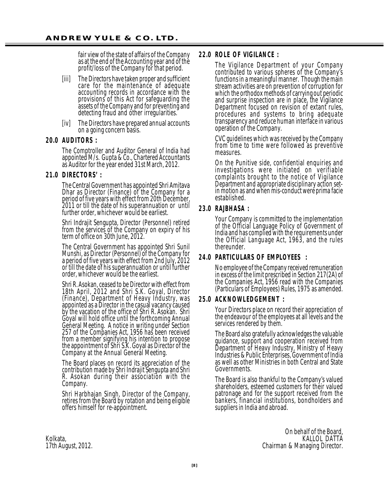fair view of the state of affairs of the Company as at the end of the Accounting year and of the profit/loss of the Company for that period.

- [iii] The Directors have taken proper and sufficient care for the maintenance of adequate accounting records in accordance with the provisions of this Act for safeguarding the assets of the Company and for preventing and detecting fraud and other irregularities.
- [iv] The Directors have prepared annual accounts on a going concern basis.

#### **20. 0 AUD I TORS :**

The Comptroller and Auditor General of India had appointed M/s. Gupta & Co., Chartered Accountants as Auditor for the year ended 31st March, 2012.

#### **21.0 DIRECTORS':**

The Central Government has appointed Shri Amitava Dhar as Director (Finance) of the Company for a period of five years with effect from 20th December, 2011 or till the date of his superannuation or until further order, whichever would be earliest.

Shri Indrajit Sengupta, Director (Personnel) retired from the services of the Company on expiry of his term of office on 30th June, 2012.

The Central Government has appointed Shri Sunil Munshi, as Director (Personnel) of the Company for a period of five years with effect from 2nd July, 2012 or till the date of his superannuation or until further order, whichever would be the earliest.

Shri R. Asokan, ceased to be Director with effect from 18th April, 2012 and Shri S.K. Goyal, Director (Finance), Department of Heavy Industry, was appointed as a Director in the casual vacancy caused by the vacation of the office of Shri R. Asokan. Shri Goyal will hold office until the forthcoming Annual General Meeting. A notice in writing under Section 257 of the Companies Act, 1956 has been received from a member signifying his intention to propose the appointment of Shri S.K. Goyal as Director of the Company at the Annual General Meeting.

The Board places on record its appreciation of the contribution made by Shri Indrajit Sengupta and Shri R. Asokan during their association with the Company.

Shri Harbhajan Singh, Director of the Company, retires from the Board by rotation and being eligible offers himself for re-appointment.

#### **22.0 ROLE OF VIGILANCE:**

The Vigilance Department of your Company contributed to various spheres of the Company's functions in a meaningful manner. Though the main stream activities are on prevention of corruption for which the orthodox methods of carrying out periodic and surprise inspection are in place, the Vigilance Department focused on revision of extant rules, procedures and systems to bring adequate transparency and reduce human interface in various operation of the Company.

CVC guidelines which was received by the Company from time to time were followed as preventive measures.

On the Punitive side, confidential enquiries and investigations were initiated on verifiable complaints brought to the notice of Vigilance Department and appropriate disciplinary action setin motion as and when mis-conduct were prima facie established.

### **23.0 RAJBHASA:**

Your Company is committed to the implementation of the Official Language Policy of Government of India and has complied with the requirements under the Official Language Act, 1963, and the rules thereunder.

#### **24. 0 PARTIC ULARS OF EMPLOY EES :**

No employee of the Company received remuneration in excess of the limit prescribed in Section 217(2A) of the Companies Act, 1956 read with the Companies (Particulars of Employees) Rules, 1975 as amended.

#### **25. 0 AC K N OW L E D G E ME N T :**

Your Directors place on record their appreciation of the endeavour of the employees at all levels and the services rendered by them.

The Board also gratefully acknowledges the valuable guidance, support and cooperation received from Department of Heavy Industry, Ministry of Heavy Industries & Public Enterprises, Government of India as well as other Ministries in both Central and State Governments.

The Board is also thankful to the Company's valued shareholders, esteemed customers for their valued patronage and for the support received from the bankers, financial institutions, bondholders and suppliers in India and abroad.

On behalf of the Board,<br>KALLOL DATTA Kolkata, KALLOL DATTA (KALLOL DATTA) KALLOL DATTA (KALLOL DATTA) KALLOL DATTA (KALLOL DATTA) KALLOL DATTA (KALLOL DATTA) KALLOL DATTA (KALLOL DATTA) KALLOL DATTA (KALLOL DATTA) KALLOL DATTA (KALLOL DATTA) KALLOL DATTA (KAL 17th August, 2012. Chairman & Managing Director.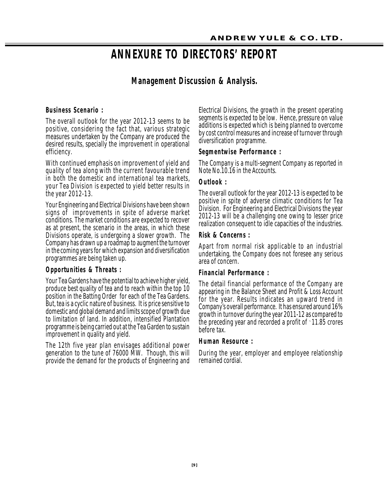# **ANNEXURE TO DIRECTORS' REPORT**

# **Management Discussion & Analysis.**

### **Business Scenario:**

The overall outlook for the year 2012-13 seems to be positive, considering the fact that, various strategic measures undertaken by the Company are produced the desired results, specially the improvement in operational efficiency.

With continued emphasis on improvement of yield and quality of tea along with the current favourable trend in both the domestic and international tea markets, your Tea Division is expected to yield better results in the year 2012-13.

Your Engineering and Electrical Divisions have been shown signs of improvements in spite of adverse market conditions. The market conditions are expected to recover as at present, the scenario in the areas, in which these Divisions operate, is undergoing a slower growth. The Company has drawn up a roadmap to augment the turnover in the coming years for which expansion and diversification programmes are being taken up.

#### **Opportunities & Threats:**

Your Tea Gardens have the potential to achieve higher yield, produce best quality of tea and to reach within the top 10 position in the Batting Order for each of the Tea Gardens. But, tea is a cyclic nature of business. It is price sensitive to domestic and global demand and limits scope of growth due to limitation of land. In addition, intensified Plantation programme is being carried out at the Tea Garden to sustain improvement in quality and yield.

The 12th five year plan envisages additional power generation to the tune of 76000 MW. Though, this will provide the demand for the products of Engineering and Electrical Divisions, the growth in the present operating segments is expected to be low. Hence, pressure on value additions is expected which is being planned to overcome by cost control measures and increase of turnover through diversification programme.

#### **Se g m e n tw is e P e r f o r m a n c e :**

The Company is a multi-segment Company as reported in Note No.10.16 in the Accounts.

#### **Outlook:**

The overall outlook for the year 2012-13 is expected to be positive in spite of adverse climatic conditions for Tea Division. For Engineering and Electrical Divisions the year 2012-13 will be a challenging one owing to lesser price realization consequent to idle capacities of the industries.

#### **Risk & Concerns:**

Apart from normal risk applicable to an industrial undertaking, the Company does not foresee any serious area of concern.

#### **Financial Performance:**

The detail financial performance of the Company are appearing in the Balance Sheet and Profit & Loss Account for the year. Results indicates an upward trend in Company's overall performance. It has ensured around 16% growth in turnover during the year 2011-12 as compared to the preceding year and recorded a profit of `11.85 crores before tax.

#### **Human Resource:**

During the year, employer and employee relationship remained cordial.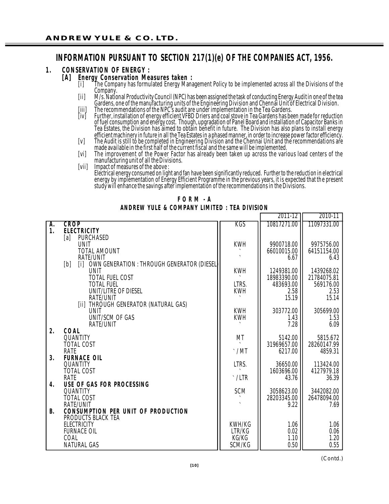# **INFORMATION PURSUANT TO SECTION 217(1)(e) OF THE COMPANIES ACT, 1956.**

## 1. **CONSERVATION OF ENERGY :**

## **[ A ] E n e r g y C o n s e r v a tion Me a s u r e s ta k e n :**

- [i] \_\_\_The Company has formulated Energy Management Policy to be implemented across all the Divisions of the Company.
- [ii] M/s. National Productivity Council (NPC) has been assigned the task of conducting Energy Audit in one of the tea Gardens, one of the manufacturing units of the Engineering Division and Chennai Unit of Electrical Division.
- [iii] The recommendations of the NPC's audit are under implementation in the Tea Gardens.
- [iv] Further, installation of energy efficient VFBD Driers and coal stove in Tea Gardens has been made for reduction of fuel consumption and energy cost. Though, upgradation of Panel Board and installation of Capacitor Banks in Tea Estates, the Division has aimed to obtain benefit in future. The Division has also plans to install energy efficient machinery in future in all the Tea Estates in a phased manner, in order to increase power factor efficiency.
- [v] The Audit is still to be completed in Engineering Division and the Chennai Unit and the recommendations are made available in the first half of the current fiscal and the same will be implemented.
- [vi] The improvement of the Power Factor has already been taken up across the various load centers of the manufacturing unit of all the Divisions.
- [vii] Impact of measures of the above :

Electrical energy consumed on light and fan have been significantly reduced. Further to the reduction in electrical energy by implementation of Energy Efficient Programme in the previous years, it is expected that the present study will enhance the savings after implementation of the recommendations in the Divisions.

|  | FORM-A                                       |  |  |  |
|--|----------------------------------------------|--|--|--|
|  | ANDREW YULE & COMPANY LIMITED : TEA DIVISION |  |  |  |

|           |                                                           |              | 2011-12     | 2010-11     |
|-----------|-----------------------------------------------------------|--------------|-------------|-------------|
| A.        | <b>CROP</b>                                               | KGS          | 10817271.00 | 11097331.00 |
| 1.        | <b>ELECTRICITY</b>                                        |              |             |             |
|           | PURCHASED<br>[a]                                          |              |             |             |
|           | <b>UNIT</b>                                               | <b>KWH</b>   | 9900718.00  | 9975756.00  |
|           | <b>TOTAL AMOUNT</b>                                       |              | 66010015.00 | 64151154.00 |
|           | RATE/UNIT                                                 |              | 6.67        | 6.43        |
|           | OWN GENERATION : THROUGH GENERATOR (DIESEL)<br>[b]<br>[1] |              |             |             |
|           | <b>UNIT</b>                                               | <b>KWH</b>   | 1249381.00  | 1439268.02  |
|           | <b>TOTAL FUEL COST</b>                                    |              | 18983390.00 | 21784075.81 |
|           | <b>TOTAL FUEL</b>                                         | LTRS.        | 483693.00   | 569176.00   |
|           | UNIT/LITRE OF DIESEL                                      | <b>KWH</b>   | 2.58        | 2.53        |
|           | RATE/UNIT                                                 |              | 15.19       | 15.14       |
|           | [ii] THROUGH GENERATOR (NATURAL GAS)                      |              |             |             |
|           | <b>UNIT</b>                                               | <b>KWH</b>   | 303772.00   | 305699.00   |
|           | UNIT/SCM OF GAS                                           | <b>KWH</b>   | 1.43        | 1.53        |
|           | <b>RATE/UNIT</b>                                          |              | 7.28        | 6.09        |
| 2.        | COAL<br>QUANTITY                                          | МT           | 5142.00     | 5815.672    |
|           | <b>TOTAL COST</b>                                         |              | 31969657.00 | 28260147.99 |
|           | RATE                                                      | $\cdot$ /MT  | 6217.00     | 4859.31     |
| 3.        | <b>FURNACE OIL</b>                                        |              |             |             |
|           | QUANTITY                                                  | LTRS.        | 36650.00    | 113424.00   |
|           | <b>TOTAL COST</b>                                         |              | 1603696.00  | 4127979.18  |
|           | <b>RATE</b>                                               | $\cdot$ /LTR | 43.76       | 36.39       |
| 4.        | USE OF GAS FOR PROCESSING                                 |              |             |             |
|           | QUANTITY                                                  | SCM          | 3058623.00  | 3442082.00  |
|           | <b>TOTAL COST</b>                                         |              | 28203345.00 | 26478094.00 |
|           | <b>RATE/UNIT</b>                                          |              | 9.22        | 7.69        |
| <b>B.</b> | <b>CONSUMPTION PER UNIT OF PRODUCTION</b>                 |              |             |             |
|           | PRODUCTS BLACK TEA                                        |              |             |             |
|           | <b>ELECTRICITY</b>                                        | KWH/KG       | 1.06        | 1.06        |
|           | <b>FURNACE OIL</b>                                        | LTR/KG       | 0.02        | 0.06        |
|           | COAL                                                      | KG/KG        | 1.10        | 1.20        |
|           | <b>NATURAL GAS</b>                                        | SCM/KG       | 0.50        | 0.55        |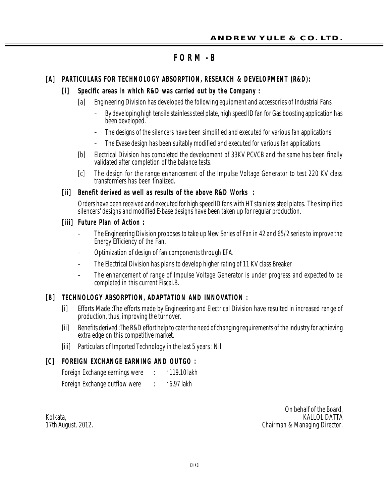# **F O R M - B**

# [A] PARTICULARS FOR TECHNOLOGY ABSORPTION, RESEARCH & DEVELOPMENT (R&D):

# [i] Specific areas in which R&D was carried out by the Company :

- [a] Engineering Division has developed the following equipment and accessories of Industrial Fans :
	- By developing high tensile stainless steel plate, high speed ID fan for Gas boosting application has been developed.
	- The designs of the silencers have been simplified and executed for various fan applications.
	- The Evase design has been suitably modified and executed for various fan applications.
- [b] Electrical Division has completed the development of 33KV PCVCB and the same has been finally validated after completion of the balance tests.
- [c] The design for the range enhancement of the Impulse Voltage Generator to test 220 KV class transformers has been finalized.

# [ii] Benefit derived as well as results of the above R&D Works :

Orders have been received and executed for high speed ID fans with HT stainless steel plates. The simplified silencers' designs and modified E-base designs have been taken up for regular production.

## **[iii] Future Plan of Action :**

- The Engineering Division proposes to take up New Series of Fan in 42 and 65/2 series to improve the Energy Efficiency of the Fan.
- Optimization of design of fan components through EFA.
- The Electrical Division has plans to develop higher rating of 11 KV class Breaker
- The enhancement of range of Impulse Voltage Generator is under progress and expected to be completed in this current Fiscal.B.

# [B] TECHNOLOGY ABSORPTION, ADAPTATION AND INNOVATION :

- [i] Efforts Made :The efforts made by Engineering and Electrical Division have resulted in increased range of production, thus, improving the turnover.
- [ii] Benefits derived :The R&D effort help to cater the need of changing requirements of the industry for achieving extra edge on this competitive market.
- [iii] Particulars of Imported Technology in the last 5 years : Nil.

# [C] **FOREIGN EXCHANGE EARNING AND OUTGO :**

| Foreign Exchange earnings were | $\cdot$ 119.10 lakh |
|--------------------------------|---------------------|
| Foreign Exchange outflow were  | $\cdot$ 6.97 lakh   |

On behalf of the Board,<br>KALLOL DATTA Kolkata, kolkata, kolkata, kolkata, kolkata, kolkata, kolkata, kolkata, kolkata, kolkata, kolkata, kolkata, ko 17th August, 2012. Chairman & Managing Director.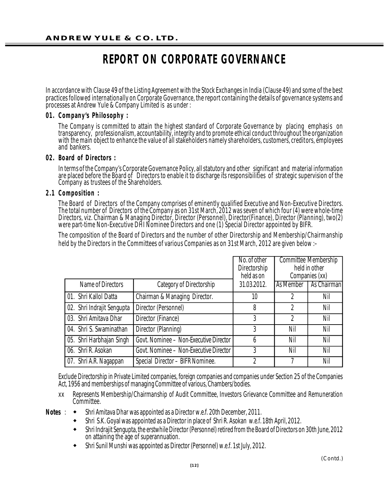# **REPORT ON CORPORATE GOVERNANCE**

In accordance with Clause 49 of the Listing Agreement with the Stock Exchanges in India (Clause 49) and some of the best practices followed internationally on Corporate Governance, the report containing the details of governance systems and processes at Andrew Yule & Company Limited is as under :

## **01. C om p an y 's Ph ilo s op h y :**

The Company is committed to attain the highest standard of Corporate Governance by placing emphasis on transparency, professionalism, accountability, integrity and to promote ethical conduct throughout the organization with the main object to enhance the value of all stakeholders namely shareholders, customers, creditors, employees and bankers.

#### **02. Bo ard of Dir ectors :**

In terms of the Company's Corporate Governance Policy, all statutory and other significant and material information are placed before the Board of Directors to enable it to discharge its responsibilities of strategic supervision of the Company as trustees of the Shareholders.

### **2.1 Composition:**

The Board of Directors of the Company comprises of eminently qualified Executive and Non-Executive Directors. The total number of Directors of the Company as on 31st March, 2012 was seven of which four (4) were whole-time Directors, viz. Chairman & Managing Director, Director (Personnel), Director(Finance), Director (Planning), two(2) were part-time Non-Executive DHI Nominee Directors and one (1) Special Director appointed by BIFR.

The composition of the Board of Directors and the number of other Directorship and Membership/Chairmanship held by the Directors in the Committees of various Companies as on 31st March, 2012 are given below :–

|                            |                                        | No. of other<br>Directorship<br>held as on |           | <b>Committee Membership</b><br>held in other<br>Companies (xx) |
|----------------------------|----------------------------------------|--------------------------------------------|-----------|----------------------------------------------------------------|
| Name of Directors          | Category of Directorship               | 31.03.2012.                                | As Member | As Chairman                                                    |
| 01. Shri Kallol Datta      | Chairman & Managing Director.          | 10                                         | 2         | Nil                                                            |
| 02. Shri Indrajit Sengupta | Director (Personnel)                   | 8                                          | 2         | Nil                                                            |
| 03. Shri Amitava Dhar      | Director (Finance)                     | 3                                          | 2         | Nil                                                            |
| 04. Shri S. Swaminathan    | Director (Planning)                    | 3                                          | Nil       | Nil                                                            |
| 05. Shri Harbhajan Singh   | Govt. Nominee - Non-Executive Director | h                                          | Nil       | Nil                                                            |
| 06. Shri R. Asokan         | Govt. Nominee - Non-Executive Director | 3                                          | Nil       | Nil                                                            |
| 07. Shri A.R. Nagappan     | Special Director - BIFR Nominee.       |                                            |           | Nil                                                            |

Exclude Directorship in Private Limited companies, foreign companies and companies under Section 25 of the Companies Act, 1956 and memberships of managing Committee of various, Chambers/bodies.

- xx Represents Membership/Chairmanship of Audit Committee, Investors Grievance Committee and Remuneration Committee.
- **Notes** :  $\rightarrow$  Shri Amitava Dhar was appointed as a Director w.e.f. 20th December, 2011.
	- Shri S.K. Goyal was appointed as a Director in place of Shri R. Asokan w.e.f. 18th April, 2012.
	- Shri Indrajit Sengupta, the erstwhile Director (Personnel) retired from the Board of Directors on 30th June, 2012 on attaining the age of superannuation.
	- Shri Sunil Munshi was appointed as Director (Personnel) w.e.f. 1st July, 2012.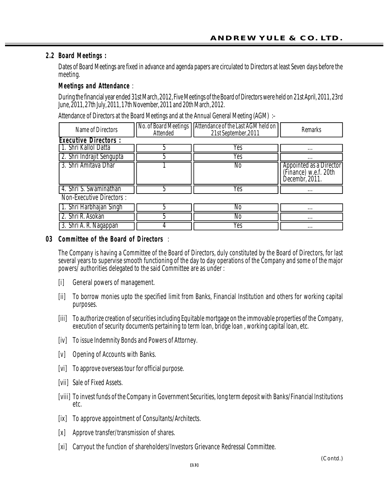# **2. 2 Board Meetings :**

Dates of Board Meetings are fixed in advance and agenda papers are circulated to Directors at least Seven days before the meeting.

## **Meetings and Attendance** :

During the financial year ended 31st March, 2012, Five Meetings of the Board of Directors were held on 21st April, 2011, 23rd June, 2011, 27th July, 2011, 17th November, 2011 and 20th March, 2012.

Attendance of Directors at the Board Meetings and at the Annual General Meeting (AGM) :–

| Name of Directors           | Attended | No. of Board Meetings   Attendance of the Last AGM held on<br>21st September, 2011 | <b>Remarks</b>                                                     |
|-----------------------------|----------|------------------------------------------------------------------------------------|--------------------------------------------------------------------|
| <b>Executive Directors:</b> |          |                                                                                    |                                                                    |
| [1. Shri Kallol Datta]      |          | Yes                                                                                | $\cdots$                                                           |
| [2. Shri Indrajit Sengupta] |          | Yes                                                                                | $\cdots$                                                           |
| 13. Shri Amitava Dhar       |          | No                                                                                 | Appointed as a Director<br>(Finance) w.e.f. 20th<br>Decembr, 2011. |
| 4. Shri S. Swaminathan      |          | Yes                                                                                | $\cdots$                                                           |
| Non Evenithin Directors     |          |                                                                                    |                                                                    |

Non-Executive Directors :

| ш                          | INO  | $\cdots$ |
|----------------------------|------|----------|
| w<br><u></u><br>.          | INO  | $\cdots$ |
| vuıı<br>v.<br><b>TUMUN</b> | נ טו | $\cdots$ |

## **03** Committee of the Board of Directors :

The Company is having a Committee of the Board of Directors, duly constituted by the Board of Directors, for last several years to supervise smooth functioning of the day to day operations of the Company and some of the major powers/ authorities delegated to the said Committee are as under :

- [i] General powers of management.
- [ii] To borrow monies upto the specified limit from Banks, Financial Institution and others for working capital purposes.
- [iii] To authorize creation of securities including Equitable mortgage on the immovable properties of the Company, execution of security documents pertaining to term loan, bridge loan , working capital loan, etc.
- [iv] To issue Indemnity Bonds and Powers of Attorney.
- [v] Opening of Accounts with Banks.
- [vi] To approve overseas tour for official purpose.
- [vii] Sale of Fixed Assets.
- [viii] To invest funds of the Company in Government Securities, long term deposit with Banks/Financial Institutions etc.
- [ix] To approve appointment of Consultants/Architects.
- [x] Approve transfer/transmission of shares.
- [xi] Carryout the function of shareholders/Investors Grievance Redressal Committee.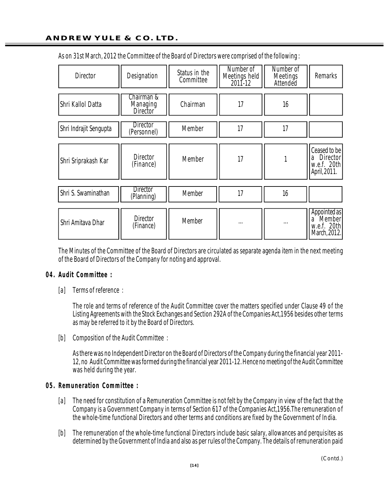| <b>Director</b>        | Designation                               | Status in the<br>Committee | Number of<br>Meetings held<br>2011-12 | Number of<br><b>Meetings</b><br>Attended | <b>Remarks</b>                                                          |
|------------------------|-------------------------------------------|----------------------------|---------------------------------------|------------------------------------------|-------------------------------------------------------------------------|
| Shri Kallol Datta      | Chairman &<br>Managing<br><b>Director</b> | Chairman                   | 17                                    | 16                                       |                                                                         |
| Shri Indrajit Sengupta | <b>Director</b><br>(Personnel)            | Member                     | 17                                    | 17                                       |                                                                         |
| Shri Sriprakash Kar    | <b>Director</b><br>(Finance)              | <b>Member</b>              | 17                                    |                                          | Ceased to be<br>Director<br>a<br>w.e.f. 20th<br>April, 2011.            |
| Shri S. Swaminathan    | <b>Director</b><br>(Planning)             | Member                     | 17                                    | 16                                       |                                                                         |
| Shri Amitava Dhar      | <b>Director</b><br>(Finance)              | <b>Member</b>              | $\cdots$                              | $\cdots$                                 | Appointed as<br>Member <sup>'</sup><br>a<br>w.e.f. 20th<br>March, 2012. |

As on 31st March, 2012 the Committee of the Board of Directors were comprised of the following :

The Minutes of the Committee of the Board of Directors are circulated as separate agenda item in the next meeting of the Board of Directors of the Company for noting and approval.

#### **0 4 . Au d it C o m m itte e :**

[a] Terms of reference :

The role and terms of reference of the Audit Committee cover the matters specified under Clause 49 of the Listing Agreements with the Stock Exchanges and Section 292A of the Companies Act,1956 besides other terms as may be referred to it by the Board of Directors.

[b] Composition of the Audit Committee :

As there was no Independent Director on the Board of Directors of the Company during the financial year 2011- 12, no Audit Committee was formed during the financial year 2011-12. Hence no meeting of the Audit Committee was held during the year.

#### **05. Remuneration Committee :**

- [a] The need for constitution of a Remuneration Committee is not felt by the Company in view of the fact that the Company is a Government Company in terms of Section 617 of the Companies Act,1956.The remuneration of the whole-time functional Directors and other terms and conditions are fixed by the Government of India.
- [b] The remuneration of the whole-time functional Directors include basic salary, allowances and perquisites as determined by the Government of India and also as per rules of the Company. The details of remuneration paid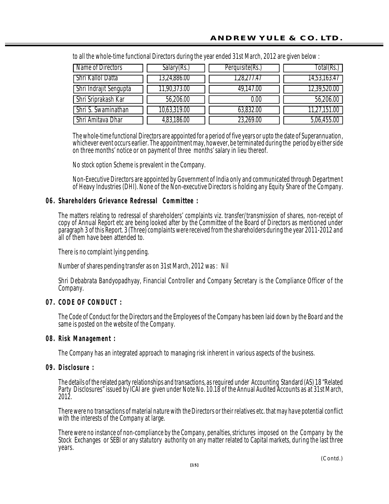| Name of Directors             | Salary(Rs.)  | Perquisite(Rs.) | [otal(Rs.)   |
|-------------------------------|--------------|-----------------|--------------|
| Shri Kallol Datta             | 13,24,886.00 | ,28,277.47      | 14,53,163.47 |
| <b>Shri Indrajit Sengupta</b> | 11,90,373.00 | 49,147.00       | 12,39,520.00 |
| Shri Sriprakash Kar           | 56,206.00    | 0.00            | 56,206.00    |
| Shri S. Swaminathan           | 10,63,319.00 | 63,832.00       | 11,27,151.00 |
| Shri Amitava Dhar             | 4,83,186.00  | 23,269.00       | 5,06,455.00  |

to all the whole-time functional Directors during the year ended 31st March, 2012 are given below :

The whole-time functional Directors are appointed for a period of five years or upto the date of Superannuation, whichever event occurs earlier. The appointment may, however, be terminated during the period by either side on three months' notice or on payment of three months' salary in lieu thereof.

No stock option Scheme is prevalent in the Company.

Non-Executive Directors are appointed by Government of India only and communicated through Department of Heavy Industries (DHI). None of the Non-executive Directors is holding any Equity Share of the Company.

## **06. Shareholders Grievance Redressal Committee :**

The matters relating to redressal of shareholders' complaints viz. transfer/transmission of shares, non-receipt of copy of Annual Report etc are being looked after by the Committee of the Board of Directors as mentioned under paragraph 3 of this Report. 3 (Three) complaints were received from the shareholders during the year 2011-2012 and all of them have been attended to.

There is no complaint lying pending.

Number of shares pending transfer as on 31st March, 2012 was : Nil

Shri Debabrata Bandyopadhyay, Financial Controller and Company Secretary is the Compliance Officer of the Company.

# **07. CODE OF CONDUCT :**

The Code of Conduct for the Directors and the Employees of the Company has been laid down by the Board and the same is posted on the website of the Company.

## **08. Risk Management :**

The Company has an integrated approach to managing risk inherent in various aspects of the business.

## **09. Disclosure:**

The details of the related party relationships and transactions, as required under Accounting Standard (AS) 18 "Related Party Disclosures" issued by ICAI are given under Note No. 10.18 of the Annual Audited Accounts as at 31st March, 2012.

There were no transactions of material nature with the Directors or their relatives etc. that may have potential conflict with the interests of the Company at large.

There were no instance of non-compliance by the Company, penalties, strictures imposed on the Company by the Stock Exchanges or SEBI or any statutory authority on any matter related to Capital markets, during the last three years.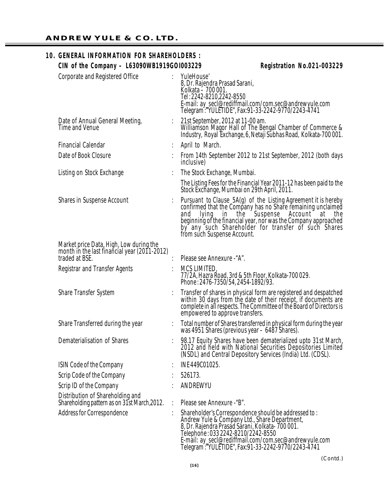# **10. GENERAL INFORMATION FOR SHAREHOLDERS : CIN of the Company – L63090WB1919GOI003229** Reqistration No.021-003229

| <b>Corporate and Registered Office</b>                                           | YuleHouse'<br>8, Dr. Rajendra Prasad Sarani,<br>Kolkata – 700 001.<br>Tel: 2242-8210, 2242-8550<br>E-mail: ay_secl@rediffmail.com/com.sec@andrewyule.com<br>Telegram <sup>*</sup> :"YULETIDE", Fax:91-33-2242-9770/2243-4741                                                                                                                         |
|----------------------------------------------------------------------------------|------------------------------------------------------------------------------------------------------------------------------------------------------------------------------------------------------------------------------------------------------------------------------------------------------------------------------------------------------|
| Date of Annual General Meeting,<br><b>Time and Venue</b>                         | 21st September, 2012 at 11-00 am.<br>Williamson Magor Hall of The Bengal Chamber of Commerce &<br>Industry, Royal Exchange, 6, Netaji Subhas Road, Kolkata-700 001.                                                                                                                                                                                  |
| <b>Financial Calendar</b>                                                        | April to March.                                                                                                                                                                                                                                                                                                                                      |
| Date of Book Closure                                                             | From 14th September 2012 to 21st September, 2012 (both days<br>inclusive)                                                                                                                                                                                                                                                                            |
| Listing on Stock Exchange                                                        | The Stock Exchange, Mumbai.                                                                                                                                                                                                                                                                                                                          |
|                                                                                  | The Listing Fees for the Financial Year 2011-12 has been paid to the<br>Stock Exchange, Mumbai on 29th April, 2011.                                                                                                                                                                                                                                  |
| <b>Shares in Suspense Account</b>                                                | Pursuant to Clause 5A(g) of the Listing Agreement it is hereby<br>confirmed that the Company has no Share remaining unclaimed<br>Suspense<br>Account<br>in the<br>and<br>lying<br>at<br>the<br>beginning of the financial year, nor was the Company approached<br>by any such Shareholder for transfer of such Shares<br>from such Suspense Account. |
| Market price Data, High, Low during the                                          |                                                                                                                                                                                                                                                                                                                                                      |
| month in the last financial year (2011-2012)<br>traded at BSE.                   | Please see Annexure - "A".                                                                                                                                                                                                                                                                                                                           |
| <b>Registrar and Transfer Agents</b>                                             | MCS LIMITED,<br>77/2A, Hazra Road, 3rd & 5th Floor, Kolkata-700 029.<br>Phone: 2476-7350/54, 2454-1892/93.                                                                                                                                                                                                                                           |
| <b>Share Transfer System</b>                                                     | Transfer of shares in physical form are registered and despatched<br>within 30 days from the date of their receipt, if documents are<br>complete in all respects. The Committee of the Board of Directors is<br>empowered to approve transfers.                                                                                                      |
| Share Transferred during the year                                                | Total number of Shares transferred in physical form during the year<br>was 4951 Shares (previous year - 6487 Shares).                                                                                                                                                                                                                                |
| Dematerialisation of Shares                                                      | 98.17 Equity Shares have been dematerialized upto 31st March, 2012 and held with National Securities Depositories Limited<br>(NSDL) and Central Depository Services (India) Ltd. (CDSL).                                                                                                                                                             |
| ISIN Code of the Company                                                         | INE 449C01025.                                                                                                                                                                                                                                                                                                                                       |
| Scrip Code of the Company                                                        | 526173.                                                                                                                                                                                                                                                                                                                                              |
| Scrip ID of the Company                                                          | ANDREWYU                                                                                                                                                                                                                                                                                                                                             |
| Distribution of Shareholding and<br>Shareholding pattern as on 31st March, 2012. | Please see Annexure - "B".                                                                                                                                                                                                                                                                                                                           |
| <b>Address for Correspondence</b>                                                | Shareholder's Correspondence should be addressed to:<br>Andrew Yule & Company Ltd., Share Department,<br>8, Dr. Rajendra Prasad Sarani, Kolkata- 700 001.<br>Telephone: 033 2242-8210/2242-8550<br>E-mail: ay_secl@rediffmail.com/com.sec@andrewyule.com                                                                                             |

Telegram :"YULETIDE", Fax:91-33-2242-9770/2243-4741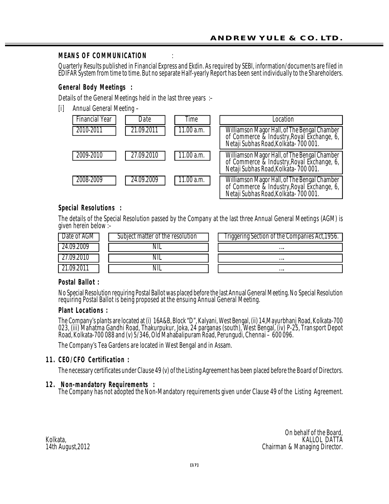# **MEANS OF COMMUNICATION**

Quarterly Results published in Financial Express and Ekdin. As required by SEBI, information/documents are filed in EDIFAR System from time to time. But no separate Half-yearly Report has been sent individually to the Shareholders.

# **General Body Meetings:**

Details of the General Meetings held in the last three years :–

[i] Annual General Meeting –



# **Special Resolutions :**

The details of the Special Resolution passed by the Company at the last three Annual General Meetings (AGM) is given herein below :–

| Jate of AGM | Subject matter of the resolution | Triggering Section of the Companies Act,1956. |
|-------------|----------------------------------|-----------------------------------------------|
|             |                                  |                                               |
|             |                                  |                                               |
|             |                                  |                                               |

## **Postal Ballot:**

No Special Resolution requiring Postal Ballot was placed before the last Annual General Meeting. No Special Resolution requiring Postal Ballot is being proposed at the ensuing Annual General Meeting.

#### **Plant Locations :**

The Company's plants are located at (i) 16A&B, Block "D", Kalyani, West Bengal, (ii) 14,Mayurbhanj Road, Kolkata-700 023, (iii) Mahatma Gandhi Road, Thakurpukur, Joka, 24 parganas (south), West Bengal, (iv) P-25, Transport Depot Road, Kolkata-700 088 and (v) 5/346, Old Mahabalipuram Road, Perungudi, Chennai – 600 096.

The Company's Tea Gardens are located in West Bengal and in Assam.

## **1 1 . C E O/ C F O C e r tific a tio n :**

The necessary certificates under Clause 49 (v) of the Listing Agreement has been placed before the Board of Directors.

## **12. Non-mandatory Requirements:**

The Company has not adopted the Non-Mandatory requirements given under Clause 49 of the Listing Agreement.

On behalf of the Board,<br>KALLOL DATTA Kolkata, kalifolia ya kwanzi wa kutoka wa wakazi wa wakazi wa wakazi wa wakazi wa wakazi wa wakazi wa wakazi w 14th August,2012 Chairman & Managing Director.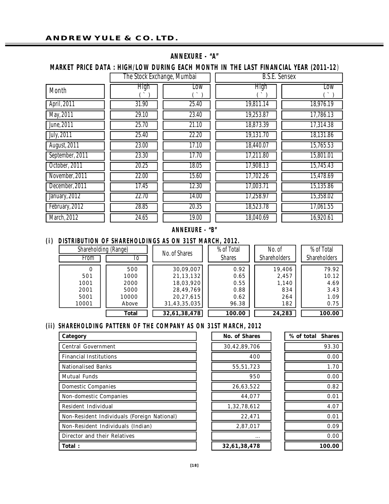| <b>ANNEXURE - "A"</b> |  |  |  |  |
|-----------------------|--|--|--|--|
|-----------------------|--|--|--|--|

#### **MARKET PRICE DATA : HIGH/LOW DURING EACH MONTH IN THE LAST FINANCIAL YEAR (2011-12)**  $\frac{1}{\sqrt{2\pi}}$  The Stock Exchange, Mumbai

|                    | The Stock Exchange, Mumbal |       | B.S.E. Sensex |            |
|--------------------|----------------------------|-------|---------------|------------|
| Month              | High                       | Low   | High          | <b>Low</b> |
|                    |                            |       |               |            |
| April, 2011        | 31.90                      | 25.40 | 19,811.14     | 18,976.19  |
| May, 2011          | 29.10                      | 23.40 | 19,253.87     | 17,786.13  |
| June, 2011         | 25.70                      | 21.10 | 18,873.39     | 17,314.38  |
| <b>July, 2011</b>  | 25.40                      | 22.20 | 19,131.70     | 18,131.86  |
| August, 2011       | 23.00                      | 17.10 | 18,440.07     | 15,765.53  |
| September, 2011    | 23.30                      | 17.70 | 17,211.80     | 15,801.01  |
| October, 2011      | 20.25                      | 18.05 | 17,908.13     | 15,745.43  |
| November, 2011     | 22.00                      | 15.60 | 17,702.26     | 15,478.69  |
| December, 2011     | 17.45                      | 12.30 | 17,003.71     | 15,135.86  |
| January, 2012      | 22.70                      | 14.00 | 17,258.97     | 15,358.02  |
| February, 2012     | 28.85                      | 20.35 | 18,523.78     | 17,061.55  |
| <b>March, 2012</b> | 24.65                      | 19.00 | 18,040.69     | 16,920.61  |

## **A NN EX UR E - "B "**

(i) DISTRIBUTION OF SHAREHOLDINGS AS ON 31ST MARCH, 2012.

| Shareholding (Range)<br>From              | 10                                                   | No. of Shares                                                                   | % of Total<br><b>Shares</b>                   | No. of<br><b>Shareholders</b>                 | % of Total<br><b>Shareholders</b>              |
|-------------------------------------------|------------------------------------------------------|---------------------------------------------------------------------------------|-----------------------------------------------|-----------------------------------------------|------------------------------------------------|
| 0<br>501<br>1001<br>2001<br>5001<br>10001 | 500<br>1000<br>2000<br>5000<br>10000<br><b>Above</b> | 30,09,007<br>21,13,132<br>18,03,920<br>28, 49, 769<br>20,27,615<br>31,43,35,035 | 0.92<br>0.65<br>0.55<br>0.88<br>0.62<br>96.38 | 19,406<br>2,457<br>1,140<br>834<br>264<br>182 | 79.92<br>10.12<br>4.69<br>3.43<br>1.09<br>0.75 |
|                                           | <b>Total</b>                                         | 32,61,38,478                                                                    | 100.00                                        | 24,283                                        | 100.00                                         |

# (ii) SHAREHOLDING PATTERN OF THE COMPANY AS ON 31ST MARCH, 2012

| Category                                    | <b>No. of Shares</b> | % of total Shares |
|---------------------------------------------|----------------------|-------------------|
| <b>Central Government</b>                   | 30,42,89,706         | 93.30             |
| <b>Financial Institutions</b>               | 400                  | 0.00              |
| <b>Nationalised Banks</b>                   | 55,51,723            | 1.70              |
| <b>Mutual Funds</b>                         | 950                  | 0.00              |
| <b>Domestic Companies</b>                   | 26,63,522            | 0.82              |
| <b>Non-domestic Companies</b>               | 44.077               | 0.01              |
| <b>Resident Individual</b>                  | 1.32.78.612          | 4.07              |
| Non-Resident Individuals (Foreign National) | 22,471               | 0.01              |
| <b>Non-Resident Individuals (Indian)</b>    | 2,87,017             | 0.09              |
| <b>Director and their Relatives</b>         |                      | 0.00              |
| <b>Total:</b>                               | 32.61.38.478         | 100.00            |

| % of total Shares |        |
|-------------------|--------|
|                   | 93.30  |
|                   | 0.00   |
|                   | 1.70   |
|                   | 0.00   |
|                   | 0.82   |
|                   | 0.01   |
|                   | 4.07   |
|                   | 0.01   |
|                   | 0.09   |
|                   | 0.00   |
|                   | 100.00 |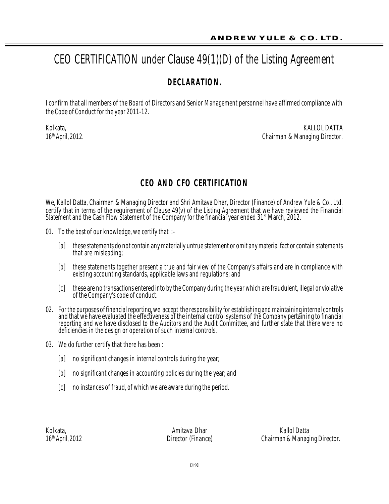# CEO CERTIFICATION under Clause 49(1)(D) of the Listing Agreement

# **DECL AR AT IO N.**

I confirm that all members of the Board of Directors and Senior Management personnel have affirmed compliance with the Code of Conduct for the year 2011-12.

Kolkata, kota kwa mwaka wa 1972, wapatao a wakazi wa 1972, wakazi wa 1972, wakati wa mshindi wa 1972, wakati w 16<sup>th</sup> April, 2012. 2012. **Chairman & Managing Director.** 

# **CEO AND CFO CERTIFICATION**

We, Kallol Datta, Chairman & Managing Director and Shri Amitava Dhar, Director (Finance) of Andrew Yule & Co., Ltd. certify that in terms of the requirement of Clause 49(v) of the Listing Agreement that we have reviewed the Financial Statement and the Cash Flow Statement of the Company for the financial year ended 31<sup>st</sup> March, 2012.

- 01. To the best of our knowledge, we certify that  $:-$ 
	- [a] these statements do not contain any materially untrue statement or omit any material fact or contain statements that are misleading;
	- [b] these statements together present a true and fair view of the Company's affairs and are in compliance with existing accounting standards, applicable laws and regulations; and
	- [c] these are no transactions entered into by the Company during the year which are fraudulent, illegal or violative of the Company's code of conduct.
- 02. For the purposes of financial reporting, we accept the responsibility for establishing and maintaining internal controls and that we have evaluated the effectiveness of the internal control systems of the Company pertaining to financial reporting and we have disclosed to the Auditors and the Audit Committee, and further state that there were no deficiencies in the design or operation of such internal controls.
- 03. We do further certify that there has been :
	- [a] no significant changes in internal controls during the year;
	- [b] no significant changes in accounting policies during the year; and
	- [c] no instances of fraud, of which we are aware during the period.

Kolkata, Amitava Dhar Kallol Datta Chairman & Managing Director.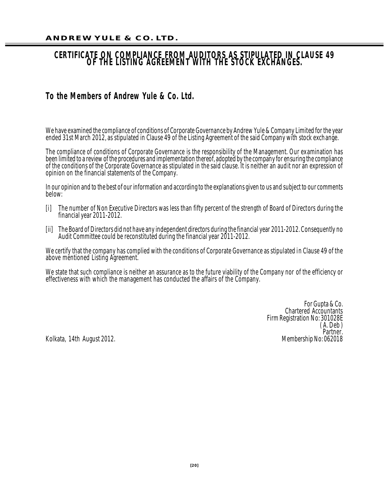# **CERTIFICATE ON COMPLIANCE FROM AUDITORS AS STIPULATED IN CLAUSE 49 OF THE LISTING AGREEMENT WITH THE STOCK EXCHANGES.**

# **To the Members of Andrew Yule & Co. Ltd.**

We have examined the compliance of conditions of Corporate Governance by Andrew Yule & Company Limited for the year ended 31st March 2012, as stipulated in Clause 49 of the Listing Agreement of the said Company with stock exchange.

The compliance of conditions of Corporate Governance is the responsibility of the Management. Our examination has been limited to a review of the procedures and implementation thereof, adopted by the company for ensuring the compliance of the conditions of the Corporate Governance as stipulated in the said clause. It is neither an audit nor an expression of opinion on the financial statements of the Company.

In our opinion and to the best of our information and according to the explanations given to us and subject to our comments below:

- [i] The number of Non Executive Directors was less than fifty percent of the strength of Board of Directors during the financial year 2011-2012.
- [ii] The Board of Directors did not have any independent directors during the financial year 2011-2012. Consequently no Audit Committee could be reconstituted during the financial year 2011-2012.

We certify that the company has complied with the conditions of Corporate Governance as stipulated in Clause 49 of the above mentioned Listing Agreement.

We state that such compliance is neither an assurance as to the future viability of the Company nor of the efficiency or effectiveness with which the management has conducted the affairs of the Company.

> For Gupta & Co. Chartered Accountants Firm Registration No: 301028E ( A. Deb ) Partner.<br>Membership No: 062018

Kolkata, 14th August 2012.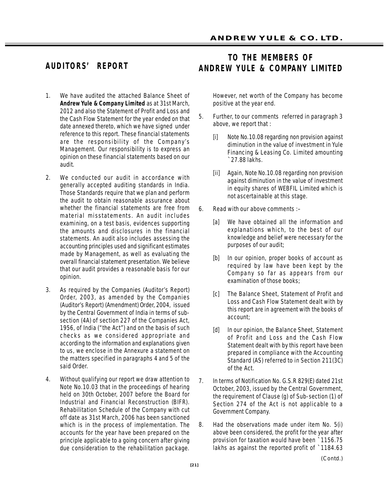# **AUDITORS' REPORT**

- 1. We have audited the attached Balance Sheet of **Andrew Yule & Company Limited** as at 31st March, 2012 and also the Statement of Profit and Loss and the Cash Flow Statement for the year ended on that date annexed thereto, which we have signed under reference to this report. These financial statements are the responsibility of the Company's Management. Our responsibility is to express an opinion on these financial statements based on our audit.
- 2. We conducted our audit in accordance with generally accepted auditing standards in India. Those Standards require that we plan and perform the audit to obtain reasonable assurance about whether the financial statements are free from material misstatements. An audit includes examining, on a test basis, evidences supporting the amounts and disclosures in the financial statements. An audit also includes assessing the accounting principles used and significant estimates made by Management, as well as evaluating the overall financial statement presentation. We believe that our audit provides a reasonable basis for our opinion.
- 3. As required by the Companies (Auditor's Report) Order, 2003, as amended by the Companies (Auditor's Report) (Amendment) Order, 2004, issued by the Central Government of India in terms of subsection (4A) of section 227 of the Companies Act, 1956, of India ("the Act") and on the basis of such checks as we considered appropriate and according to the information and explanations given to us, we enclose in the Annexure a statement on the matters specified in paragraphs 4 and 5 of the said Order.
- 4. Without qualifying our report we draw attention to Note No.10.03 that in the proceedings of hearing held on 30th October, 2007 before the Board for Industrial and Financial Reconstruction (BIFR). Rehabilitation Schedule of the Company with cut off date as 31st March, 2006 has been sanctioned which is in the process of implementation. The accounts for the year have been prepared on the principle applicable to a going concern after giving due consideration to the rehabilitation package.

# **TO THE MEMBERS OF ANDREW YULE & COMPANY LIMITED**

However, net worth of the Company has become positive at the year end.

- 5. Further, to our comments referred in paragraph 3 above, we report that :
	- *[i] Note No.10.08 regarding non provision against diminution in the value of investment in Yule Financing & Leasing Co. Limited amounting `27.88 lakhs.*
	- *[ii] Again, Note No.10.08 regarding non provision against diminution in the value of investment in equity shares of WEBFIL Limited which is not ascertainable at this stage.*
- 6. Read with our above comments :–
	- [a] We have obtained all the information and explanations which, to the best of our knowledge and belief were necessary for the purposes of our audit;
	- [b] In our opinion, proper books of account as required by law have been kept by the Company so far as appears from our examination of those books;
	- [c] The Balance Sheet, Statement of Profit and Loss and Cash Flow Statement dealt with by this report are in agreement with the books of account;
	- [d] In our opinion, the Balance Sheet, Statement of Profit and Loss and the Cash Flow Statement dealt with by this report have been prepared in compliance with the Accounting Standard (AS) referred to in Section 211(3C) of the Act.
- 7. In terms of Notification No. G.S.R 829(E) dated 21st October, 2003, issued by the Central Government, the requirement of Clause (g) of Sub-section (1) of Section 274 of the Act is not applicable to a Government Company.
- *8. Had the observations made under item No. 5(i) above been considered, the profit for the year after provision for taxation would have been `1156.75 lakhs as against the reported profit of `1184.63*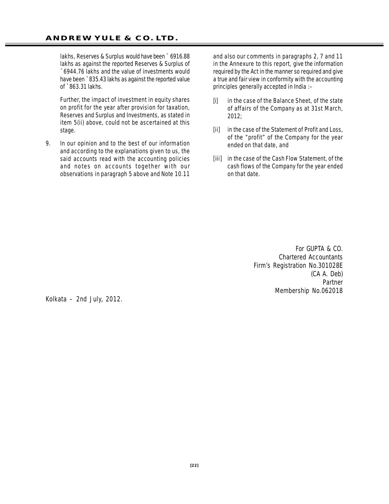*lakhs, Reserves & Surplus would have been ` 6916.88 lakhs as against the reported Reserves & Surplus of `6944.76 lakhs and the value of investments would have been `835.43 lakhs as against the reported value of `863.31 lakhs.*

*Further, the impact of investment in equity shares on profit for the year after provision for taxation, Reserves and Surplus and Investments, as stated in item 5(ii) above, could not be ascertained at this stage.*

9. In our opinion and to the best of our information and according to the explanations given to us, the said accounts read with the accounting policies and notes on accounts *together with our observations in paragraph 5 above and Note 10.11*

*and also our comments in paragraphs 2, 7 and 11 in the Annexure to this report,* give the information required by the Act in the manner so required and give a true and fair view in conformity with the accounting principles generally accepted in India :–

- [i] in the case of the Balance Sheet, of the state of affairs of the Company as at 31st March, 2012;
- [ii] in the case of the Statement of Profit and Loss, of the "profit" of the Company for the year ended on that date, and
- [iii] in the case of the Cash Flow Statement, of the cash flows of the Company for the year ended on that date.

For GUPTA & CO. *Chartered Accountants Firm's Registration No.301028E* (CA A. Deb) Partner Membership No.062018

Kolkata – 2nd July, 2012.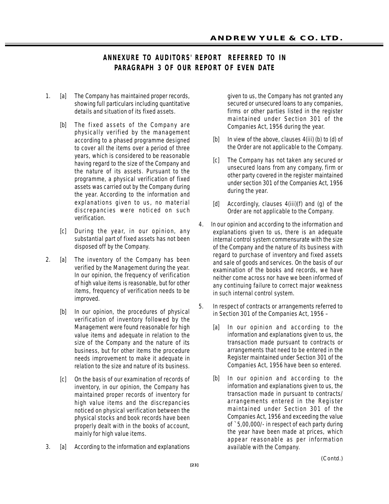# **ANNEXURE TO AUDITORS' REPORT REFERRED TO IN PARAGRAPH 3 OF OUR REPORT OF EVEN DATE**

- 1. [a] The Company has maintained proper records, showing full particulars including quantitative details and situation of its fixed assets.
	- [b] The fixed assets of the Company are physically verified by the management according to a phased programme designed to cover all the items over a period of three years, which is considered to be reasonable having regard to the size of the Company and the nature of its assets. Pursuant to the programme, a physical verification of fixed assets was carried out by the Company during the year. According to the information and explanations given to us, no material discrepancies were noticed on such verification.
	- [c] During the year, in our opinion, any substantial part of fixed assets has not been disposed off by the Company.
- 2. [a] The inventory of the Company has been verified by the Management during the year. In our opinion, the frequency of verification of high value items is reasonable, but for other items, frequency of verification needs to be improved.
	- [b] In our opinion, the procedures of physical verification of inventory followed by the Management were found reasonable for high value items and adequate in relation to the size of the Company and the nature of its business, but for other items the procedure needs improvement to make it adequate in relation to the size and nature of its business.
	- [c] On the basis of our examination of records of inventory, in our opinion, the Company has maintained proper records of inventory for high value items and the discrepancies noticed on physical verification between the physical stocks and book records have been properly dealt with in the books of account, mainly for high value items.
- 3. [a] According to the information and explanations

given to us, the Company has not granted any secured or unsecured loans to any companies, firms or other parties listed in the register maintained under Section 301 of the Companies Act, 1956 during the year.

- [b] In view of the above, clauses 4(iii) (b) to (d) of the Order are not applicable to the Company.
- [c] The Company has not taken any secured or unsecured loans from any company, firm or other party covered in the register maintained under section 301 of the Companies Act, 1956 during the year.
- [d] Accordingly, clauses 4(iii)(f) and (g) of the Order are not applicable to the Company.
- 4. In our opinion and according to the information and explanations given to us, there is an adequate internal control system commensurate with the size of the Company and the nature of its business with regard to purchase of inventory and fixed assets and sale of goods and services. On the basis of our examination of the books and records, we have neither come across nor have we been informed of any continuing failure to correct major weakness in such internal control system.
- 5. In respect of contracts or arrangements referred to in Section 301 of the Companies Act, 1956 –
	- [a] In our opinion and according to the information and explanations given to us, the transaction made pursuant to contracts or arrangements that need to be entered in the Register maintained under Section 301 of the Companies Act, 1956 have been so entered.
	- [b] In our opinion and according to the information and explanations given to us, the transaction made in pursuant to contracts/ arrangements entered in the Register maintained under Section 301 of the Companies Act, 1956 and exceeding the value of `5,00,000/- in respect of each party during the year have been made at prices, which appear reasonable as per information available with the Company.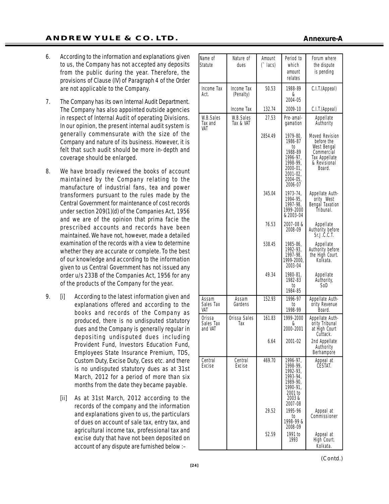- 6. According to the information and explanations given to us, the Company has not accepted any deposits from the public during the year. Therefore, the provisions of Clause (IV) of Paragraph 4 of the Order are not applicable to the Company.
- 7. The Company has its own Internal Audit Department. The Company has also appointed outside agencies in respect of Internal Audit of operating Divisions. In our opinion, the present internal audit system is generally commensurate with the size of the Company and nature of its business. However, it is felt that such audit should be more in-depth and coverage should be enlarged.
- 8. We have broadly reviewed the books of account maintained by the Company relating to the manufacture of industrial fans, tea and power transformers pursuant to the rules made by the Central Government for maintenance of cost records under section 209(1)(d) of the Companies Act, 1956 and we are of the opinion that prima facie the prescribed accounts and records have been maintained. We have not, however, made a detailed examination of the records with a view to determine whether they are accurate or complete. To the best of our knowledge and according to the information given to us Central Government has not issued any order u/s 233B of the Companies Act, 1956 for any of the products of the Company for the year.
- 9. [i] According to the latest information given and explanations offered and according to the books and records of the Company as produced, there is no undisputed statutory dues and the Company is generally regular in depositing undisputed dues including Provident Fund, Investors Education Fund, Employees State Insurance Premium, TDS, Custom Duty, Excise Duty, Cess etc. and there is no undisputed statutory dues as at 31st March, 2012 for a period of more than six months from the date they became payable.
	- [ii] As at 31st March, 2012 according to the records of the company and the information and explanations given to us, the particulars of dues on account of sale tax, entry tax, and agricultural income tax, professional tax and excise duty that have not been deposited on account of any dispute are furnished below :–

| Name of<br>Statute             | Nature of<br>dues       | Amount<br>$('$ lacs) | Period to<br>which<br>amount<br>relates                                                                     | Forum where<br>the dispute<br>is pending                                                             |
|--------------------------------|-------------------------|----------------------|-------------------------------------------------------------------------------------------------------------|------------------------------------------------------------------------------------------------------|
| <b>Income Tax</b><br>Act.      | Income Tax<br>(Penalty) | 50.53                | 1988-89<br>&<br>2004-05                                                                                     | C.I.T.(Appeal)                                                                                       |
|                                | Income Tax              | 132.74               | 2009-10                                                                                                     | C.I.T.(Appeal)                                                                                       |
| W.B.Sales<br>Tax and<br>VAT    | W.B.Sales<br>Tax & VAT  | 27.53                | Pre-amal-<br>aamation                                                                                       | Appellate<br>Authority                                                                               |
|                                |                         | 2854.49              | 1979-80,<br>1986-87<br>to<br>1988-89<br>1996-97,<br>1998-99,<br>2000-01,<br>2001-02,<br>2004-05.<br>2006-07 | Moved Revision<br>before the<br>West Bengal<br>Commercial<br>Tax Appellate<br>& Revisional<br>Board. |
|                                |                         | 345.04               | 1973-74,<br>1994-95,<br>1997-98,<br>1999-2000<br>& 2003-04                                                  | Appellate Auth-<br>ority West<br>Bengal Taxation<br>Ťribunal.                                        |
|                                |                         | 76.53                | 2007-08 &<br>2008-09                                                                                        | Appellate<br>Authority before<br>Sr.J.C.C.T.                                                         |
|                                |                         | 538.45               | 1985-86,<br>1992-93,<br>1997-98,<br>1999-2000,<br>2003-04                                                   | Appellate<br>Authority before<br>the High Court.<br>Kolkata.                                         |
|                                |                         | 49.34                | 1980-81,<br>1982-83<br>to<br>1984-85                                                                        | Appellate<br>Authority,<br>SoD                                                                       |
| Assam<br>Sales Tax<br>VAT      | Assam<br>Gardens        | 152.93               | 1996-97<br>to<br>1998-99                                                                                    | Appellate Auth-<br>ority Revenue<br>Board.                                                           |
| Orissa<br>Sales Tax<br>and VAT | Orissa Sales<br>Tax     | 161.83               | 1999-2000<br>&<br>2000-2001                                                                                 | Appellate Auth-<br>ority Tribunal<br>at High Court<br>Cuttack.                                       |
|                                |                         | 6.64                 | 2001-02                                                                                                     | 2nd Appellate<br>Authority<br>Berhampore                                                             |
| Central<br>Excise              | Central<br>Excise       | 469.70               | 1996-97,<br>1998-99.<br>1992-93.<br>1993-94.<br>1989-90.<br>1990-91,<br>2001 to<br>2003&<br>2007-08         | Appeal at<br>CESTAT.                                                                                 |
|                                |                         | 29.52                | 1995-96<br>to<br>1998-99 &<br>2008-09                                                                       | Appeal at<br>Commissioner                                                                            |
|                                |                         | 52.59                | 1991 to<br>1993                                                                                             | Appeal at<br>High Court.<br>Kolkata.                                                                 |

#### **Annexure-A**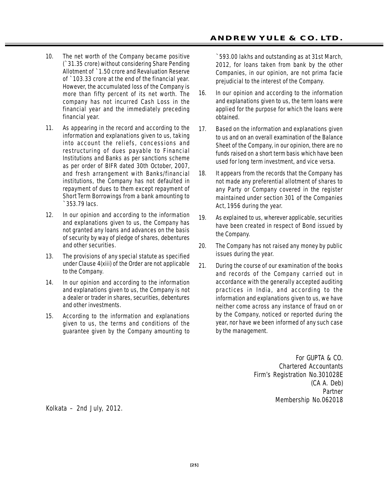- 10. The net worth of the Company became positive (`31.35 crore) without considering Share Pending Allotment of `1.50 crore and Revaluation Reserve of `103.33 crore at the end of the financial year. However, the accumulated loss of the Company is more than fifty percent of its net worth. The company has not incurred Cash Loss in the financial year and the immediately preceding financial year.
- 11. As appearing in the record and according to the information and explanations given to us, taking into account the reliefs, concessions and restructuring of dues payable to Financial Institutions and Banks as per sanctions scheme as per order of BIFR dated 30th October, 2007, and fresh arrangement with Banks/financial institutions, the Company has not defaulted in repayment of dues to them except repayment of Short Term Borrowings from a bank amounting to `353.79 lacs.
- 12. In our opinion and according to the information and explanations given to us, the Company has not granted any loans and advances on the basis of security by way of pledge of shares, debentures and other securities.
- 13. The provisions of any special statute as specified under Clause 4(xiii) of the Order are not applicable to the Company.
- 14. In our opinion and according to the information and explanations given to us, the Company is not a dealer or trader in shares, securities, debentures and other investments.
- 15. According to the information and explanations given to us, the terms and conditions of the guarantee given by the Company amounting to

`593.00 lakhs and outstanding as at 31st March, 2012, for loans taken from bank by the other Companies, in our opinion, are not prima facie prejudicial to the interest of the Company.

- 16. In our opinion and according to the information and explanations given to us, the term loans were applied for the purpose for which the loans were obtained.
- 17. Based on the information and explanations given to us and on an overall examination of the Balance Sheet of the Company, in our opinion, there are no funds raised on a short term basis which have been used for long term investment, and vice versa.
- 18. It appears from the records that the Company has not made any preferential allotment of shares to any Party or Company covered in the register maintained under section 301 of the Companies Act, 1956 during the year.
- 19. As explained to us, wherever applicable, securities have been created in respect of Bond issued by the Company.
- 20. The Company has not raised any money by public issues during the year.
- 21. During the course of our examination of the books and records of the Company carried out in accordance with the generally accepted auditing practices in India, and according to the information and explanations given to us, we have neither come across any instance of fraud on or by the Company, noticed or reported during the year, nor have we been informed of any such case by the management.

For GUPTA & CO. *Chartered Accountants Firm's Registration No.301028E* (CA A. Deb) Partner Membership No.062018

Kolkata – 2nd July, 2012.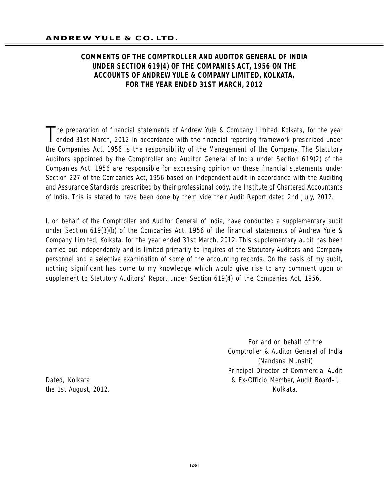# **COMMENTS OF THE COMPTROLLER AND AUDITOR GENERAL OF INDIA UNDER SECTION 619(4) OF THE COMPANIES ACT, 1956 ON THE ACCOUNTS OF ANDREW YULE & COMPANY LIMITED, KOLKATA, FOR THE YEAR ENDED 31ST MARCH, 2012**

The preparation of financial statements of Andrew Yule & Company Limited, Kolkata, for the year<br>ended 31st March, 2012 in accordance with the financial reporting framework prescribed under ended 31st March, 2012 in accordance with the financial reporting framework prescribed under the Companies Act, 1956 is the responsibility of the Management of the Company. The Statutory Auditors appointed by the Comptroller and Auditor General of India under Section 619(2) of the Companies Act, 1956 are responsible for expressing opinion on these financial statements under Section 227 of the Companies Act, 1956 based on independent audit in accordance with the Auditing and Assurance Standards prescribed by their professional body, the Institute of Chartered Accountants of India. This is stated to have been done by them vide their Audit Report dated 2nd July, 2012.

I, on behalf of the Comptroller and Auditor General of India, have conducted a supplementary audit under Section 619(3)(b) of the Companies Act, 1956 of the financial statements of Andrew Yule & Company Limited, Kolkata, for the year ended 31st March, 2012. This supplementary audit has been carried out independently and is limited primarily to inquires of the Statutory Auditors and Company personnel and a selective examination of some of the accounting records. On the basis of my audit, nothing significant has come to my knowledge which would give rise to any comment upon or supplement to Statutory Auditors' Report under Section 619(4) of the Companies Act, 1956.

For and on behalf of the Comptroller & Auditor General of India (Nandana Munshi) Principal Director of Commercial Audit Dated, Kolkata & Ex-Officio Member, Audit Board–I, the 1st August, 2012. The state of the 1st August, 2012.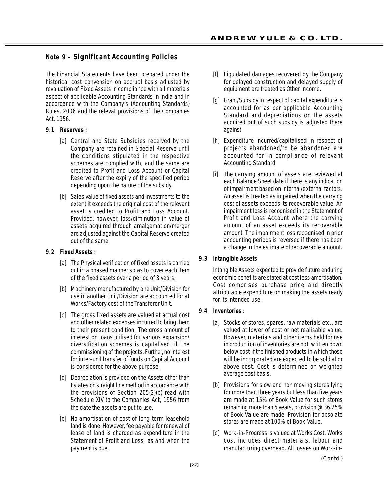# **Note 9 – Significant Accounting Policies**

The Financial Statements have been prepared under the historical cost convension on accrual basis adjusted by revaluation of Fixed Assets in compliance with all materials aspect of applicable Accounting Standards in India and in accordance with the Company's (Accounting Standards) Rules, 2006 and the relevat provisions of the Companies Act, 1956.

#### **9.1 Reserves :**

- [a] Central and State Subsidies received by the Company are retained in Special Reserve until the conditions stipulated in the respective schemes are complied with, and the same are credited to Profit and Loss Account or Capital Reserve after the expiry of the specified period depending upon the nature of the subsidy.
- [b] Sales value of fixed assets and investments to the extent it exceeds the original cost of the relevant asset is credited to Profit and Loss Account. Provided, however, loss/diminution in value of assets acquired through amalgamation/merger are adjusted against the Capital Reserve created out of the same.

#### **9.2 Fixed Assets :**

- [a] The Physical verification of fixed assets is carried out in a phased manner so as to cover each item of the fixed assets over a period of 3 years.
- [b] Machinery manufactured by one Unit/Division for use in another Unit/Division are accounted for at Works/Factory cost of the Transferor Unit.
- [c] The gross fixed assets are valued at actual cost and other related expenses incurred to bring them to their present condition. The gross amount of interest on loans utilised for various expansion/ diversification schemes is capitalised till the commissioning of the projects. Further, no interest for inter-unit transfer of funds on Capital Account is considered for the above purpose.
- [d] Depreciation is provided on the Assets other than Estates on straight line method in accordance with the provisions of Section 205(2)(b) read with Schedule XIV to the Companies Act, 1956 from the date the assets are put to use.
- [e] No amortisation of cost of long-term leasehold land is done. However, fee payable for renewal of lease of land is charged as expenditure in the Statement of Profit and Loss as and when the payment is due.
- [f] Liquidated damages recovered by the Company for delayed construction and delayed supply of equipment are treated as Other Income.
- [g] Grant/Subsidy in respect of capital expenditure is accounted for as per applicable Accounting Standard and depreciations on the assets acquired out of such subsidy is adjusted there against.
- [h] Expenditure incurred/capitalised in respect of projects abandoned/to be abandoned are accounted for in compliance of relevant Accounting Standard.
- [i] The carrying amount of assets are reviewed at each Balance Sheet date if there is any indication of impairment based on internal/external factors. An asset is treated as impaired when the carrying cost of assets exceeds its recoverable value. An impairment loss is recognised in the Statement of Profit and Loss Account where the carrying amount of an asset exceeds its recoverable amount. The impairment loss recognised in prior accounting periods is reversed if there has been a change in the estimate of recoverable amount.

#### **9.3 Intangible Assets**

Intangible Assets expected to provide future enduring economic benefits are stated at cost less amortisation. Cost comprises purchase price and directly attributable expenditure on making the assets ready for its intended use.

#### **9.4 Inventories** :

- [a] Stocks of stores, spares, raw materials etc., are valued at lower of cost or net realisable value. However, materials and other items held for use in production of inventories are not written down below cost if the finished products in which those will be incorporated are expected to be sold at or above cost. Cost is determined on weighted average cost basis.
- [b] Provisions for slow and non moving stores lying for more than three years but less than five years are made at 15% of Book Value for such stores remaining more than 5 years, provision @ 36.25% of Book Value are made. Provision for obsolate stores are made at 100% of Book Value.
- [c] Work-in-Progress is valued at Works Cost. Works cost includes direct materials, labour and manufacturing overhead. All losses on Work-in-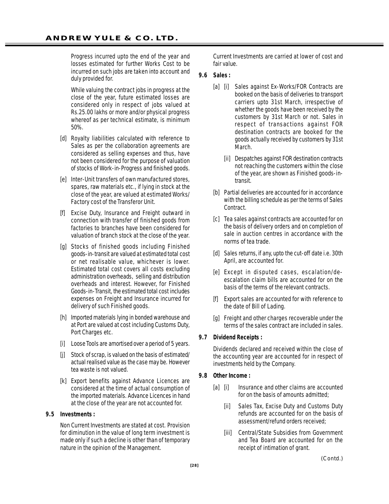Progress incurred upto the end of the year and losses estimated for further Works Cost to be incurred on such jobs are taken into account and duly provided for.

While valuing the contract jobs in progress at the close of the year, future estimated losses are considered only in respect of jobs valued at Rs.25.00 lakhs or more and/or physical progress whereof as per technical estimate, is minimum 50%.

- [d] Royalty liabilities calculated with reference to Sales as per the collaboration agreements are considered as selling expenses and thus, have not been considered for the purpose of valuation of stocks of Work-in-Progress and finished goods.
- [e] Inter-Unit transfers of own manufactured stores, spares, raw materials etc., if lying in stock at the close of the year, are valued at estimated Works/ Factory cost of the Transferor Unit.
- [f] Excise Duty, Insurance and Freight outward in connection with transfer of finished goods from factories to branches have been considered for valuation of branch stock at the close of the year.
- [g] Stocks of finished goods including Finished goods-in-transit are valued at estimated total cost or net realisable value, whichever is lower. Estimated total cost covers all costs excluding administration overheads, selling and distribution overheads and interest. However, for Finished Goods-in-Transit, the estimated total cost includes expenses on Freight and Insurance incurred for delivery of such Finished goods.
- [h] Imported materials lying in bonded warehouse and at Port are valued at cost including Customs Duty, Port Charges etc.
- [i] Loose Tools are amortised over a period of 5 years.
- [j] Stock of scrap, is valued on the basis of estimated/ actual realised value as the case may be. However tea waste is not valued.
- [k] Export benefits against Advance Licences are considered at the time of actual consumption of the imported materials. Advance Licences in hand at the close of the year are not accounted for.

#### **9.5 Investments :**

Non Current Investments are stated at cost. Provision for diminution in the value of long term investment is made only if such a decline is other than of temporary nature in the opinion of the Management.

Current Investments are carried at lower of cost and fair value.

#### **9.6 Sales :**

- [a] [i] Sales against Ex-Works/FOR Contracts are booked on the basis of deliveries to transport carriers upto 31st March, irrespective of whether the goods have been received by the customers by 31st March or not. Sales in respect of transactions against FOR destination contracts are booked for the goods actually received by customers by 31st March.
	- [ii] Despatches against FOR destination contracts not reaching the customers within the close of the year, are shown as Finished goods-intransit.
- [b] Partial deliveries are accounted for in accordance with the billing schedule as per the terms of Sales Contract.
- [c] Tea sales against contracts are accounted for on the basis of delivery orders and on completion of sale in auction centres in accordance with the norms of tea trade.
- [d] Sales returns, if any, upto the cut-off date i.e. 30th April, are accounted for.
- [e] Except in disputed cases, escalation/deescalation claim bills are accounted for on the basis of the terms of the relevant contracts.
- [f] Export sales are accounted for with reference to the date of Bill of Lading.
- [g] Freight and other charges recoverable under the terms of the sales contract are included in sales.

#### **9.7 Dividend Receipts :**

Dividends declared and received within the close of the accounting year are accounted for in respect of investments held by the Company.

- **9.8 Other Income :**
	- [a] [i] Insurance and other claims are accounted for on the basis of amounts admitted;
		- [ii] Sales Tax, Excise Duty and Customs Duty refunds are accounted for on the basis of assessment/refund orders received;
		- [iii] Central/State Subsidies from Government and Tea Board are accounted for on the receipt of intimation of grant.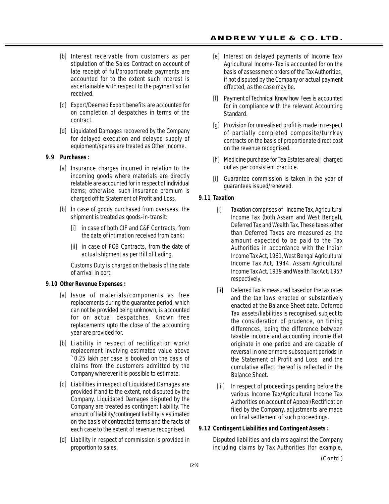- [b] Interest receivable from customers as per stipulation of the Sales Contract on account of late receipt of full/proportionate payments are accounted for to the extent such interest is ascertainable with respect to the payment so far received.
- [c] Export/Deemed Export benefits are accounted for on completion of despatches in terms of the contract.
- [d] Liquidated Damages recovered by the Company for delayed execution and delayed supply of equipment/spares are treated as Other Income.

#### **9.9 Purchases :**

- [a] Insurance charges incurred in relation to the incoming goods where materials are directly relatable are accounted for in respect of individual items; otherwise, such insurance premium is charged off to Statement of Profit and Loss.
- [b] In case of goods purchased from overseas, the shipment is treated as goods-in-transit:
	- [i] in case of both CIF and C&F Contracts, from the date of intimation received from bank;
	- [ii] in case of FOB Contracts, from the date of actual shipment as per Bill of Lading.

Customs Duty is charged on the basis of the date of arrival in port.

#### **9.10 Other Revenue Expenses :**

- [a] Issue of materials/components as free replacements during the guarantee period, which can not be provided being unknown, is accounted for on actual despatches. Known free replacements upto the close of the accounting year are provided for.
- [b] Liability in respect of rectification work/ replacement involving estimated value above `0.25 lakh per case is booked on the basis of claims from the customers admitted by the Company wherever it is possible to estimate.
- [c] Liabilities in respect of Liquidated Damages are provided if and to the extent, not disputed by the Company. Liquidated Damages disputed by the Company are treated as contingent liability. The amount of liability/contingent liability is estimated on the basis of contracted terms and the facts of each case to the extent of revenue recognised.
- [d] Liability in respect of commission is provided in proportion to sales.
- [e] Interest on delayed payments of Income Tax/ Agricultural Income-Tax is accounted for on the basis of assessment orders of the Tax Authorities, if not disputed by the Company or actual payment effected, as the case may be.
- [f] Payment of Technical Know how Fees is accounted for in compliance with the relevant Accounting Standard.
- [g] Provision for unrealised profit is made in respect of partially completed composite/turnkey contracts on the basis of proportionate direct cost on the revenue recognised.
- [h] Medicine purchase for Tea Estates are all charged out as per consistent practice.
- [i] Guarantee commission is taken in the year of guarantees issued/renewed.

#### **9.11 Taxation**

- [i] Taxation comprises of Income Tax, Agricultural Income Tax (both Assam and West Bengal), Deferred Tax and Wealth Tax. These taxes other than Deferred Taxes are measured as the amount expected to be paid to the Tax Authorities in accordance with the Indian Income Tax Act, 1961, West Bengal Agricultural Income Tax Act, 1944, Assam Agricultural Income Tax Act, 1939 and Wealth Tax Act, 1957 respectively.
- [ii] Deferred Tax is measured based on the tax rates and the tax laws enacted or substantively enacted at the Balance Sheet date. Deferred Tax assets/liabilities is recognised, subject to the consideration of prudence, on timing differences, being the difference between taxable income and accounting income that originate in one period and are capable of reversal in one or more subsequent periods in the Statement of Profit and Loss and the cumulative effect thereof is reflected in the Balance Sheet.
- [iii] In respect of proceedings pending before the various Income Tax/Agricultural Income Tax Authorities on account of Appeal/Rectification filed by the Company, adjustments are made on final settlement of such proceedings.

#### **9.12 Contingent Liabilities and Contingent Assets :**

Disputed liabilities and claims against the Company including claims by Tax Authorities (for example,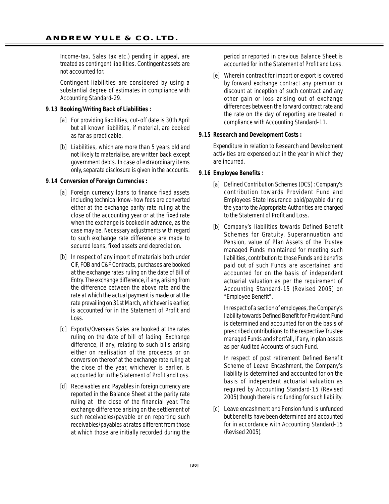Income-tax, Sales tax etc.) pending in appeal, are treated as contingent liabilities. Contingent assets are not accounted for.

Contingent liabilities are considered by using a substantial degree of estimates in compliance with Accounting Standard-29.

#### **9.13 Booking/Writing Back of Liabilities :**

- [a] For providing liabilities, cut-off date is 30th April but all known liabilities, if material, are booked as far as practicable.
- [b] Liabilities, which are more than 5 years old and not likely to materialise, are written back except government debts. In case of extraordinary items only, separate disclosure is given in the accounts.

#### **9.14 Conversion of Foreign Currencies :**

- [a] Foreign currency loans to finance fixed assets including technical know-how fees are converted either at the exchange parity rate ruling at the close of the accounting year or at the fixed rate when the exchange is booked in advance, as the case may be. Necessary adjustments with regard to such exchange rate difference are made to secured loans, fixed assets and depreciation.
- [b] In respect of any import of materials both under CIF, FOB and C&F Contracts, purchases are booked at the exchange rates ruling on the date of Bill of Entry. The exchange difference, if any, arising from the difference between the above rate and the rate at which the actual payment is made or at the rate prevailing on 31st March, whichever is earlier, is accounted for in the Statement of Profit and Loss.
- [c] Exports/Overseas Sales are booked at the rates ruling on the date of bill of lading. Exchange difference, if any, relating to such bills arising either on realisation of the proceeds or on conversion thereof at the exchange rate ruling at the close of the year, whichever is earlier, is accounted for in the Statement of Profit and Loss.
- [d] Receivables and Payables in foreign currency are reported in the Balance Sheet at the parity rate ruling at the close of the financial year. The exchange difference arising on the settlement of such receivables/payable or on reporting such receivables/payables at rates different from those at which those are initially recorded during the

period or reported in previous Balance Sheet is accounted for in the Statement of Profit and Loss.

[e] Wherein contract for import or export is covered by forward exchange contract any premium or discount at inception of such contract and any other gain or loss arising out of exchange differences between the forward contract rate and the rate on the day of reporting are treated in compliance with Accounting Standard-11.

#### **9.15 Research and Development Costs :**

Expenditure in relation to Research and Development activities are expensed out in the year in which they are incurred.

#### **9.16 Employee Benefits :**

- [a] Defined Contribution Schemes (DCS) : Company's contribution towards Provident Fund and Employees State Insurance paid/payable during the year to the Appropriate Authorities are charged to the Statement of Profit and Loss.
- [b] Company's liabilities towards Defined Benefit Schemes for Gratuity, Superannuation and Pension, value of Plan Assets of the Trustee managed Funds maintained for meeting such liabilities, contribution to those Funds and benefits paid out of such Funds are ascertained and accounted for on the basis of independent actuarial valuation as per the requirement of Accounting Standard-15 (Revised 2005) on "Employee Benefit".

In respect of a section of employees, the Company's liability towards Defined Benefit for Provident Fund is determined and accounted for on the basis of prescribed contributions to the respective Trustee managed Funds and shortfall, if any, in plan assets as per Audited Accounts of such Fund.

In respect of post retirement Defined Benefit Scheme of Leave Encashment, the Company's liability is determined and accounted for on the basis of independent actuarial valuation as required by Accounting Standard-15 (Revised 2005) though there is no funding for such liability.

[c] Leave encashment and Pension fund is unfunded but benefits have been determined and accounted for in accordance with Accounting Standard-15 (Revised 2005).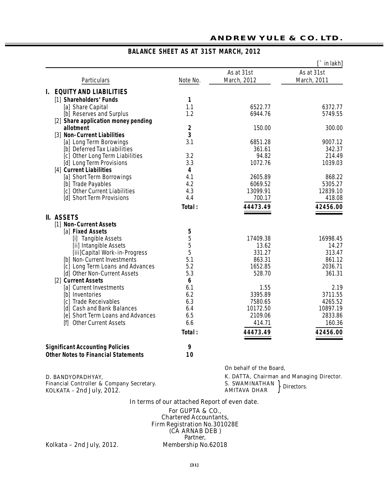|                                        |                  |             | $\Gamma$ in lakh] |
|----------------------------------------|------------------|-------------|-------------------|
|                                        |                  | As at 31st  | As at 31st        |
| Particulars                            | Note No.         | March, 2012 | March, 2011       |
| <b>EQUITY AND LIABILITIES</b>          |                  |             |                   |
|                                        |                  |             |                   |
| [1] Shareholders' Funds                | 1                |             |                   |
| [a] Share Capital                      | 1.1              | 6522.77     | 6372.77           |
| [b] Reserves and Surplus               | 1.2              | 6944.76     | 5749.55           |
| [2] Share application money pending    |                  |             |                   |
| allotment                              | $\mathbf 2$      | 150.00      | 300.00            |
| [3] Non-Current Liabilities            | 3                |             |                   |
| [a] Long Term Borowings                | 3.1              | 6851.28     | 9007.12           |
| [b] Deferred Tax Liabilities           |                  | 361.61      | 342.37            |
| [c] Other Long Term Liabilities        | 3.2              | 94.82       | 214.49            |
| [d] Long Term Provisions               | 3.3              | 1072.76     | 1039.03           |
| [4] Current Liabilities                | 4                |             |                   |
| [a] Short Term Borrowings              | 4.1              | 2605.89     | 868.22            |
| [b] Trade Payables                     | 4.2              | 6069.52     | 5305.27           |
| [c] Other Current Liabilities          | 4.3              | 13099.91    | 12839.10          |
| [d] Short Term Provisions              | 4.4              | 700.17      | 418.08            |
|                                        | Total:           | 44473.49    | 42456.00          |
| II. ASSETS                             |                  |             |                   |
| [1] Non-Current Assets                 |                  |             |                   |
| [a] Fixed Assets                       | 5                |             |                   |
| [i] Tangible Assets                    | 5                | 17409.38    | 16998.45          |
| [ii] Intangible Assets                 | 5                | 13.62       | 14.27             |
| [iii]Capital Work-in-Progress          | 5                | 331.27      | 313.47            |
| [b] Non-Current Investments            | 5.1              | 863.31      | 861.12            |
| [c] Long Term Loans and Advances       | 5.2              | 1652.85     | 2036.71           |
| [d] Other Non-Current Assets           | 5.3              | 528.70      | 361.31            |
| [2] Current Assets                     | $\boldsymbol{6}$ |             |                   |
| [a] Current Investments                | 6.1              | 1.55        | 2.19              |
| [b] Inventories                        | 6.2              | 3395.89     | 3711.55           |
| [c] Trade Receivables                  | 6.3              | 7580.65     | 4265.52           |
| [d] Cash and Bank Balances             | 6.4              | 10172.50    | 10897.19          |
| [e] Short Term Loans and Advances      | 6.5              | 2109.06     | 2833.86           |
| [f] Other Current Assets               | 6.6              | 414.71      | 160.36            |
|                                        |                  |             |                   |
|                                        | Total:           | 44473.49    | 42456.00          |
| <b>Significant Accounting Policies</b> | 9                |             |                   |

# **BALANCE SHEET AS AT 31ST MARCH, 2012**

**Other Notes to Financial Statements 10** 

**D. BANDYOPADHYAY,** *Financial Controller & Company Secretary.* **KOLKATA – 2nd July, 2012.** }

**On behalf of the Board,**

**K. DATTA,** *Chairman and Managing Director.* **S. SWAMINATHAN**  $\lambda$ **AMITAVA DHAR** *Directors.*

#### **In terms of our attached Report of even date.**

**For GUPTA & CO.,** *Chartered Accountants, Firm Registration No.301028E* **(CA ARNAB DEB ) Partner,<br>Membership No. 62018** 

**Kolkata – 2nd July, 2012.**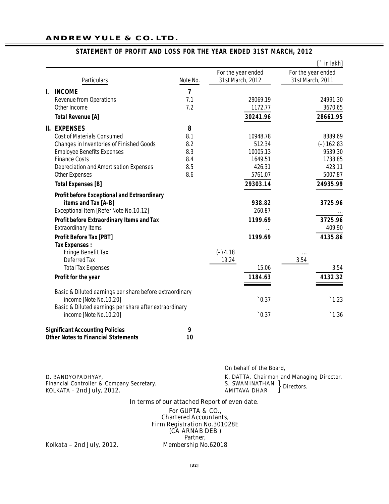|                                                         |                |                    | $\Gamma$ in lakh]  |
|---------------------------------------------------------|----------------|--------------------|--------------------|
|                                                         |                | For the year ended | For the year ended |
| Particulars                                             | Note No.       | 31st March, 2012   | 31st March, 2011   |
| <b>INCOME</b><br>I.                                     | $\overline{7}$ |                    |                    |
| <b>Revenue from Operations</b>                          | 7.1            | 29069.19           | 24991.30           |
| Other Income                                            | 7.2            | 1172.77            | 3670.65            |
| <b>Total Revenue [A]</b>                                |                | 30241.96           | 28661.95           |
| <b>II. EXPENSES</b>                                     | 8              |                    |                    |
| <b>Cost of Materials Consumed</b>                       | 8.1            | 10948.78           | 8389.69            |
| <b>Changes in Inventories of Finished Goods</b>         | 8.2            | 512.34             | $(-) 162.83$       |
| <b>Employee Benefits Expenses</b>                       | 8.3            | 10005.13           | 9539.30            |
| <b>Finance Costs</b>                                    | 8.4            | 1649.51            | 1738.85            |
| <b>Depreciation and Amortisation Expenses</b>           | 8.5            | 426.31             | 423.11             |
| <b>Other Expenses</b>                                   | 8.6            | 5761.07            | 5007.87            |
| <b>Total Expenses [B]</b>                               |                | 29303.14           | 24935.99           |
| <b>Profit before Exceptional and Extraordinary</b>      |                |                    |                    |
| items and Tax [A-B]                                     |                | 938.82             | 3725.96            |
| Exceptional Item [Refer Note No.10.12]                  |                | 260.87             |                    |
| Profit before Extraordinary Items and Tax               |                | 1199.69            | 3725.96            |
| <b>Extraordinary Items</b>                              |                |                    | 409.90             |
| <b>Profit Before Tax [PBT]</b>                          |                | 1199.69            | 4135.86            |
| <b>Tax Expenses:</b>                                    |                |                    |                    |
| <b>Fringe Benefit Tax</b>                               |                | $(-)$ 4.18         | $\cdots$           |
| <b>Deferred Tax</b>                                     |                | 19.24              | 3.54               |
| <b>Total Tax Expenses</b>                               |                | 15.06              | 3.54               |
| Profit for the year                                     |                | 1184.63            | 4132.32            |
| Basic & Diluted earnings per share before extraordinary |                |                    |                    |
| income [Note No.10.20]                                  |                | $\degree$ 0.37     | $\hat{}$ 1.23      |
| Basic & Diluted earnings per share after extraordinary  |                |                    |                    |
| income [Note No.10.20]                                  |                | 0.37               | $\degree 1.36$     |
| <b>Significant Accounting Policies</b>                  | 9              |                    |                    |
| <b>Other Notes to Financial Statements</b>              | 10             |                    |                    |

#### **STATEMENT OF PROFIT AND LOSS FOR THE YEAR ENDED 31ST MARCH, 2012**

|                                                                                                               | On behalf of the Board.                      |                                                                       |  |
|---------------------------------------------------------------------------------------------------------------|----------------------------------------------|-----------------------------------------------------------------------|--|
| D. BANDYOPADHYAY.<br><b>Financial Controller &amp; Company Secretary.</b><br><b>KOLKATA - 2nd July, 2012.</b> | <b>S. SWAMINATHAN</b><br><b>AMITAVA DHAR</b> | K. DATTA, <i>Chairman and Managing Director.</i><br><b>Directors.</b> |  |
|                                                                                                               |                                              |                                                                       |  |

#### **In terms of our attached Report of even date.**

**For GUPTA & CO.,** *Chartered Accountants, Firm Registration No.301028E* **(CA ARNAB DEB ) Partner,<br>Membership No. 62018** 

**Kolkata – 2nd July, 2012.**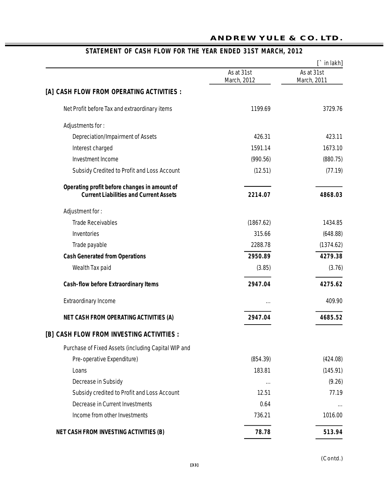|                                                     |                           | $\Gamma$ in lakh]         |
|-----------------------------------------------------|---------------------------|---------------------------|
|                                                     | As at 31st<br>March, 2012 | As at 31st<br>March, 2011 |
| [A] CASH FLOW FROM OPERATING ACTIVITIES :           |                           |                           |
| Net Profit before Tax and extraordinary items       | 1199.69                   | 3729.76                   |
| Adjustments for:                                    |                           |                           |
| <b>Depreciation/Impairment of Assets</b>            | 426.31                    | 423.11                    |
| Interest charged                                    | 1591.14                   | 1673.10                   |
| <b>Investment Income</b>                            | (990.56)                  | (880.75)                  |
| Subsidy Credited to Profit and Loss Account         | (12.51)                   | (77.19)                   |
| Operating profit before changes in amount of        |                           |                           |
| <b>Current Liabilities and Current Assets</b>       | 2214.07                   | 4868.03                   |
| Adjustment for:                                     |                           |                           |
| <b>Trade Receivables</b>                            | (1867.62)                 | 1434.85                   |
| Inventories                                         | 315.66                    | (648.88)                  |
| Trade payable                                       | 2288.78                   | (1374.62)                 |
| <b>Cash Generated from Operations</b>               | 2950.89                   | 4279.38                   |
| Wealth Tax paid                                     | (3.85)                    | (3.76)                    |
| <b>Cash-flow before Extraordinary Items</b>         | 2947.04                   | 4275.62                   |
| <b>Extraordinary Income</b>                         |                           | 409.90                    |
| <b>NET CASH FROM OPERATING ACTIVITIES (A)</b>       | 2947.04                   | 4685.52                   |
| [B] CASH FLOW FROM INVESTING ACTIVITIES :           |                           |                           |
| Purchase of Fixed Assets (including Capital WIP and |                           |                           |
| Pre-operative Expenditure)                          | (854.39)                  | (424.08)                  |
| Loans                                               | 183.81                    | (145.91)                  |
| Decrease in Subsidy                                 |                           | (9.26)                    |
| Subsidy credited to Profit and Loss Account         | 12.51                     | 77.19                     |
| <b>Decrease in Current Investments</b>              | 0.64                      |                           |
| Income from other Investments                       | 736.21                    | 1016.00                   |
| <b>NET CASH FROM INVESTING ACTIVITIES (B)</b>       | 78.78                     | 513.94                    |

# **STATEMENT OF CASH FLOW FOR THE YEAR ENDED 31ST MARCH, 2012**

*(Contd.)*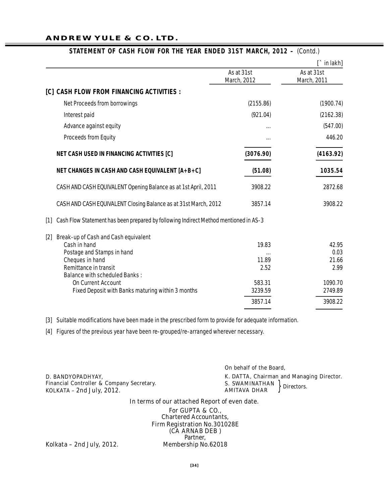#### **ANDREW YULE & CO. LTD.**

|                                                                                               |                           | $\Gamma$ in lakh          |
|-----------------------------------------------------------------------------------------------|---------------------------|---------------------------|
|                                                                                               | As at 31st<br>March, 2012 | As at 31st<br>March, 2011 |
| <b>[C] CASH FLOW FROM FINANCING ACTIVITIES :</b>                                              |                           |                           |
| <b>Net Proceeds from borrowings</b>                                                           | (2155.86)                 | (1900.74)                 |
| Interest paid                                                                                 | (921.04)                  | (2162.38)                 |
| Advance against equity                                                                        |                           | (547.00)                  |
| <b>Proceeds from Equity</b>                                                                   | $\ddotsc$                 | 446.20                    |
| <b>NET CASH USED IN FINANCING ACTIVITIES [C]</b>                                              | (3076.90)                 | (4163.92)                 |
| <b>NET CHANGES IN CASH AND CASH EQUIVALENT [A+B+C]</b>                                        | (51.08)                   | 1035.54                   |
| CASH AND CASH EQUIVALENT Opening Balance as at 1st April, 2011                                | 3908.22                   | 2872.68                   |
| CASH AND CASH EQUIVALENT Closing Balance as at 31st March, 2012                               | 3857.14                   | 3908.22                   |
| Cash Flow Statement has been prepared by following Indirect Method mentioned in AS-3<br>$[1]$ |                           |                           |
| Break-up of Cash and Cash equivalent<br>$[2]$                                                 |                           |                           |
| Cash in hand                                                                                  | 19.83                     | 42.95                     |
| Postage and Stamps in hand                                                                    |                           | 0.03                      |
| Cheques in hand                                                                               | 11.89                     | 21.66                     |
| Remittance in transit                                                                         | 2.52                      | 2.99                      |
| <b>Balance with scheduled Banks:</b>                                                          |                           |                           |
| <b>On Current Account</b>                                                                     | 583.31<br>3239.59         | 1090.70<br>2749.89        |
| Fixed Deposit with Banks maturing within 3 months                                             |                           |                           |
|                                                                                               | 3857.14                   | 3908.22                   |

#### **STATEMENT OF CASH FLOW FOR THE YEAR ENDED 31ST MARCH, 2012 –** *(Contd.)*

[3] Suitable modifications have been made in the prescribed form to provide for adequate information.

[4] Figures of the previous year have been re-grouped/re-arranged wherever necessary.

**D. BANDYOPADHYAY,** *Financial Controller & Company Secretary.* **KOLKATA – 2nd July, 2012. But also recreatly. Example 2nd July, 2012.** *K***OLKATA – 2nd July, 2012.** *ROLKATA – 2nd July, 2012.* 

**On behalf of the Board, K. DATTA,** *Chairman and Managing Director.* **S. SWAMINATHAN AMITAVA DHAR** *Directors.*

#### **In terms of our attached Report of even date.**

**For GUPTA & CO.,** *Chartered Accountants, Firm Registration No.301028E* **(CA ARNAB DEB )** *Partner,*<br>**Membership No.62018** 

**Kolkata – 2nd July, 2012.**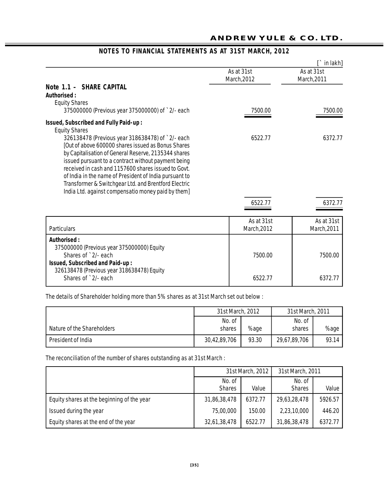|                                                                                                                                                                                                                                                                                                                                                                                                                                                      |                           | $\hat{a}$ in lakh]        |
|------------------------------------------------------------------------------------------------------------------------------------------------------------------------------------------------------------------------------------------------------------------------------------------------------------------------------------------------------------------------------------------------------------------------------------------------------|---------------------------|---------------------------|
|                                                                                                                                                                                                                                                                                                                                                                                                                                                      | As at 31st<br>March, 2012 | As at 31st<br>March, 2011 |
| Note 1.1 - SHARE CAPITAL<br>Authorised:<br><b>Equity Shares</b>                                                                                                                                                                                                                                                                                                                                                                                      |                           |                           |
| 375000000 (Previous year 375000000) of `2/- each                                                                                                                                                                                                                                                                                                                                                                                                     | 7500.00                   | 7500.00                   |
| Issued, Subscribed and Fully Paid-up:<br><b>Equity Shares</b>                                                                                                                                                                                                                                                                                                                                                                                        |                           |                           |
| 326138478 (Previous year 318638478) of `2/- each<br>[Out of above 600000 shares issued as Bonus Shares<br>by Capitalisation of General Reserve, 2135344 shares<br>issued pursuant to a contract without payment being<br>received in cash and 1157600 shares issued to Govt.<br>of India in the name of President of India pursuant to<br>Transformer & Switchgear Ltd. and Brentford Electric<br>India Ltd. against compensatio money paid by them] | 6522.77                   | 6372.77                   |
|                                                                                                                                                                                                                                                                                                                                                                                                                                                      | 6522.77                   | 6372.77                   |
| <b>Particulars</b>                                                                                                                                                                                                                                                                                                                                                                                                                                   | As at 31st<br>March, 2012 | As at 31st<br>March, 2011 |
| Authorised:<br>375000000 (Previous year 375000000) Equity<br>Shares of `2/- each<br>Issued, Subscribed and Paid-up:                                                                                                                                                                                                                                                                                                                                  | 7500.00                   | 7500.00                   |
| 326138478 (Previous year 318638478) Equity<br>Shares of `2/- each                                                                                                                                                                                                                                                                                                                                                                                    | 6522.77                   | 6372.77                   |

# **NOTES TO FINANCIAL STATEMENTS AS AT 31ST MARCH, 2012**

The details of Shareholder holding more than 5% shares as at 31st March set out below :

|                            | 31st March, 2012 |       | 31st March, 2011 |       |
|----------------------------|------------------|-------|------------------|-------|
|                            | No. of           |       | No. of           |       |
| Nature of the Shareholders | shares           | %age  | shares           | %age  |
| President of India         | 30,42,89,706     | 93.30 | 29,67,89,706     | 93.14 |

The reconciliation of the number of shares outstanding as at 31st March :

|                                            | 31st March, 2012 |         | 31st March, 2011 |         |
|--------------------------------------------|------------------|---------|------------------|---------|
|                                            | No. of           |         | No. of           |         |
|                                            | <b>Shares</b>    | Value   | <b>Shares</b>    | Value   |
| Equity shares at the beginning of the year | 31,86,38,478     | 6372.77 | 29,63,28,478     | 5926.57 |
| Issued during the year                     | 75,00,000        | 150.00  | 2,23,10,000      | 446.20  |
| Equity shares at the end of the year       | 32,61,38,478     | 6522.77 | 31,86,38,478     | 6372.77 |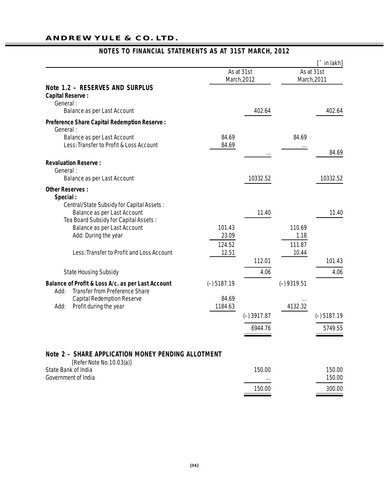### **ANDREW YULE & CO. LTD.**

|                                                                                                               |                 |                           |                 | $\Gamma$ in lakh]         |
|---------------------------------------------------------------------------------------------------------------|-----------------|---------------------------|-----------------|---------------------------|
|                                                                                                               |                 | As at 31st<br>March, 2012 |                 | As at 31st<br>March, 2011 |
| Note 1.2 - RESERVES AND SURPLUS<br><b>Capital Reserve:</b><br>General:                                        |                 |                           |                 |                           |
| <b>Balance as per Last Account</b>                                                                            |                 | 402.64                    |                 | 402.64                    |
| <b>Preference Share Capital Redemption Reserve:</b><br>General:                                               |                 |                           |                 |                           |
| <b>Balance as per Last Account</b>                                                                            | 84.69           |                           | 84.69           |                           |
| Less: Transfer to Profit & Loss Account                                                                       | 84.69           |                           |                 |                           |
| <b>Revaluation Reserve:</b><br>General:                                                                       |                 |                           |                 | 84.69                     |
| <b>Balance as per Last Account</b>                                                                            |                 | 10332.52                  |                 | 10332.52                  |
|                                                                                                               |                 |                           |                 |                           |
| <b>Other Reserves:</b><br>Special:<br>Central/State Subsidy for Capital Assets:                               |                 |                           |                 |                           |
| <b>Balance as per Last Account</b>                                                                            |                 | 11.40                     |                 | 11.40                     |
| Tea Board Subsidy for Capital Assets:                                                                         |                 |                           |                 |                           |
| Balance as per Last Account                                                                                   | 101.43          |                           | 110.69          |                           |
| Add: During the year                                                                                          | 23.09           |                           | 1.18            |                           |
| Less: Transfer to Profit and Loss Account                                                                     | 124.52<br>12.51 |                           | 111.87<br>10.44 |                           |
|                                                                                                               |                 | 112.01                    |                 | 101.43                    |
| <b>State Housing Subsidy</b>                                                                                  |                 | 4.06                      |                 | 4.06                      |
| <b>Balance of Profit &amp; Loss A/c. as per Last Account</b><br><b>Transfer from Preference Share</b><br>Add: | $(-) 5187.19$   |                           | $(-)$ 9319.51   |                           |
| <b>Capital Redemption Reserve</b>                                                                             | 84.69           |                           |                 |                           |
| Add:<br>Profit during the year                                                                                | 1184.63         |                           | 4132.32         |                           |
|                                                                                                               |                 | $(-)$ 3917.87             |                 | $(-)$ 5187.19             |
|                                                                                                               |                 | 6944.76                   |                 | 5749.55                   |
|                                                                                                               |                 |                           |                 |                           |
|                                                                                                               |                 |                           |                 |                           |

# **NOTES TO FINANCIAL STATEMENTS AS AT 31ST MARCH, 2012**

# **Note 2 – SHARE APPLICATION MONEY PENDING ALLOTMENT**

| [Refer Note No.10.03(a)]   |          |        |
|----------------------------|----------|--------|
| State Bank of India        | 150.00   | 150.00 |
| <b>Government of India</b> | $\cdots$ | 150.00 |
|                            | 150.00   | 300.00 |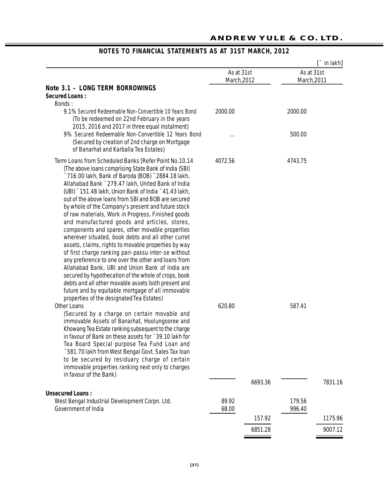|                                                                                                                                                                                                                                                                                                                                                                                                                                                                                                                                                                                                                                                                                                                                                                                                                                                                                                                                                                                                                                                        |                           |         |                           | $\Gamma$ in lakh] |
|--------------------------------------------------------------------------------------------------------------------------------------------------------------------------------------------------------------------------------------------------------------------------------------------------------------------------------------------------------------------------------------------------------------------------------------------------------------------------------------------------------------------------------------------------------------------------------------------------------------------------------------------------------------------------------------------------------------------------------------------------------------------------------------------------------------------------------------------------------------------------------------------------------------------------------------------------------------------------------------------------------------------------------------------------------|---------------------------|---------|---------------------------|-------------------|
|                                                                                                                                                                                                                                                                                                                                                                                                                                                                                                                                                                                                                                                                                                                                                                                                                                                                                                                                                                                                                                                        | As at 31st<br>March, 2012 |         | As at 31st<br>March, 2011 |                   |
| <b>Note 3.1 - LONG TERM BORROWINGS</b><br><b>Secured Loans:</b>                                                                                                                                                                                                                                                                                                                                                                                                                                                                                                                                                                                                                                                                                                                                                                                                                                                                                                                                                                                        |                           |         |                           |                   |
| Bonds:<br>9.1% Secured Redeemable Non-Convertible 10 Years Bond<br>(To be redeemed on 22nd February in the years<br>2015, 2016 and 2017 in three equal instalment)                                                                                                                                                                                                                                                                                                                                                                                                                                                                                                                                                                                                                                                                                                                                                                                                                                                                                     | 2000.00                   |         | 2000.00                   |                   |
| 9% Secured Redeemable Non-Convertible 12 Years Bond<br>(Secured by creation of 2nd charge on Mortgage<br>of Banarhat and Karballa Tea Estates)                                                                                                                                                                                                                                                                                                                                                                                                                                                                                                                                                                                                                                                                                                                                                                                                                                                                                                         |                           |         | 500.00                    |                   |
| Term Loans from Scheduled Banks [Refer Point No.10.14<br>(The above loans comprising State Bank of India (SBI)<br>`716.00 lakh, Bank of Baroda (BOB) `2884.18 lakh,<br>Allahabad Bank ` 279.47 lakh, United Bank of India<br>(UBI) `151.48 lakh, Union Bank of India `41.43 lakh,<br>out of the above loans from SBI and BOB are secured<br>by whole of the Company's present and future stock<br>of raw materials, Work in Progress, Finished goods<br>and manufactured goods and articles, stores,<br>components and spares, other movable properties<br>wherever situated, book debts and all other curret<br>assets, claims, rights to movable properties by way<br>of first charge ranking pari-passu inter-se without<br>any preference to one over the other and loans from<br>Allahabad Bank, UBI and Union Bank of India are<br>secured by hypothecation of the whole of crops, book<br>debts and all other movable assets both present and<br>future and by equitable mortgage of all immovable<br>properties of the designated Tea Estates) | 4072.56                   |         | 4743.75                   |                   |
| <b>Other Loans</b><br>(Secured by a charge on certain movable and<br>immovable Assets of Banarhat, Hoolungooree and<br>Khowang Tea Estate ranking subsequent to the charge<br>in favour of Bank on these assets for `39.10 lakh for<br>Tea Board Special purpose Tea Fund Loan and<br>`581.70 lakh from West Bengal Govt. Sales Tax loan<br>to be secured by residuary charge of certain<br>immovable properties ranking next only to charges                                                                                                                                                                                                                                                                                                                                                                                                                                                                                                                                                                                                          | 620.80                    |         | 587.41                    |                   |
| in favour of the Bank)                                                                                                                                                                                                                                                                                                                                                                                                                                                                                                                                                                                                                                                                                                                                                                                                                                                                                                                                                                                                                                 |                           | 6693.36 |                           | 7831.16           |
| <b>Unsecured Loans:</b><br>West Bengal Industrial Development Corpn. Ltd.<br><b>Government of India</b>                                                                                                                                                                                                                                                                                                                                                                                                                                                                                                                                                                                                                                                                                                                                                                                                                                                                                                                                                | 89.92                     |         | 179.56                    |                   |
|                                                                                                                                                                                                                                                                                                                                                                                                                                                                                                                                                                                                                                                                                                                                                                                                                                                                                                                                                                                                                                                        | 68.00                     | 157.92  | 996.40                    | 1175.96           |
|                                                                                                                                                                                                                                                                                                                                                                                                                                                                                                                                                                                                                                                                                                                                                                                                                                                                                                                                                                                                                                                        |                           | 6851.28 |                           | 9007.12           |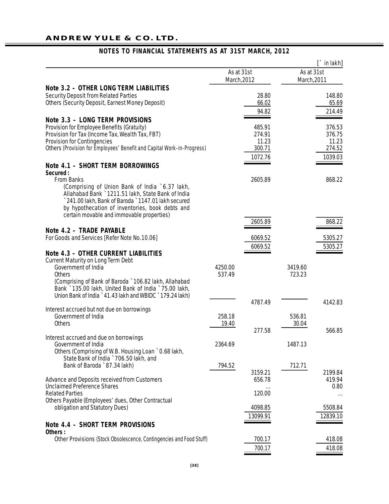## **ANDREW YULE & CO. LTD.**

|                                                                                               |                   |             |                   | $\Gamma$ in lakh] |
|-----------------------------------------------------------------------------------------------|-------------------|-------------|-------------------|-------------------|
|                                                                                               |                   | As at 31st  | As at 31st        |                   |
| Note 3.2 - OTHER LONG TERM LIABILITIES                                                        |                   | March, 2012 | March, 2011       |                   |
| <b>Security Deposit from Related Parties</b>                                                  |                   | 28.80       |                   | 148.80            |
| <b>Others (Security Deposit, Earnest Money Deposit)</b>                                       |                   | 66.02       |                   | 65.69             |
|                                                                                               |                   | 94.82       |                   | 214.49            |
|                                                                                               |                   |             |                   |                   |
| <b>Note 3.3 - LONG TERM PROVISIONS</b>                                                        |                   | 485.91      |                   |                   |
| Provision for Employee Benefits (Gratuity)<br>Provision for Tax (Income Tax, Wealth Tax, FBT) |                   | 274.91      |                   | 376.53<br>376.75  |
| <b>Provision for Contingencies</b>                                                            |                   | 11.23       |                   | 11.23             |
| Others (Provision for Employees' Benefit and Capital Work-in-Progress)                        |                   | 300.71      |                   | 274.52            |
|                                                                                               |                   | 1072.76     |                   | 1039.03           |
| Note 4.1 - SHORT TERM BORROWINGS<br>Secured:                                                  |                   |             |                   |                   |
| <b>From Banks</b>                                                                             |                   | 2605.89     |                   | 868.22            |
| (Comprising of Union Bank of India `6.37 lakh,                                                |                   |             |                   |                   |
| Allahabad Bank ` 1211.51 lakh, State Bank of India                                            |                   |             |                   |                   |
| 241.00 lakh, Bank of Baroda `1147.01 lakh secured                                             |                   |             |                   |                   |
| by hypothecation of inventories, book debts and                                               |                   |             |                   |                   |
| certain movable and immovable properties)                                                     |                   |             |                   |                   |
|                                                                                               |                   | 2605.89     |                   | 868.22            |
| Note 4.2 - TRADE PAYABLE                                                                      |                   |             |                   |                   |
| For Goods and Services [Refer Note No.10.06]                                                  |                   | 6069.52     |                   | 5305.27           |
|                                                                                               |                   | 6069.52     |                   | 5305.27           |
| <b>Note 4.3 - OTHER CURRENT LIABILITIES</b>                                                   |                   |             |                   |                   |
| <b>Current Maturity on Long Term Debt</b>                                                     |                   |             |                   |                   |
| Government of India<br><b>Others</b>                                                          | 4250.00<br>537.49 |             | 3419.60<br>723.23 |                   |
| (Comprising of Bank of Baroda ` 106.82 lakh, Allahabad                                        |                   |             |                   |                   |
| Bank `135.00 lakh, United Bank of India `75.00 lakh,                                          |                   |             |                   |                   |
| Union Bank of India ` 41.43 lakh and WBIDC ` 179.24 lakh)                                     |                   |             |                   |                   |
|                                                                                               |                   | 4787.49     |                   | 4142.83           |
| Interest accrued but not due on borrowings                                                    |                   |             |                   |                   |
| Government of India                                                                           | 258.18            |             | 536.81            |                   |
| <b>Others</b>                                                                                 | 19.40             |             | 30.04             |                   |
|                                                                                               |                   | 277.58      |                   | 566.85            |
| Interest accrued and due on borrowings<br>Government of India                                 | 2364.69           |             | 1487.13           |                   |
| Others (Comprising of W.B. Housing Loan `0.68 lakh,                                           |                   |             |                   |                   |
| State Bank of India ` 706.50 lakh, and                                                        |                   |             |                   |                   |
| Bank of Baroda ` 87.34 lakh)                                                                  | 794.52            |             | 712.71            |                   |
|                                                                                               |                   | 3159.21     |                   | 2199.84           |
| <b>Advance and Deposits received from Customers</b>                                           |                   | 656.78      |                   | 419.94            |
| <b>Unclaimed Preference Shares</b>                                                            |                   |             |                   | 0.80              |
| <b>Related Parties</b>                                                                        |                   | 120.00      |                   |                   |
| Others Payable (Employees' dues, Other Contractual                                            |                   | 4098.85     |                   | 5508.84           |
| obligation and Statutory Dues)                                                                |                   |             |                   |                   |
|                                                                                               |                   | 13099.91    |                   | 12839.10          |
| <b>Note 4.4 - SHORT TERM PROVISIONS</b>                                                       |                   |             |                   |                   |
| Others:                                                                                       |                   |             |                   |                   |
| Other Provisions (Stock Obsolescence, Contingencies and Food Stuff)                           |                   | 700.17      |                   | 418.08            |
|                                                                                               |                   | 700.17      |                   | 418.08            |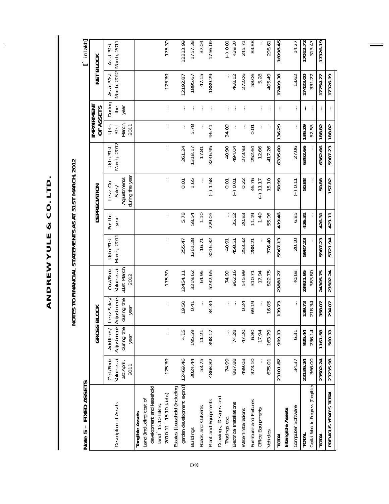ANDREW YULE & CO. LTD. **ANDREW YULE & CO. LTD.**

 $\hat{\mathbf{r}}$ 

NOTES TO FINANCIAL STATEMENTS AS AT 31ST MARCH, 2012 **NOTES TO FINANCIAL STATEMENTS AS AT 31ST MARCH, 2012**

| FIXED ASSETS<br>Note 5 -                                                                                               |                                                       |                                      |                                                            |                                                       |                          |                 |                                                      |                          |                                |                       |                                | in lakh]                  |
|------------------------------------------------------------------------------------------------------------------------|-------------------------------------------------------|--------------------------------------|------------------------------------------------------------|-------------------------------------------------------|--------------------------|-----------------|------------------------------------------------------|--------------------------|--------------------------------|-----------------------|--------------------------------|---------------------------|
|                                                                                                                        |                                                       | GROSS BI                             | 0 <sup>o</sup>                                             |                                                       |                          |                 | DEPRECIATION                                         |                          | <u>IMPAIRMEN</u><br>OF ASSETS  |                       | に<br>当                         | <b>BLOCK</b>              |
| Description of Assets                                                                                                  | Value as at<br><b>Cost/Book</b><br>1st April,<br>2011 | Adjustments Ad<br>during the<br>year | justments<br>Additions/ Less: Sales/<br>during the<br>year | 31st March<br>Value as at<br><b>Cost/Book</b><br>2012 | March, 2011<br>Upto 31st | For the<br>year | during the year<br>Adjustments<br>Less: On<br>Sales/ | March, 2012<br>Upto 31st | March,<br>Upto<br>2011<br>31st | During<br>the<br>year | March, 2012<br>As at 31st      | March, 2011<br>As at 31st |
| development and leasehold<br>2010-11 \15.10 lakhs)<br>Land (including cost of<br>land `15.10 lakhs;<br>Tangible Assets | 175.39                                                | $\vdots$                             | ÷                                                          | 175.39                                                | ÷                        | $\vdots$        | ÷                                                    | ţ.                       | $\vdots$                       | $\vdots$              | 175.39                         | 175.39                    |
| garden development expn.)]<br>Estates [Leasehold (including                                                            | 12469.46                                              | 4.15                                 | 19.50                                                      | 12454.11                                              | 255.47                   | 5.78            | 0.01                                                 | 261.24                   | $\vdots$                       | ÷                     | 12192.87                       | 12213.99                  |
| <b>Buildings</b>                                                                                                       | 3024.44                                               | 195.59                               | 0.41                                                       | 3219.62                                               | 1261.28                  | 58.54           | 1.65                                                 | 1318.17                  | 5.78                           | ÷                     | 1895.67                        | 1757.38                   |
| Roads and Culverts                                                                                                     | 53.75                                                 | 11.21                                | ፡                                                          | 64.96                                                 | 16.71                    | 1.10            |                                                      | 17.81                    |                                | ÷                     | 47.15                          | 37.04                     |
| Plant and Equipments                                                                                                   | 4868.82                                               | 398.17                               | 34.34                                                      | 5232.65                                               | 3016.32                  | 229.05          | $(-) 1.58$                                           | 3246.95                  | 96.41                          | ÷                     | 1889.29                        | 1756.09                   |
| Drawings, Designs and                                                                                                  | 74.99                                                 |                                      |                                                            | 74.99                                                 | 40.91                    |                 | 0.01                                                 | 40.90                    | 34.09                          |                       |                                |                           |
| Electrical Installations<br>Tracings etc.                                                                              | 887.88                                                | 74.28                                | ÷<br>÷                                                     | 962.16                                                | 458.51                   | ÷<br>35.52      | $(-) 0.01$                                           | 494.04                   | ÷                              | ÷                     | 468.12                         | $(-) 0.01$<br>429.37      |
| Water Installations                                                                                                    | 499.03                                                | 47.20                                | 0.24                                                       | 545.99                                                | 253.32                   | 20.83           | 0.22                                                 | 273.93                   | ÷                              | ÷                     | 272.06                         | 245.71                    |
| Furniture and Fixtures<br>Office Equipments                                                                            | 373.10                                                | 6.80<br>17.94                        | 69.19                                                      | 17.94<br>310.71                                       | 288.21                   | 1.49<br>11.19   | 46.76<br>$(-) 11.17$                                 | 252.64<br>12.66          | $\overline{0}$ .01             |                       | 58.06<br>5.28                  | 84.88                     |
| Vehicles                                                                                                               | 675.01                                                | 163.79                               | 16.05                                                      | 822.75                                                | 376.40                   | 55.96           | 15.10                                                | 417.26                   | $\vdots$<br>$\vdots$           | $\vdots$<br>÷         | 405.49                         | 298.61                    |
| Intangible Assets<br><b>TOTAL</b>                                                                                      | 23101.87                                              | 919.13                               | 139.73                                                     | 23881.27                                              | 5967.13                  | 419.46          | 50.99                                                | 6335.60                  | 136.29                         | $\vdots$              | 17409.38                       | 16998.45                  |
| Computer Software                                                                                                      | 34.37                                                 | 6.31                                 | $\vdots$                                                   | 40.68                                                 | 20.10                    | 6.85            | $(-) 0.11$                                           | 27.06                    | $\vdots$                       | ÷                     | 13.62                          | 14.27                     |
| Capital Work-in-Progress (Tangible)<br><b>TOTAL</b>                                                                    | 23136.24<br>366.00                                    | 925.44<br>236.14                     | 139.73<br>218.34                                           | 383.80<br>23921.95                                    | 5987.23                  | ÷<br>426.31     | 50.88                                                | 6362.66                  | 52.53<br>136.29                | $\vdots$<br>$\colon$  | $\frac{1}{17423.00}$<br>331.27 | 17012.72<br>313.47        |
| <b>TOTAL</b>                                                                                                           | 23502.24                                              | 1161.58                              | 358.07                                                     | 24305.75                                              | 5987.23                  | 426.31          | 50.88                                                | 6362.66                  | 188.82                         | $\vdots$              | 17754.27                       | 17326.19                  |
| PREVIOUS YEAR'S TOTAL                                                                                                  | 23235.98                                              | 560.33                               | 294.07                                                     | 23502.24                                              | 5721.94                  | 423.11          | 157.82                                               | 5987.23                  | 188.82                         | $\vdots$              | 17326.19                       |                           |
|                                                                                                                        |                                                       |                                      |                                                            |                                                       |                          |                 |                                                      |                          |                                |                       |                                |                           |

 $\equiv$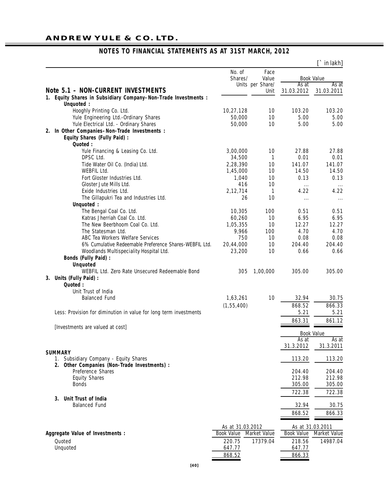## **ANDREW YULE & CO. LTD.**

|                                                                                          |                   |                     |                   | $\Gamma$ in lakh]   |
|------------------------------------------------------------------------------------------|-------------------|---------------------|-------------------|---------------------|
|                                                                                          | No. of<br>Shares/ | Face<br>Value       |                   | <b>Book Value</b>   |
| <b>Note 5.1 - NON-CURRENT INVESTMENTS</b>                                                |                   | Units per Share/    | As at             | As at               |
| Equity Shares in Subsidiary Company-Non-Trade Investments :<br>1.                        |                   | Unit                | 31.03.2012        | 31.03.2011          |
| Unquoted :                                                                               |                   |                     |                   |                     |
| Hooghly Printing Co. Ltd.                                                                | 10,27,128         | 10                  | 103.20            | 103.20              |
| Yule Engineering Ltd.-Ordinary Shares                                                    | 50,000            | 10                  | 5.00              | 5.00                |
| Yule Electrical Ltd. - Ordinary Shares                                                   | 50,000            | 10                  | 5.00              | 5.00                |
| 2. In Other Companies-Non-Trade Investments :<br><b>Equity Shares (Fully Paid):</b>      |                   |                     |                   |                     |
| Quoted:<br>Yule Financing & Leasing Co. Ltd.                                             | 3,00,000          | 10                  | 27.88             | 27.88               |
| DPSC Ltd.                                                                                | 34,500            | 1                   | 0.01              | 0.01                |
| Tide Water Oil Co. (India) Ltd.                                                          | 2,28,390          | 10                  | 141.07            | 141.07              |
| <b>WEBFIL Ltd.</b>                                                                       | 1,45,000          | 10                  | 14.50             | 14.50               |
| Fort Gloster Industries Ltd.                                                             | 1,040             | 10                  | 0.13              | 0.13                |
| Gloster Jute Mills Ltd.                                                                  | 416               | 10                  | $\cdots$          | $\cdots$            |
| Exide Industries Ltd.                                                                    | 2,12,714          | 1                   | 4.22              | 4.22                |
| The Gillapukri Tea and Industries Ltd.                                                   | 26                | 10                  | $\cdots$          | $\cdots$            |
| Unquoted :                                                                               |                   |                     |                   |                     |
| The Bengal Coal Co. Ltd.                                                                 | 10,305            | 100                 | 0.51              | 0.51                |
| Katras Jherriah Coal Co. Ltd.                                                            | 60,260            | 10                  | 6.95              | 6.95                |
| The New Beerbhoom Coal Co. Ltd.                                                          | 1,05,355          | 10                  | 12.27             | 12.27               |
| The Statesman Ltd.                                                                       | 9,966             | 100                 | 4.70              | 4.70                |
| ABC Tea Workers Welfare Services                                                         | 750               | 10                  | 0.08              | 0.08                |
| 6% Cumulative Redeemable Preference Shares-WEBFIL Ltd.                                   | 20,44,000         | 10                  | 204.40            | 204.40              |
| Woodlands Multispeciality Hospital Ltd.                                                  | 23,200            | 10                  | 0.66              | 0.66                |
| <b>Bonds (Fully Paid):</b>                                                               |                   |                     |                   |                     |
| <b>Unquoted</b><br>WEBFIL Ltd. Zero Rate Unsecured Redeemable Bond                       | 305               | 1,00,000            | 305.00            | 305.00              |
| 3. Units (Fully Paid) :<br>Quoted:                                                       |                   |                     |                   |                     |
| Unit Trust of India                                                                      |                   |                     |                   |                     |
| <b>Balanced Fund</b>                                                                     | 1,63,261          | 10                  | 32.94             | 30.75               |
|                                                                                          | (1, 55, 400)      |                     | 868.52            | 866.33              |
| Less: Provision for diminution in value for long term investments                        |                   |                     | 5.21              | 5.21                |
|                                                                                          |                   |                     | 863.31            | 861.12              |
| [Investments are valued at cost]                                                         |                   |                     |                   |                     |
|                                                                                          |                   |                     |                   | <b>Book Value</b>   |
|                                                                                          |                   |                     | As at             | As at               |
|                                                                                          |                   |                     | 31.3.2012         | 31.3.2011           |
| <b>SUMMARY</b>                                                                           |                   |                     |                   |                     |
| 1. Subsidiary Company - Equity Shares<br>Other Companies (Non-Trade Investments) :<br>2. |                   |                     | 113.20            | 113.20              |
| Preference Shares                                                                        |                   |                     | 204.40            | 204.40              |
| <b>Equity Shares</b>                                                                     |                   |                     | 212.98            | 212.98              |
| <b>Bonds</b>                                                                             |                   |                     | 305.00            | 305.00              |
|                                                                                          |                   |                     | 722.38            | 722.38              |
| Unit Trust of India<br>3.                                                                |                   |                     |                   |                     |
| <b>Balanced Fund</b>                                                                     |                   |                     | 32.94             | 30.75               |
|                                                                                          |                   |                     | 868.52            | 866.33              |
|                                                                                          | As at 31.03.2012  |                     |                   | As at 31.03.2011    |
| Aggregate Value of Investments :                                                         | <b>Book Value</b> | <b>Market Value</b> | <b>Book Value</b> | <b>Market Value</b> |
| Quoted                                                                                   | 220.75            | 17379.04            | 218.56            | 14987.04            |
| Unquoted                                                                                 | 647.77            |                     | 647.77            |                     |
|                                                                                          | 868.52            |                     | 866.33            |                     |
|                                                                                          |                   |                     |                   |                     |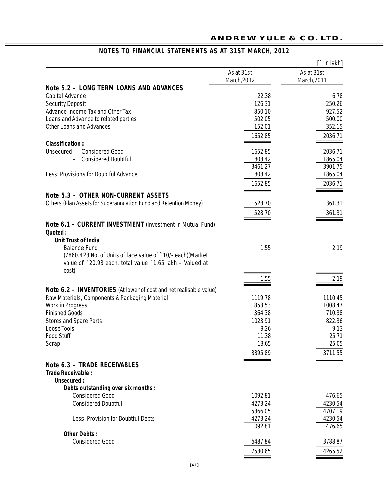|                                                                                                                                  |                   | $\Gamma$ in lakh]  |
|----------------------------------------------------------------------------------------------------------------------------------|-------------------|--------------------|
|                                                                                                                                  | As at 31st        | As at 31st         |
|                                                                                                                                  | March, 2012       | March, 2011        |
| <b>Note 5.2 - LONG TERM LOANS AND ADVANCES</b>                                                                                   |                   |                    |
| Capital Advance                                                                                                                  | 22.38             | 6.78               |
| <b>Security Deposit</b>                                                                                                          | 126.31            | 250.26             |
| Advance Income Tax and Other Tax                                                                                                 | 850.10            | 927.52             |
| Loans and Advance to related parties                                                                                             | 502.05            | 500.00             |
| <b>Other Loans and Advances</b>                                                                                                  | 152.01            | 352.15             |
|                                                                                                                                  | 1652.85           | 2036.71            |
| <b>Classification:</b>                                                                                                           |                   |                    |
| Unsecured- Considered Good                                                                                                       | 1652.85           | 2036.71            |
| <b>Considered Doubtful</b>                                                                                                       | 1808.42           | 1865.04            |
|                                                                                                                                  | 3461.27           | 3901.75            |
| Less: Provisions for Doubtful Advance                                                                                            | 1808.42           | 1865.04            |
|                                                                                                                                  | 1652.85           | 2036.71            |
|                                                                                                                                  |                   |                    |
| Note 5.3 - OTHER NON-CURRENT ASSETS                                                                                              |                   |                    |
| Others (Plan Assets for Superannuation Fund and Retention Money)                                                                 | 528.70            | 361.31             |
|                                                                                                                                  | 528.70            | 361.31             |
| Note 6.1 - CURRENT INVESTMENT (Investment in Mutual Fund)<br>Quoted:                                                             |                   |                    |
| <b>Unit Trust of India</b>                                                                                                       |                   |                    |
| <b>Balance Fund</b>                                                                                                              | 1.55              | 2.19               |
| (7860.423 No. of Units of face value of `10/- each) (Market<br>value of `20.93 each, total value `1.65 lakh - Valued at<br>cost) |                   |                    |
|                                                                                                                                  | 1.55              | 2.19               |
|                                                                                                                                  |                   |                    |
| Note 6.2 - INVENTORIES (At lower of cost and net realisable value)                                                               |                   |                    |
| Raw Materials, Components & Packaging Material                                                                                   | 1119.78<br>853.53 | 1110.45<br>1008.47 |
| <b>Work in Progress</b><br><b>Finished Goods</b>                                                                                 | 364.38            | 710.38             |
| <b>Stores and Spare Parts</b>                                                                                                    | 1023.91           | 822.36             |
| <b>Loose Tools</b>                                                                                                               | 9.26              | 9.13               |
| <b>Food Stuff</b>                                                                                                                | 11.38             | 25.71              |
| Scrap                                                                                                                            | 13.65             | 25.05              |
|                                                                                                                                  | 3395.89           | 3711.55            |
|                                                                                                                                  |                   |                    |
| <b>Note 6.3 - TRADE RECEIVABLES</b>                                                                                              |                   |                    |
| Trade Receivable :                                                                                                               |                   |                    |
| Unsecured:                                                                                                                       |                   |                    |
| Debts outstanding over six months :                                                                                              |                   |                    |
| <b>Considered Good</b>                                                                                                           | 1092.81           | 476.65             |
| <b>Considered Doubtful</b>                                                                                                       | 4273.24           | 4230.54            |
|                                                                                                                                  | 5366.05           | 4707.19            |
| <b>Less: Provision for Doubtful Debts</b>                                                                                        | 4273.24           | 4230.54            |
|                                                                                                                                  | 1092.81           | 476.65             |
| <b>Other Debts:</b>                                                                                                              |                   |                    |
| <b>Considered Good</b>                                                                                                           | 6487.84           | 3788.87            |
|                                                                                                                                  | 7580.65           | 4265.52            |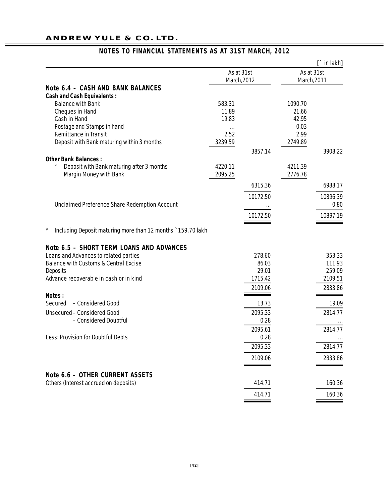## **ANDREW YULE & CO. LTD.**

|                                                             |                           |          |                           | $\hat{a}$ in lakh] |
|-------------------------------------------------------------|---------------------------|----------|---------------------------|--------------------|
|                                                             | As at 31st<br>March, 2012 |          | As at 31st<br>March, 2011 |                    |
| Note 6.4 - CASH AND BANK BALANCES                           |                           |          |                           |                    |
| <b>Cash and Cash Equivalents:</b>                           |                           |          |                           |                    |
| <b>Balance with Bank</b>                                    | 583.31                    |          | 1090.70                   |                    |
| Cheques in Hand                                             | 11.89                     |          | 21.66                     |                    |
| Cash in Hand                                                | 19.83                     |          | 42.95                     |                    |
| Postage and Stamps in hand                                  | $\cdots$                  |          | 0.03                      |                    |
| <b>Remittance in Transit</b>                                | 2.52                      |          | 2.99                      |                    |
| Deposit with Bank maturing within 3 months                  | 3239.59                   |          | 2749.89                   |                    |
| <b>Other Bank Balances:</b>                                 |                           | 3857.14  |                           | 3908.22            |
| Deposit with Bank maturing after 3 months                   | 4220.11                   |          | 4211.39                   |                    |
| <b>Margin Money with Bank</b>                               | 2095.25                   |          | 2776.78                   |                    |
|                                                             |                           | 6315.36  |                           | 6988.17            |
|                                                             |                           | 10172.50 |                           | 10896.39           |
| Unclaimed Preference Share Redemption Account               |                           |          |                           | 0.80               |
|                                                             |                           | 10172.50 |                           | 10897.19           |
| Including Deposit maturing more than 12 months `159.70 lakh |                           |          |                           |                    |
| Note 6.5 - SHORT TERM LOANS AND ADVANCES                    |                           |          |                           |                    |
| Loans and Advances to related parties                       |                           | 278.60   |                           | 353.33             |
| <b>Balance with Customs &amp; Central Excise</b>            |                           | 86.03    |                           | 111.93             |
| <b>Deposits</b>                                             |                           | 29.01    |                           | 259.09             |
| Advance recoverable in cash or in kind                      |                           | 1715.42  |                           | 2109.51            |
|                                                             |                           | 2109.06  |                           | 2833.86            |
| Notes:                                                      |                           |          |                           |                    |
| - Considered Good<br>Secured                                |                           | 13.73    |                           | 19.09              |
| Unsecured - Considered Good                                 |                           | 2095.33  |                           | 2814.77            |
| - Considered Doubtful                                       |                           | 0.28     |                           |                    |
|                                                             |                           | 2095.61  |                           | 2814.77            |
| <b>Less: Provision for Doubtful Debts</b>                   |                           | 0.28     |                           |                    |
|                                                             |                           | 2095.33  |                           | 2814.77            |
|                                                             |                           | 2109.06  |                           | 2833.86            |
| Note 6.6 - OTHER CURRENT ASSETS                             |                           |          |                           |                    |
| Others (Interest accrued on deposits)                       |                           | 414.71   |                           | 160.36             |
|                                                             |                           | 414.71   |                           | 160.36             |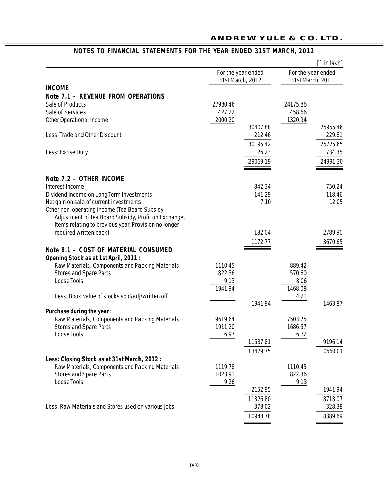| For the year ended<br>For the year ended<br>31st March, 2012<br>31st March, 2011<br><b>INCOME</b><br><b>Note 7.1 - REVENUE FROM OPERATIONS</b><br>Sale of Products<br>27980.46<br>24175.86<br>Sale of Services<br>427.22<br>458.66<br>2000.20<br>1320.94<br><b>Other Operational Income</b><br>30407.88<br>Less: Trade and Other Discount<br>212.46<br>30195.42<br>1126.23<br>Less: Excise Duty<br>29069.19<br>Note 7.2 - OTHER INCOME<br>Interest Income<br>842.34<br>141.29<br>Dividend Income on Long Term Investments<br>Net gain on sale of current investments<br>7.10<br>Other non-operating income (Tea Board Subsidy,<br>Adjustment of Tea Board Subsidy, Profit on Exchange,<br>Items relating to previous year, Provision no longer<br>required written back)<br>182.04<br>1172.77<br>Note 8.1 - COST OF MATERIAL CONSUMED<br>Opening Stock as at 1st April, 2011 :<br>Raw Materials, Components and Packing Materials<br>1110.45<br>889.42<br><b>Stores and Spare Parts</b><br>822.36<br>570.60<br><b>Loose Tools</b><br>9.13<br>8.06<br>1941.94<br>1468.08<br>4.21<br>Less: Book value of stocks sold/adj/written off<br>$\cdots$<br>1941.94<br>Purchase during the year:<br>Raw Materials, Components and Packing Materials<br>9619.64<br>7503.25<br><b>Stores and Spare Parts</b><br>1911.20<br>1686.57<br><b>Loose Tools</b><br>6.97<br>6.32<br>11537.81<br>9196.14<br>13479.75<br>Less: Closing Stock as at 31st March, 2012:<br>Raw Materials, Components and Packing Materials<br>1119.78<br>1110.45<br><b>Stores and Spare Parts</b><br>1023.91<br>822.36<br><b>Loose Tools</b><br>9.26<br>9.13<br>2152.95<br>11326.80<br>Less: Raw Materials and Stores used on various jobs<br>378.02<br>10948.78 |  |  | $\Gamma$ in lakh] |
|-------------------------------------------------------------------------------------------------------------------------------------------------------------------------------------------------------------------------------------------------------------------------------------------------------------------------------------------------------------------------------------------------------------------------------------------------------------------------------------------------------------------------------------------------------------------------------------------------------------------------------------------------------------------------------------------------------------------------------------------------------------------------------------------------------------------------------------------------------------------------------------------------------------------------------------------------------------------------------------------------------------------------------------------------------------------------------------------------------------------------------------------------------------------------------------------------------------------------------------------------------------------------------------------------------------------------------------------------------------------------------------------------------------------------------------------------------------------------------------------------------------------------------------------------------------------------------------------------------------------------------------------------------------------------------------------------------------------------|--|--|-------------------|
| 25955.46<br>229.81<br>25725.65<br>734.35<br>24991.30<br>750.24<br>118.46<br>12.05<br>2789.90<br>3670.65<br>1463.87<br>10660.01<br>1941.94<br>8718.07<br>328.38<br>8389.69                                                                                                                                                                                                                                                                                                                                                                                                                                                                                                                                                                                                                                                                                                                                                                                                                                                                                                                                                                                                                                                                                                                                                                                                                                                                                                                                                                                                                                                                                                                                               |  |  |                   |
|                                                                                                                                                                                                                                                                                                                                                                                                                                                                                                                                                                                                                                                                                                                                                                                                                                                                                                                                                                                                                                                                                                                                                                                                                                                                                                                                                                                                                                                                                                                                                                                                                                                                                                                         |  |  |                   |
|                                                                                                                                                                                                                                                                                                                                                                                                                                                                                                                                                                                                                                                                                                                                                                                                                                                                                                                                                                                                                                                                                                                                                                                                                                                                                                                                                                                                                                                                                                                                                                                                                                                                                                                         |  |  |                   |
|                                                                                                                                                                                                                                                                                                                                                                                                                                                                                                                                                                                                                                                                                                                                                                                                                                                                                                                                                                                                                                                                                                                                                                                                                                                                                                                                                                                                                                                                                                                                                                                                                                                                                                                         |  |  |                   |
|                                                                                                                                                                                                                                                                                                                                                                                                                                                                                                                                                                                                                                                                                                                                                                                                                                                                                                                                                                                                                                                                                                                                                                                                                                                                                                                                                                                                                                                                                                                                                                                                                                                                                                                         |  |  |                   |
|                                                                                                                                                                                                                                                                                                                                                                                                                                                                                                                                                                                                                                                                                                                                                                                                                                                                                                                                                                                                                                                                                                                                                                                                                                                                                                                                                                                                                                                                                                                                                                                                                                                                                                                         |  |  |                   |
|                                                                                                                                                                                                                                                                                                                                                                                                                                                                                                                                                                                                                                                                                                                                                                                                                                                                                                                                                                                                                                                                                                                                                                                                                                                                                                                                                                                                                                                                                                                                                                                                                                                                                                                         |  |  |                   |
|                                                                                                                                                                                                                                                                                                                                                                                                                                                                                                                                                                                                                                                                                                                                                                                                                                                                                                                                                                                                                                                                                                                                                                                                                                                                                                                                                                                                                                                                                                                                                                                                                                                                                                                         |  |  |                   |
|                                                                                                                                                                                                                                                                                                                                                                                                                                                                                                                                                                                                                                                                                                                                                                                                                                                                                                                                                                                                                                                                                                                                                                                                                                                                                                                                                                                                                                                                                                                                                                                                                                                                                                                         |  |  |                   |
|                                                                                                                                                                                                                                                                                                                                                                                                                                                                                                                                                                                                                                                                                                                                                                                                                                                                                                                                                                                                                                                                                                                                                                                                                                                                                                                                                                                                                                                                                                                                                                                                                                                                                                                         |  |  |                   |
|                                                                                                                                                                                                                                                                                                                                                                                                                                                                                                                                                                                                                                                                                                                                                                                                                                                                                                                                                                                                                                                                                                                                                                                                                                                                                                                                                                                                                                                                                                                                                                                                                                                                                                                         |  |  |                   |
|                                                                                                                                                                                                                                                                                                                                                                                                                                                                                                                                                                                                                                                                                                                                                                                                                                                                                                                                                                                                                                                                                                                                                                                                                                                                                                                                                                                                                                                                                                                                                                                                                                                                                                                         |  |  |                   |
|                                                                                                                                                                                                                                                                                                                                                                                                                                                                                                                                                                                                                                                                                                                                                                                                                                                                                                                                                                                                                                                                                                                                                                                                                                                                                                                                                                                                                                                                                                                                                                                                                                                                                                                         |  |  |                   |
|                                                                                                                                                                                                                                                                                                                                                                                                                                                                                                                                                                                                                                                                                                                                                                                                                                                                                                                                                                                                                                                                                                                                                                                                                                                                                                                                                                                                                                                                                                                                                                                                                                                                                                                         |  |  |                   |
|                                                                                                                                                                                                                                                                                                                                                                                                                                                                                                                                                                                                                                                                                                                                                                                                                                                                                                                                                                                                                                                                                                                                                                                                                                                                                                                                                                                                                                                                                                                                                                                                                                                                                                                         |  |  |                   |
|                                                                                                                                                                                                                                                                                                                                                                                                                                                                                                                                                                                                                                                                                                                                                                                                                                                                                                                                                                                                                                                                                                                                                                                                                                                                                                                                                                                                                                                                                                                                                                                                                                                                                                                         |  |  |                   |
|                                                                                                                                                                                                                                                                                                                                                                                                                                                                                                                                                                                                                                                                                                                                                                                                                                                                                                                                                                                                                                                                                                                                                                                                                                                                                                                                                                                                                                                                                                                                                                                                                                                                                                                         |  |  |                   |
|                                                                                                                                                                                                                                                                                                                                                                                                                                                                                                                                                                                                                                                                                                                                                                                                                                                                                                                                                                                                                                                                                                                                                                                                                                                                                                                                                                                                                                                                                                                                                                                                                                                                                                                         |  |  |                   |
|                                                                                                                                                                                                                                                                                                                                                                                                                                                                                                                                                                                                                                                                                                                                                                                                                                                                                                                                                                                                                                                                                                                                                                                                                                                                                                                                                                                                                                                                                                                                                                                                                                                                                                                         |  |  |                   |
|                                                                                                                                                                                                                                                                                                                                                                                                                                                                                                                                                                                                                                                                                                                                                                                                                                                                                                                                                                                                                                                                                                                                                                                                                                                                                                                                                                                                                                                                                                                                                                                                                                                                                                                         |  |  |                   |
|                                                                                                                                                                                                                                                                                                                                                                                                                                                                                                                                                                                                                                                                                                                                                                                                                                                                                                                                                                                                                                                                                                                                                                                                                                                                                                                                                                                                                                                                                                                                                                                                                                                                                                                         |  |  |                   |
|                                                                                                                                                                                                                                                                                                                                                                                                                                                                                                                                                                                                                                                                                                                                                                                                                                                                                                                                                                                                                                                                                                                                                                                                                                                                                                                                                                                                                                                                                                                                                                                                                                                                                                                         |  |  |                   |
|                                                                                                                                                                                                                                                                                                                                                                                                                                                                                                                                                                                                                                                                                                                                                                                                                                                                                                                                                                                                                                                                                                                                                                                                                                                                                                                                                                                                                                                                                                                                                                                                                                                                                                                         |  |  |                   |
|                                                                                                                                                                                                                                                                                                                                                                                                                                                                                                                                                                                                                                                                                                                                                                                                                                                                                                                                                                                                                                                                                                                                                                                                                                                                                                                                                                                                                                                                                                                                                                                                                                                                                                                         |  |  |                   |
|                                                                                                                                                                                                                                                                                                                                                                                                                                                                                                                                                                                                                                                                                                                                                                                                                                                                                                                                                                                                                                                                                                                                                                                                                                                                                                                                                                                                                                                                                                                                                                                                                                                                                                                         |  |  |                   |
|                                                                                                                                                                                                                                                                                                                                                                                                                                                                                                                                                                                                                                                                                                                                                                                                                                                                                                                                                                                                                                                                                                                                                                                                                                                                                                                                                                                                                                                                                                                                                                                                                                                                                                                         |  |  |                   |
|                                                                                                                                                                                                                                                                                                                                                                                                                                                                                                                                                                                                                                                                                                                                                                                                                                                                                                                                                                                                                                                                                                                                                                                                                                                                                                                                                                                                                                                                                                                                                                                                                                                                                                                         |  |  |                   |
|                                                                                                                                                                                                                                                                                                                                                                                                                                                                                                                                                                                                                                                                                                                                                                                                                                                                                                                                                                                                                                                                                                                                                                                                                                                                                                                                                                                                                                                                                                                                                                                                                                                                                                                         |  |  |                   |
|                                                                                                                                                                                                                                                                                                                                                                                                                                                                                                                                                                                                                                                                                                                                                                                                                                                                                                                                                                                                                                                                                                                                                                                                                                                                                                                                                                                                                                                                                                                                                                                                                                                                                                                         |  |  |                   |
|                                                                                                                                                                                                                                                                                                                                                                                                                                                                                                                                                                                                                                                                                                                                                                                                                                                                                                                                                                                                                                                                                                                                                                                                                                                                                                                                                                                                                                                                                                                                                                                                                                                                                                                         |  |  |                   |
|                                                                                                                                                                                                                                                                                                                                                                                                                                                                                                                                                                                                                                                                                                                                                                                                                                                                                                                                                                                                                                                                                                                                                                                                                                                                                                                                                                                                                                                                                                                                                                                                                                                                                                                         |  |  |                   |
|                                                                                                                                                                                                                                                                                                                                                                                                                                                                                                                                                                                                                                                                                                                                                                                                                                                                                                                                                                                                                                                                                                                                                                                                                                                                                                                                                                                                                                                                                                                                                                                                                                                                                                                         |  |  |                   |
|                                                                                                                                                                                                                                                                                                                                                                                                                                                                                                                                                                                                                                                                                                                                                                                                                                                                                                                                                                                                                                                                                                                                                                                                                                                                                                                                                                                                                                                                                                                                                                                                                                                                                                                         |  |  |                   |
|                                                                                                                                                                                                                                                                                                                                                                                                                                                                                                                                                                                                                                                                                                                                                                                                                                                                                                                                                                                                                                                                                                                                                                                                                                                                                                                                                                                                                                                                                                                                                                                                                                                                                                                         |  |  |                   |
|                                                                                                                                                                                                                                                                                                                                                                                                                                                                                                                                                                                                                                                                                                                                                                                                                                                                                                                                                                                                                                                                                                                                                                                                                                                                                                                                                                                                                                                                                                                                                                                                                                                                                                                         |  |  |                   |
|                                                                                                                                                                                                                                                                                                                                                                                                                                                                                                                                                                                                                                                                                                                                                                                                                                                                                                                                                                                                                                                                                                                                                                                                                                                                                                                                                                                                                                                                                                                                                                                                                                                                                                                         |  |  |                   |
|                                                                                                                                                                                                                                                                                                                                                                                                                                                                                                                                                                                                                                                                                                                                                                                                                                                                                                                                                                                                                                                                                                                                                                                                                                                                                                                                                                                                                                                                                                                                                                                                                                                                                                                         |  |  |                   |
|                                                                                                                                                                                                                                                                                                                                                                                                                                                                                                                                                                                                                                                                                                                                                                                                                                                                                                                                                                                                                                                                                                                                                                                                                                                                                                                                                                                                                                                                                                                                                                                                                                                                                                                         |  |  |                   |
|                                                                                                                                                                                                                                                                                                                                                                                                                                                                                                                                                                                                                                                                                                                                                                                                                                                                                                                                                                                                                                                                                                                                                                                                                                                                                                                                                                                                                                                                                                                                                                                                                                                                                                                         |  |  |                   |
|                                                                                                                                                                                                                                                                                                                                                                                                                                                                                                                                                                                                                                                                                                                                                                                                                                                                                                                                                                                                                                                                                                                                                                                                                                                                                                                                                                                                                                                                                                                                                                                                                                                                                                                         |  |  |                   |
|                                                                                                                                                                                                                                                                                                                                                                                                                                                                                                                                                                                                                                                                                                                                                                                                                                                                                                                                                                                                                                                                                                                                                                                                                                                                                                                                                                                                                                                                                                                                                                                                                                                                                                                         |  |  |                   |
|                                                                                                                                                                                                                                                                                                                                                                                                                                                                                                                                                                                                                                                                                                                                                                                                                                                                                                                                                                                                                                                                                                                                                                                                                                                                                                                                                                                                                                                                                                                                                                                                                                                                                                                         |  |  |                   |
|                                                                                                                                                                                                                                                                                                                                                                                                                                                                                                                                                                                                                                                                                                                                                                                                                                                                                                                                                                                                                                                                                                                                                                                                                                                                                                                                                                                                                                                                                                                                                                                                                                                                                                                         |  |  |                   |
|                                                                                                                                                                                                                                                                                                                                                                                                                                                                                                                                                                                                                                                                                                                                                                                                                                                                                                                                                                                                                                                                                                                                                                                                                                                                                                                                                                                                                                                                                                                                                                                                                                                                                                                         |  |  |                   |
|                                                                                                                                                                                                                                                                                                                                                                                                                                                                                                                                                                                                                                                                                                                                                                                                                                                                                                                                                                                                                                                                                                                                                                                                                                                                                                                                                                                                                                                                                                                                                                                                                                                                                                                         |  |  |                   |

## **NOTES TO FINANCIAL STATEMENTS FOR THE YEAR ENDED 31ST MARCH, 2012**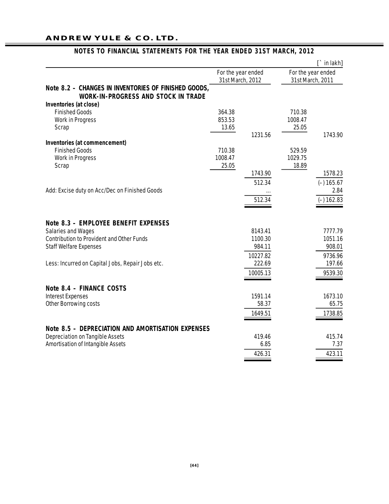## **ANDREW YULE & CO. LTD.**

|                                                                                                    |                                        |          |                  | $\Gamma$ in lakh]  |
|----------------------------------------------------------------------------------------------------|----------------------------------------|----------|------------------|--------------------|
|                                                                                                    | For the year ended<br>31st March, 2012 |          | 31st March, 2011 | For the year ended |
| Note 8.2 - CHANGES IN INVENTORIES OF FINISHED GOODS,<br><b>WORK-IN-PROGRESS AND STOCK IN TRADE</b> |                                        |          |                  |                    |
| Inventories (at close)                                                                             |                                        |          |                  |                    |
| <b>Finished Goods</b>                                                                              | 364.38                                 |          | 710.38           |                    |
| <b>Work in Progress</b>                                                                            | 853.53                                 |          | 1008.47          |                    |
| Scrap                                                                                              | 13.65                                  | 1231.56  | 25.05            |                    |
| Inventories (at commencement)                                                                      |                                        |          |                  | 1743.90            |
| <b>Finished Goods</b>                                                                              | 710.38                                 |          | 529.59           |                    |
| <b>Work in Progress</b>                                                                            | 1008.47                                |          | 1029.75          |                    |
| Scrap                                                                                              | 25.05                                  |          | 18.89            |                    |
|                                                                                                    |                                        | 1743.90  |                  | 1578.23            |
|                                                                                                    |                                        | 512.34   |                  | $(-) 165.67$       |
| Add: Excise duty on Acc/Dec on Finished Goods                                                      |                                        |          |                  | 2.84               |
|                                                                                                    |                                        | 512.34   |                  | $(-) 162.83$       |
|                                                                                                    |                                        |          |                  |                    |
| Note 8.3 - EMPLOYEE BENEFIT EXPENSES                                                               |                                        |          |                  |                    |
| <b>Salaries and Wages</b>                                                                          |                                        | 8143.41  |                  | 7777.79            |
| <b>Contribution to Provident and Other Funds</b>                                                   |                                        | 1100.30  |                  | 1051.16            |
| <b>Staff Welfare Expenses</b>                                                                      |                                        | 984.11   |                  | 908.01             |
|                                                                                                    |                                        | 10227.82 |                  | 9736.96            |
| Less: Incurred on Capital Jobs, Repair Jobs etc.                                                   |                                        | 222.69   |                  | 197.66             |
|                                                                                                    |                                        | 10005.13 |                  | 9539.30            |
| Note 8.4 - FINANCE COSTS                                                                           |                                        |          |                  |                    |
| <b>Interest Expenses</b>                                                                           |                                        | 1591.14  |                  | 1673.10            |
| Other Borrowing costs                                                                              |                                        | 58.37    |                  | 65.75              |
|                                                                                                    |                                        | 1649.51  |                  | 1738.85            |
|                                                                                                    |                                        |          |                  |                    |
| <b>Note 8.5 - DEPRECIATION AND AMORTISATION EXPENSES</b>                                           |                                        |          |                  |                    |
| <b>Depreciation on Tangible Assets</b>                                                             |                                        | 419.46   |                  | 415.74             |
| <b>Amortisation of Intangible Assets</b>                                                           |                                        | 6.85     |                  | 7.37               |
|                                                                                                    |                                        | 426.31   |                  | 423.11             |
|                                                                                                    |                                        |          |                  |                    |

## **NOTES TO FINANCIAL STATEMENTS FOR THE YEAR ENDED 31ST MARCH, 2012**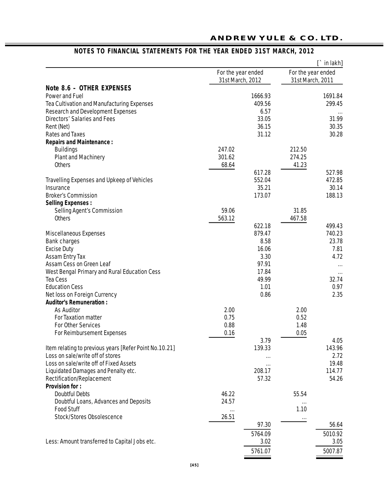|                                                        |                                        |         |                                        | $\Gamma$ in lakh] |
|--------------------------------------------------------|----------------------------------------|---------|----------------------------------------|-------------------|
|                                                        | For the year ended<br>31st March, 2012 |         | For the year ended<br>31st March, 2011 |                   |
| Note 8.6 - OTHER EXPENSES                              |                                        |         |                                        |                   |
| Power and Fuel                                         |                                        | 1666.93 |                                        | 1691.84           |
| Tea Cultivation and Manufacturing Expenses             |                                        | 409.56  |                                        | 299.45            |
| <b>Research and Development Expenses</b>               |                                        | 6.57    |                                        |                   |
| <b>Directors' Salaries and Fees</b>                    |                                        | 33.05   |                                        | 31.99             |
| Rent (Net)                                             |                                        | 36.15   |                                        | 30.35             |
| <b>Rates and Taxes</b>                                 |                                        | 31.12   |                                        | 30.28             |
| <b>Repairs and Maintenance:</b>                        |                                        |         |                                        |                   |
| <b>Buildings</b>                                       | 247.02                                 |         | 212.50                                 |                   |
| <b>Plant and Machinery</b>                             | 301.62                                 |         | 274.25                                 |                   |
| <b>Others</b>                                          | 68.64                                  |         | 41.23                                  |                   |
|                                                        |                                        | 617.28  |                                        | 527.98            |
| <b>Travelling Expenses and Upkeep of Vehicles</b>      |                                        | 552.04  |                                        | 472.85            |
| Insurance                                              |                                        | 35.21   |                                        | 30.14             |
| <b>Broker's Commission</b>                             |                                        | 173.07  |                                        | 188.13            |
| <b>Selling Expenses:</b>                               |                                        |         |                                        |                   |
| <b>Selling Agent's Commission</b>                      | 59.06                                  |         | 31.85                                  |                   |
| <b>Others</b>                                          | 563.12                                 |         | 467.58                                 |                   |
|                                                        |                                        | 622.18  |                                        | 499.43            |
| <b>Miscellaneous Expenses</b>                          |                                        | 879.47  |                                        | 740.23            |
| <b>Bank charges</b>                                    |                                        | 8.58    |                                        | 23.78             |
| <b>Excise Duty</b>                                     |                                        | 16.06   |                                        | 7.81              |
| <b>Assam Entry Tax</b>                                 |                                        | 3.30    |                                        | 4.72              |
| Assam Cess on Green Leaf                               |                                        | 97.91   |                                        |                   |
| West Bengal Primary and Rural Education Cess           |                                        | 17.84   |                                        |                   |
| <b>Tea Cess</b>                                        |                                        | 49.99   |                                        | 32.74             |
| <b>Education Cess</b>                                  |                                        | 1.01    |                                        | 0.97              |
| Net loss on Foreign Currency                           |                                        | 0.86    |                                        | 2.35              |
| <b>Auditor's Remuneration:</b>                         |                                        |         |                                        |                   |
| <b>As Auditor</b>                                      | 2.00                                   |         | 2.00                                   |                   |
| <b>For Taxation matter</b>                             | 0.75                                   |         | 0.52                                   |                   |
| <b>For Other Services</b>                              | 0.88                                   |         | 1.48                                   |                   |
| <b>For Reimbursement Expenses</b>                      | 0.16                                   |         | 0.05                                   |                   |
|                                                        |                                        | 3.79    |                                        | 4.05              |
| Item relating to previous years [Refer Point No.10.21] |                                        | 139.33  |                                        | 143.96            |
| Loss on sale/write off of stores                       |                                        |         |                                        | 2.72              |
| Loss on sale/write off of Fixed Assets                 |                                        |         |                                        | 19.48             |
| Liquidated Damages and Penalty etc.                    |                                        | 208.17  |                                        | 114.77            |
| Rectification/Replacement                              |                                        | 57.32   |                                        | 54.26             |
| <b>Provision for:</b>                                  |                                        |         |                                        |                   |
| <b>Doubtful Debts</b>                                  | 46.22                                  |         | 55.54                                  |                   |
| Doubtful Loans, Advances and Deposits                  | 24.57                                  |         |                                        |                   |
| <b>Food Stuff</b>                                      |                                        |         | 1.10                                   |                   |
| <b>Stock/Stores Obsolescence</b>                       | 26.51                                  |         |                                        |                   |
|                                                        |                                        | 97.30   |                                        | 56.64             |
|                                                        |                                        | 5764.09 |                                        | 5010.92           |
| Less: Amount transferred to Capital Jobs etc.          |                                        | 3.02    |                                        | 3.05              |
|                                                        |                                        |         |                                        |                   |
|                                                        |                                        | 5761.07 |                                        | 5007.87           |

## **NOTES TO FINANCIAL STATEMENTS FOR THE YEAR ENDED 31ST MARCH, 2012**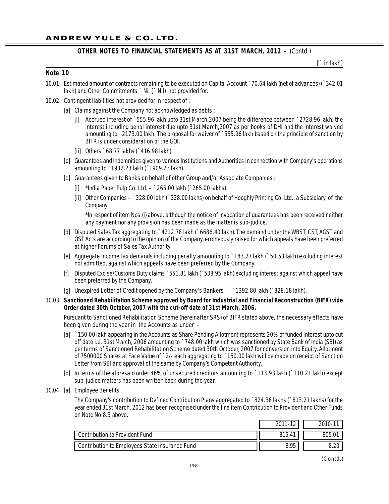**[**` in lakh**]**

#### **Note 10**

- 10.01 Estimated amount of contracts remaining to be executed on Capital Account `70.64 lakh (net of advances) (`342.01 lakh) and Other Commitments ` Nil (` Nil) not provided for.
- 10.02 Contingent liabilities not provided for in respect of :
	- [a] Claims against the Company not acknowledged as debts :
		- [i] Accrued interest of `555.96 lakh upto 31st March,2007 being the difference between `2728.96 lakh, the interest including penal interest due upto 31st March,2007 as per books of DHI and the interest waived amounting to `2173.00 lakh. The proposal for waiver of `555.96 lakh based on the principle of sanction by BIFR is under consideration of the GOI.
		- [ii] Others `68.77 lakhs (`416.98 lakh)
	- [b] Guarantees and Indemnities given to various Institutions and Authorities in connection with Company's operations amounting to `1932.23 lakh (`1909.23 lakh).
	- [c] Guarantees given to Banks on behalf of other Group and/or Associate Companies :
		- [i] \*India Paper Pulp Co. Ltd. `265.00 lakh (`265.00 lakhs).
		- [ii] Other Companies `328.00 lakh (`328.00 lakhs) on behalf of Hooghly Printing Co. Ltd., a Subsidiary of the Company.

\*In respect of item Nos.(i) above, although the notice of invocation of guarantees has been received neither any payment nor any provision has been made as the matter is sub-judice.

- [d] Disputed Sales Tax aggregating to `4212.78 lakh (`6686.40 lakh). The demand under the WBST, CST, AGST and OST Acts are according to the opinion of the Company, erroneously raised for which appeals have been preferred at higher Forums of Sales Tax Authority.
- [e] Aggregate Income Tax demands including penalty amounting to `183.27 lakh (`50.53 lakh) excluding interest not admitted, against which appeals have been preferred by the Company.
- [f] Disputed Excise/Customs Duty claims `551.81 lakh (`538.95 lakh) excluding interest against which appeal have been preferred by the Company.
- [g] Unexpired Letter of Credit opened by the Company's Bankers `1392.80 lakh (`828.18 lakh).

#### 10.03 **Sanctioned Rehabilitation Scheme approved by Board for Industrial and Financial Reconstruction (BIFR) vide Order dated 30th October, 2007 with the cut-off date of 31st March, 2006.**

Pursuant to Sanctioned Rehabilitation Scheme (hereinafter SRS) of BIFR stated above, the necessary effects have been given during the year in the Accounts as under :–

- [a] `150.00 lakh appearing in the Accounts as Share Pending Allotment represents 20% of funded interest upto cut off date i.e. 31st March, 2006 amounting to `748.00 lakh which was sanctioned by State Bank of India (SBI) as per terms of Sanctioned Rehabilitation Scheme dated 30th October, 2007 for conversion into Equity. Allotment of 7500000 Shares at Face Value of `2/- each aggregating to `150.00 lakh will be made on receipt of Sanction Letter from SBI and approval of the same by Company's Competent Authority.
- [b] In terms of the aforesaid order 46% of unsecured creditors amounting to `113.93 lakh (`110.21 lakh) except sub-judice matters has been written back during the year.
- 10.04 [a] Employee Benefits

The Company's contribution to Defined Contribution Plans aggregated to `824.36 lakhs (`813.21 lakhs) for the year ended 31st March, 2012 has been recognised under the line item Contribution to Provident and Other Funds on Note No.8.3 above.

|                                                       | 2011-12 | 2010-11 |
|-------------------------------------------------------|---------|---------|
| <b>Contribution to Provident Fund</b>                 | 815.41  | 805.01  |
| <b>Contribution to Employees State Insurance Fund</b> | 8.95    | 8.20    |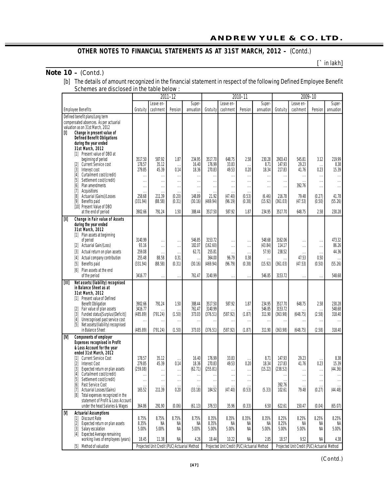## **Note 10 –** *(Contd.)*

**[**` in lakh**]**

| [b] The details of amount recognized in the financial statement in respect of the following Defined Employee Benefit |
|----------------------------------------------------------------------------------------------------------------------|
| Schemes are disclosed in the table below :                                                                           |

|                                                                                                                                                                                                                                                                                                                             |                                                          |                                                       | 2011-12                                               |                                                               |                                                                                                     |                                                      | 2010-11                                                 |                                                             |                                                          |                                                            | 2009-10                                                |                                                             |
|-----------------------------------------------------------------------------------------------------------------------------------------------------------------------------------------------------------------------------------------------------------------------------------------------------------------------------|----------------------------------------------------------|-------------------------------------------------------|-------------------------------------------------------|---------------------------------------------------------------|-----------------------------------------------------------------------------------------------------|------------------------------------------------------|---------------------------------------------------------|-------------------------------------------------------------|----------------------------------------------------------|------------------------------------------------------------|--------------------------------------------------------|-------------------------------------------------------------|
|                                                                                                                                                                                                                                                                                                                             |                                                          | Leave en-                                             |                                                       | Super-                                                        |                                                                                                     | Leave en-                                            |                                                         | Super-                                                      |                                                          | Leave en-                                                  |                                                        | Super-                                                      |
| <b>Employee Benefits</b>                                                                                                                                                                                                                                                                                                    | Gratuity                                                 | cashment                                              | Pension                                               | annuation                                                     | Gratuity                                                                                            | cashment                                             | Pension                                                 | annuation                                                   | Gratuity                                                 | cashment                                                   | Pension                                                | annuation                                                   |
| Defined benefit plans/Long term<br>compensated absences. As per actuarial<br>valuation as on 31st March, 2012<br>[I]<br>Change in present value of<br><b>Defined Benefit Obligations</b><br>during the year ended                                                                                                           |                                                          |                                                       |                                                       |                                                               |                                                                                                     |                                                      |                                                         |                                                             |                                                          |                                                            |                                                        |                                                             |
| 31st March, 2012<br>[1] Present value of DBO at<br>beginning of period<br><b>Current Service cost</b><br> 2 <br>$[3]$<br>Interest cost<br>Curtailment cost/(credit)<br>$[4]$<br>Settlement cost/(credit)<br>[5]<br>Plan amendments<br>[6]                                                                                   | 3517.50<br>178.57<br>279.85<br>$\cdots$<br>$\cdots$<br>. | 587.92<br>35.12<br>45.39<br>$\cdots$<br>$\ddotsc$<br> | 1.87<br>$\cdots$<br>0.14<br>$\cdots$<br>$\cdots$<br>. | 234.95<br>16.40<br>18.36<br>$\ddotsc$<br>$\cdots$<br>$\cdots$ | 3517.70<br>176.99<br>270.83<br>$\ddot{\phantom{a}}$<br>$\ddot{\phantom{a}}$<br>$\ddot{\phantom{0}}$ | 648.75<br>33.83<br>49.53<br>$\cdots$<br>$\cdots$<br> | 2.58<br>$\ddotsc$<br>0.20<br><br>$\ddotsc$<br>          | 230.28<br>8.71<br>18.34<br>$\cdots$<br>$\cdot$<br>$\ddotsc$ | 2903.43<br>147.93<br>217.83<br>$\cdots$<br>$\cdots$<br>. | 545.81<br>29.23<br>41.76<br>$\cdots$<br>$\cdots$<br>392.76 | 3.12<br>$\cdots$<br>0.23<br>$\ddotsc$<br>$\cdots$<br>. | 219.99<br>8.38<br>15.39<br>$\cdots$<br>$\cdots$<br>$\cdots$ |
| Acquisitions<br>[7]<br>Actuarial (Gains)/Losses<br>[8]<br>Benefits paid<br>[9]<br>[10] Present Value of DBO                                                                                                                                                                                                                 | $\cdots$<br>258.68<br>(331.94)                           | $\cdots$<br>211.39<br>(88.58)                         | $\cdots$<br>(0.20)<br>(0.31)                          | $\ddotsc$<br>148.89<br>(30.16)                                | $\ddot{\phantom{0}}$<br>21.92<br>(469.94)                                                           | $\cdots$<br>(47.40)<br>(96.19)                       | $\ddot{\phantom{a}}$<br>(0.53)<br>(0.38)                | (6.46)<br>(15.92)                                           | 216.78<br>(361.03)                                       | 79.48<br>(47.53)                                           | (0.27)<br>(0.50)                                       | 41.78<br>(55.26)                                            |
| at the end of period                                                                                                                                                                                                                                                                                                        | 3902.66                                                  | 791.24                                                | 1.50                                                  | 388.44                                                        | 3517.50                                                                                             | 587.92                                               | 1.87                                                    | 234.95                                                      | 3517.70                                                  | 648.75                                                     | 2.58                                                   | 230.28                                                      |
| [II]<br>Change in Fair value of Assets<br>during the year ended<br>31st March, 2012<br>[1] Plan assets at beginning<br>of period<br>[2] Actuarial Gain/(Loss)                                                                                                                                                               | 3140.99<br>93.16                                         | $\cdots$<br>$\ddotsc$                                 | $\cdots$<br>$\cdots$                                  | 546.85<br>182.07                                              | 3153.72<br>(162.60)                                                                                 | $\cdots$<br>$\cdots$                                 | <br>$\ddotsc$                                           | 548.68<br>(43.84)                                           | 3162.06<br>114.17                                        | $\cdots$<br>$\cdots$                                       | $\cdots$<br>$\cdots$                                   | 473.32<br>86.26                                             |
| Actual return on plan assets<br>$[3]$                                                                                                                                                                                                                                                                                       | 259.08                                                   |                                                       | $\cdots$                                              | 62.71                                                         | 255.81                                                                                              | $\cdots$                                             | $\ddotsc$                                               | 57.93                                                       | 238.52                                                   | $\cdots$                                                   | $\ddots$                                               | 44.36                                                       |
| Actual company contribution<br>$[4]$                                                                                                                                                                                                                                                                                        | 255.48                                                   | 88.58                                                 | 0.31                                                  | $\cdots$                                                      | 364.00                                                                                              | 96.79                                                | 0.38                                                    | $\cdots$                                                    |                                                          | 47.53                                                      | 0.50                                                   | .                                                           |
| Benefits paid<br>$[5]$                                                                                                                                                                                                                                                                                                      | (331.94)                                                 | (88.58)                                               | (0.31)                                                | (30.16)                                                       | (469.94)                                                                                            | (96.79)                                              | (0.38)                                                  | (15.92)                                                     | (361.03)                                                 | (47.53)                                                    | (0.50)                                                 | (55.26)                                                     |
| Plan assets at the end<br>[6]<br>of the period                                                                                                                                                                                                                                                                              | 3416.77                                                  | $\ddotsc$                                             |                                                       | 761.47                                                        | 3140.99                                                                                             |                                                      |                                                         | 546.85                                                      | 3153.72                                                  | $\cdots$                                                   | $\cdots$                                               | 548.68                                                      |
| [III]<br>Net assets/(liability) recognised<br>in Balance Sheet as at<br>31st March, 2012<br>[1] Present value of Defined<br><b>Benefit Obligation</b><br>Fair value of plan assets<br>121<br>Funded status[Surplus/(Deficit)]<br>$[3]$<br>Unrecognised past service cost<br>[4]<br>[5]<br>Net assets/(liability) recognised | 3902.66<br>3416.77<br>(485.89)<br>$\cdots$               | 791.24<br>(791.24)<br>$\ddotsc$                       | 1.50<br>(1.50)<br>$\cdots$                            | 388.44<br>761.47<br>373.03<br>$\ddot{\phantom{a}}$            | 3517.50<br>3140.99<br>(376.51)<br>$\ddot{\phantom{a}}$                                              | 587.92<br>(587.92)<br>$\cdots$                       | 1.87<br>(1.87)<br>$\ddot{\phantom{a}}$                  | 234.95<br>546.85<br>311.90<br>$\ddotsc$                     | 3517.70<br>3153.72<br>(363.98)<br>$\cdots$               | 648.75<br>(648.75)<br>$\cdots$                             | 2.58<br>$\cdots$<br>(2.58)<br>                         | 230.28<br>548.68<br>318.40<br>$\cdots$                      |
| in Balance Sheet                                                                                                                                                                                                                                                                                                            | (485.89)                                                 | (791.24)                                              | (1.50)                                                | 373.03                                                        | (376.51)                                                                                            | (587.92)                                             | (1.87)                                                  | 311.90                                                      | (363.98)                                                 | (648.75)                                                   | (2.58)                                                 | 318.40                                                      |
| [IV]<br><b>Components of employer</b><br><b>Expenses recognised in Profit</b><br>& Loss Account for the year<br>ended 31st March, 2012<br><b>Current Service Cost</b><br>$[1]$<br><b>Interest Cost</b><br>$\lceil 2 \rceil$<br>Expected return on plan assets<br>$[3]$                                                      | 178.57<br>279.85<br>(259.08)                             | 35.12<br>45.39<br>                                    | 0.14<br>.                                             | 16.40<br>18.36<br>(62.71)                                     | 176.99<br>270.83<br>(255.81)                                                                        | 33.83<br>49.53<br>                                   | 0.20<br>                                                | 8.71<br>18.34<br>(15.22)                                    | 147.93<br>217.83<br>(238.52)                             | 29.23<br>41.76<br>$\cdots$                                 | 0.23<br>$\cdots$                                       | 8.38<br>15.39<br>(44.36)                                    |
| Curtailment cost/(credit)<br>$[4]$<br>[5] Settlement cost/(credit)<br>Past Service Cost<br>[6]<br>Actuarial Losses/(Gains)<br>$[7]$<br>Total expenses recognized in the<br>[8]<br>statement of Profit & Loss Account                                                                                                        | $\cdots$<br><br>$\cdots$<br>165.52                       | $\cdots$<br>$\cdots$<br>$\cdots$<br>211.39            | $\cdots$<br>$\cdots$<br>.<br>0.20                     | $\ddotsc$<br>$\ddotsc$<br>$\ddotsc$<br>(33.18)                | $\ddot{\phantom{a}}$<br>$\ddot{\phantom{0}}$<br>$\ddot{\phantom{a}}$<br>184.52                      | $\cdots$<br>$\cdots$<br>$\cdots$<br>(47.40)          | $\cdots$<br>$\ddotsc$<br>$\ddot{\phantom{0}}$<br>(0.53) | (5.33)                                                      | $\cdots$<br>$\cdots$<br>392.76<br>102.61                 | $\cdots$<br>$\cdots$<br>$\cdots$<br>79.48                  | $\cdots$<br>$\cdots$<br>$\ddots$<br>(0.27)             | $\cdots$<br>$\cdots$<br>$\cdots$<br>(44.48)                 |
| under the head Salaries & Wages                                                                                                                                                                                                                                                                                             | 364.86                                                   | 291.90                                                | (0.06)                                                | (61.13)                                                       | 376.53                                                                                              | 35.96                                                | (0.33)                                                  | 6.50                                                        | 622.61                                                   | 150.47                                                     | (0.04)                                                 | (65.07)                                                     |
| $[V]$<br><b>Actuarial Assumptions</b><br><b>Discount Rate</b><br>$\lceil 1 \rceil$<br>Expected return on plan assets<br>$\left[ 2 \right]$<br>[3] Salary escalation<br>[4] Expected Average remaining                                                                                                                       | 8.75%<br>8.35%<br>5.00%                                  | 8.75%<br>NA<br>5.00%                                  | 8.75%<br>NA<br>NA                                     | 8.75%<br>NA<br>5.00%                                          | 8.35%<br>8.35%<br>5.00%                                                                             | 8.35%<br>NA<br>5.00%                                 | 8.35%<br>NA<br>NA                                       | 8.35%<br>NA<br>5.00%                                        | 8.25%<br>8.25%<br>5.00%                                  | 8.25%<br>NA<br>5.00%                                       | 8.25%<br>NA<br>NA                                      | 8.25%<br>NA<br>5.00%                                        |
| working lives of employees (years)                                                                                                                                                                                                                                                                                          | 18.45                                                    | 11.38                                                 | NA                                                    | 4.26                                                          | 18.44                                                                                               | 10.22                                                | NA                                                      | 2.85                                                        | 18.57                                                    | 9.52                                                       | NA                                                     | 4.38                                                        |
| Method of valuation<br>$\lceil 5 \rceil$                                                                                                                                                                                                                                                                                    |                                                          | Projected Unit Credit (PUC) Actuarial Method          |                                                       |                                                               |                                                                                                     | Projected Unit Credit (PUC) Actuarial Method         |                                                         |                                                             |                                                          | Projected Unit Credit (PUC) Actuarial Method               |                                                        |                                                             |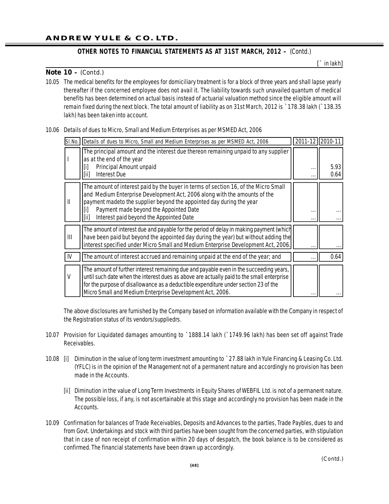**[**` in lakh**]**

#### **Note 10 –** *(Contd.)*

10.05 The medical benefits for the employees for domiciliary treatment is for a block of three years and shall lapse yearly thereafter if the concerned employee does not avail it. The liability towards such unavailed quantum of medical benefits has been determined on actual basis instead of actuarial valuation method since the eligible amount will remain fixed during the next block. The total amount of liability as on 31st March, 2012 is `178.38 lakh (`138.35 lakh) has been taken into account.

#### 10.06 Details of dues to Micro, Small and Medium Enterprises as per MSMED Act, 2006

| SI.No. | Details of dues to Micro, Small and Medium Enterprises as per MSMED Act, 2006                                                                                                                                                                                                                                                          | 2011-12              | 2010-11 |
|--------|----------------------------------------------------------------------------------------------------------------------------------------------------------------------------------------------------------------------------------------------------------------------------------------------------------------------------------------|----------------------|---------|
|        | The principal amount and the interest due thereon remaining unpaid to any supplier<br>as at the end of the year                                                                                                                                                                                                                        |                      |         |
|        | Principal Amount unpaid<br>[i]                                                                                                                                                                                                                                                                                                         |                      | 5.93    |
|        | <b>Interest Due</b><br>  [ii]                                                                                                                                                                                                                                                                                                          |                      | 0.64    |
| Ш      | The amount of interest paid by the buyer in terms of section 16, of the Micro Small<br>and Medium Enterprise Development Act, 2006 along with the amounts of the<br>payment madeto the supplier beyond the appointed day during the year                                                                                               |                      |         |
|        | Payment made beyond the Appointed Date<br> [i]                                                                                                                                                                                                                                                                                         |                      |         |
|        | Interest paid beyond the Appointed Date<br>[ii]                                                                                                                                                                                                                                                                                        | $\cdot$ .            |         |
| Ш      | The amount of interest due and payable for the period of delay in making payment (which<br>have been paid but beyond the appointed day during the year) but without adding the<br>Interest specified under Micro Small and Medium Enterprise Development Act, 2006.                                                                    |                      |         |
|        |                                                                                                                                                                                                                                                                                                                                        |                      |         |
| IV     | The amount of interest accrued and remaining unpaid at the end of the year; and                                                                                                                                                                                                                                                        | $\ddot{\phantom{a}}$ | 0.64    |
| V      | The amount of further interest remaining due and payable even in the succeeding years,<br>until such date when the interest dues as above are actually paid to the small enterprise<br>for the purpose of disallowance as a deductible expenditure under section 23 of the<br>Micro Small and Medium Enterprise Development Act, 2006. |                      |         |

The above disclosures are furnished by the Company based on information available with the Company in respect of the Registration status of its vendors/suppliedrs.

- 10.07 Provision for Liquidated damages amounting to `1888.14 lakh (`1749.96 lakh) has been set off against Trade Receivables.
- 10.08 [i] Diminution in the value of long term investment amounting to `27.88 lakh in Yule Financing & Leasing Co. Ltd. (YFLC) is in the opinion of the Management not of a permanent nature and accordingly no provision has been made in the Accounts.
	- [ii] Diminution in the value of Long Term Investments in Equity Shares of WEBFIL Ltd. is not of a permanent nature. The possible loss, if any, is not ascertainable at this stage and accordingly no provision has been made in the Accounts.
- 10.09 Confirmation for balances of Trade Receivables, Deposits and Advances to the parties, Trade Paybles, dues to and from Govt. Undertakings and stock with third parties have been sought from the concerned parties, with stipulation that in case of non receipt of confirmation within 20 days of despatch, the book balance is to be considered as confirmed. The financial statements have been drawn up accordingly.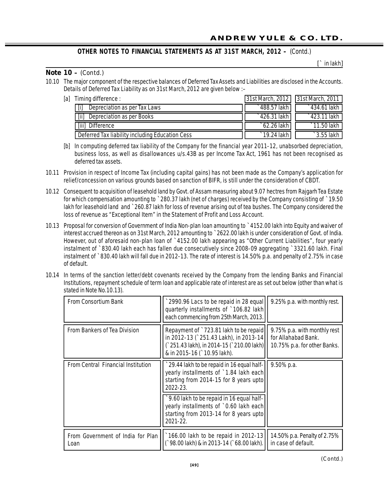**[**` in lakh**]**

#### **OTHER NOTES TO FINANCIAL STATEMENTS AS AT 31ST MARCH, 2012 –** *(Contd.)*

#### **Note 10 –** *(Contd.)*

10.10 The major component of the respective balances of Deferred Tax Assets and Liabilities are disclosed in the Accounts. Details of Deferred Tax Liability as on 31st March, 2012 are given below :–

| [a] | Timing difference :                               | 31st March, 2012   31st March, 2011 |                       |
|-----|---------------------------------------------------|-------------------------------------|-----------------------|
|     | $\lceil i \rceil$<br>Depreciation as per Tax Laws | ` 488.57 lakh                       | $\degree$ 434.61 lakh |
|     | [iii]<br>Depreciation as per Books                | $\degree$ 426.31 lakh               | `423.11 lakh          |
|     | $\left[$ iii $\right]$<br>. Difference            | `62.26 lakh                         | `11.50 lakh           |
|     | Deferred Tax liability including Education Cess   | `19.24 lakh                         | $\hat{ }$ 3.55 lakh   |

[b] In computing deferred tax liability of the Company for the financial year 2011-12, unabsorbed depreciation, business loss, as well as disallowances u/s.43B as per Income Tax Act, 1961 has not been recognised as deferred tax assets.

10.11 Provision in respect of Income Tax (including capital gains) has not been made as the Company's application for relief/concession on various grounds based on sanction of BIFR, is still under the consideration of CBDT.

- 10.12 Consequent to acquisition of leasehold land by Govt. of Assam measuring about 9.07 hectres from Rajgarh Tea Estate for which compensation amounting to `280.37 lakh (net of charges) received by the Company consisting of `19.50 lakh for leasehold land and `260.87 lakh for loss of revenue arising out of tea bushes. The Company considered the loss of revenue as "Exceptional Item" in the Statement of Profit and Loss Account.
- 10.13 Proposal for conversion of Government of India Non-plan loan amounting to `4152.00 lakh into Equity and waiver of interest accrued thereon as on 31st March, 2012 amounting to `2622.00 lakh is under consideration of Govt. of India. However, out of aforesaid non-plan loan of `4152.00 lakh appearing as "Other Current Liabilities", four yearly instalment of `830.40 lakh each has fallen due consecutively since 2008-09 aggregating `3321.60 lakh. Final instalment of `830.40 lakh will fall due in 2012-13. The rate of interest is 14.50% p.a. and penalty of 2.75% in case of default.
- 10.14 In terms of the sanction letter/debt covenants received by the Company from the lending Banks and Financial Institutions, repayment schedule of term loan and applicable rate of interest are as set out below (other than what is stated in Note No.10.13).

| <b>From Consortium Bank</b>               | 2990.96 Lacs to be repaid in 28 equal<br>quarterly installments of `106.82 lakh<br>each commencing from 25th March, 2013.                                   | 9.25% p.a. with monthly rest.                                                       |
|-------------------------------------------|-------------------------------------------------------------------------------------------------------------------------------------------------------------|-------------------------------------------------------------------------------------|
| <b>From Bankers of Tea Division</b>       | Repayment of `723.81 lakh to be repaid<br>in 2012-13 (`251.43 Lakh), in 2013-14<br>(`251.43 lakh), in 2014-15 (`210.00 lakh)<br>& in 2015-16 (`10.95 lakh). | 9.75% p.a. with monthly rest<br>for Allahabad Bank.<br>10.75% p.a. for other Banks. |
| <b>From Central Financial Institution</b> | 29.44 lakh to be repaid in 16 equal half-<br>yearly installments of `1.84 lakh each<br>starting from 2014-15 for 8 years upto<br>$2022 - 23$                | $9.50\%$ p.a.                                                                       |
|                                           | 9.60 lakh to be repaid in 16 equal half-<br>yearly installments of `0.60 lakh each<br>starting from 2013-14 for 8 years upto<br>$2021 - 22$ .               |                                                                                     |
| From Government of India for Plan<br>Loan | 166.00 lakh to be repaid in 2012-13<br>( 98.00 lakh) & in 2013-14 ( 68.00 lakh).                                                                            | 14.50% p.a. Penalty of 2.75%<br>in case of default.                                 |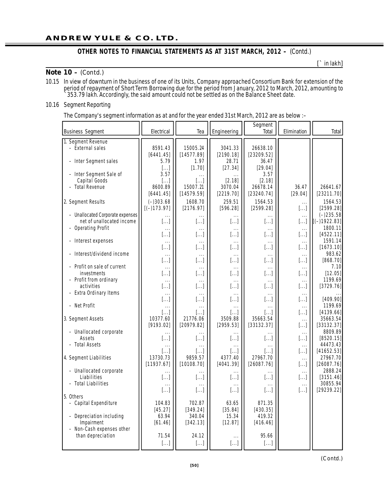#### **Note 10 –** *(Contd.)*

**[**` in lakh**]**

10.15 In view of downturn in the business of one of its Units, Company approached Consortium Bank for extension of the period of repayment of Short Term Borrowing due for the period from January, 2012 to March, 2012, amounting to `353.79 lakh. Accordingly, the said amount could not be settled as on the Balance Sheet date.

#### 10.16 Segment Reporting

The Company's segment information as at and for the year ended 31st March, 2012 are as below :–

| <b>Business Segment</b>          | Electrical            | Tea        | Engineering              | Segment<br>Total      | Elimination  | Total         |
|----------------------------------|-----------------------|------------|--------------------------|-----------------------|--------------|---------------|
| 1. Segment Revenue               |                       |            |                          |                       |              |               |
| - External sales                 | 8591.43               | 15005.24   | 3041.33                  | 26638.10              |              |               |
|                                  | [6441.45]             | [14577.89] | [2190.18]                | [23209.52]            |              |               |
|                                  | 5.79                  | 1.97       | 28.71                    | 36.47                 |              |               |
| - Inter Segment sales            |                       |            |                          | [29.04]               |              |               |
| - Inter Segment Sale of          | []                    | [1.70]     | [27.34]                  |                       |              |               |
| Capital Goods                    | 3.57                  | .          |                          | 3.57                  |              |               |
| - Total Revenue                  | $[]$                  | $[]$       | [2.18]                   | [2.18]                |              |               |
|                                  | 8600.89               | 15007.21   | 3070.04                  | 26678.14              | 36.47        | 26641.67      |
|                                  | [6441.45]             | [14579.59] | [2219.70]                | [23240.74]            | [29.04]      | [23211.70]    |
| 2. Segment Results               | $(-)303.68$           | 1608.70    | 259.51                   | 1564.53               |              | 1564.53       |
|                                  | $[(-)173.97]$         | [2176.97]  | [596.28]                 | [2599.28]             | $[]$         | [2599.28]     |
| - Unallocated Corporate expenses |                       |            |                          |                       | .            | $(-)235.58$   |
| net of unallocated income        | $[]$                  | $[]$       | $[]$                     | $[]$                  | []           | $[(-1922.83]$ |
| - Operating Profit               | $\cdots$              | .          | $\cdots$                 | $\cdots$              | $\cdots$     | 1800.11       |
|                                  | $[]$                  | $[\ldots]$ | $[ \ldots ]$             | $[]$                  | $[ \ldots ]$ | [4522.11]     |
| - Interest expenses              | $\cdots$              | .          | $\cdots$                 | $\cdots$              | $\cdots$     | 1591.14       |
|                                  | $\left[\ldots\right]$ | $[]$       | $[\dots]$                | $[]$                  | $[\dots]$    | [1673.10]     |
| - Interest/dividend income       | $\cdots$              | $\cdots$   | $\ldots$                 | $\cdots$              | $\cdots$     | 983.62        |
|                                  | $[]$                  | $[]$       | $[]$                     | $[]$                  | []           | [868.70]      |
| - Profit on sale of current      | $\ldots$              | $\cdots$   | $\ldots$                 | $\cdots$              | $\cdots$     | 7.10          |
| investments                      | $[]$                  | $[]$       | $[]$                     | $[]$                  | $[\dots]$    | [12.05]       |
| - Profit from ordinary           | $\ldots$              | $\cdots$   | $\ldots$                 | $\cdots$              | $\cdots$     | 1199.69       |
| activities                       | $[]$                  | $[]$       | []                       | $[]$                  | []           | [3729.76]     |
| - Extra Ordinary Items           | $\cdots$              | $\cdots$   | $\cdots$                 | $\cdots$              | $\cdots$     |               |
|                                  | $[]$                  | $[]$       | $[]$                     | $[]$                  | $[]$         | [409.90]      |
| - Net Profit                     | $\cdots$              | $\cdots$   | $\cdots$                 | $\cdots$              | $\cdots$     | 1199.69       |
|                                  | []                    | $[\dots]$  | $[\dots]$                | []                    | $[]$         | [4139.66]     |
| 3. Segment Assets                | 10377.60              | 21776.06   | 3509.88                  | 35663.54              | $\cdots$     | 35663.54      |
|                                  | [9193.02]             | [20979.82] | [2959.53]                | [33132.37]            | $[]$         | [33132.37]    |
| - Unallocated corporate          | $\cdots$              | $\cdots$   | $\cdots$                 | $\cdots$              | $\cdots$     | 8809.89       |
| Assets                           | $[]$                  | $[]$       | $[]$                     | $[]$                  | $[]$         | [8520.15]     |
| - Total Assets                   | $\cdots$              | .          | $\cdots$                 | $\cdots$              | $\cdots$     | 44473.43      |
|                                  | $[]$                  | []         | []                       | $\left[\ldots\right]$ | $[ \ldots ]$ | [41652.53]    |
| 4. Segment Liabilities           | 13730.73              | 9859.57    | 4377.40                  | 27967.70              | $\cdots$     | 27967.70      |
|                                  | [11937.67]            | [10108.70] | [4041.39]                | [26087.76]            | $[ \ldots ]$ | [26087.76]    |
| - Unallocated corporate          | $\cdots$              |            |                          |                       | $\cdots$     | 2888.24       |
| Liabilities                      | $[]$                  | $[]$       | $[]$                     | $[]$                  | $[ \ldots ]$ | [3151.46]     |
| - Total Liabilities              | $\cdots$              | .          | $\cdots$                 | $\cdots$              | $\ldots$     | 30855.94      |
|                                  | $[]$                  | $[]$       | $[]$                     | $[]$                  | $[\ldots]$   | [29239.22]    |
| 5. Others                        |                       |            |                          |                       |              |               |
| - Capital Expenditure            | 104.83                | 702.87     | 63.65                    | 871.35                |              |               |
|                                  | [45.27]               | [349.24]   | [35.84]                  | [430.35]              |              |               |
| - Depreciation including         | 63.94                 | 340.04     | 15.34                    | 419.32                |              |               |
| <i>impairment</i>                | [61.46]               | [342.13]   | [12.87]                  | [416.46]              |              |               |
| - Non-Cash expenses other        |                       |            |                          |                       |              |               |
| than depreciation                | 71.54                 | 24.12      |                          | 95.66                 |              |               |
|                                  |                       |            | $\cdots$<br>$[ \ldots ]$ |                       |              |               |
|                                  | $[]$                  | []         |                          | []                    |              |               |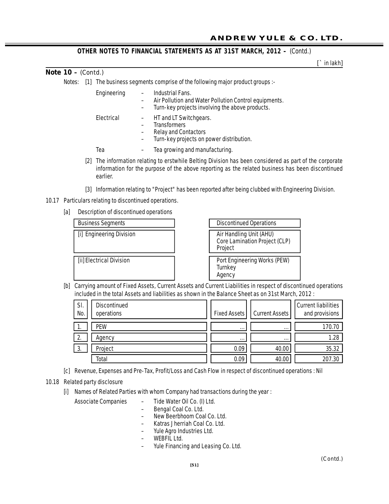## **Note 10 –** *(Contd.)*

Notes: [1] The business segments comprise of the following major product groups :-

| Engineering | Industrial Fans.<br>Air Pollution and Water Pollution Control equipments.<br>Turn-key projects involving the above products. |
|-------------|------------------------------------------------------------------------------------------------------------------------------|
| Electrical  | HT and LT Switchgears.<br><b>Transformers</b><br><b>Relay and Contactors</b><br>Turn-key projects on power distribution.     |
| Tea         | Tea growing and manufacturing.                                                                                               |

- [2] The information relating to erstwhile Belting Division has been considered as part of the corporate information for the purpose of the above reporting as the related business has been discontinued earlier.
- [3] Information relating to "Project" has been reported after being clubbed with Engineering Division.
- 10.17 Particulars relating to discontinued operations.
	- [a] Description of discontinued operations



[b] Carrying amount of Fixed Assets, Current Assets and Current Liabilities in respect of discontinued operations included in the total Assets and liabilities as shown in the Balance Sheet as on 31st March, 2012 :

| SI.<br>No.       | <b>Discontinued</b><br>operations | <b>Fixed Assets</b> | Current Assets | <b>Current liabilities</b><br>and provisions |
|------------------|-----------------------------------|---------------------|----------------|----------------------------------------------|
| .                | PEW                               | $\cdots$            | $\cdots$       | 170.70                                       |
| $\overline{2}$ . | Agency                            | $\cdots$            | $\cdots$       | 1.28                                         |
| 3.               | Project                           | 0.09                | 40.00          | 35.32                                        |
|                  | Total                             | 0.09                | 40.00          | 207.30                                       |

- [c] Revenue, Expenses and Pre-Tax, Profit/Loss and Cash Flow in respect of discontinued operations : Nil
- 10.18 Related party disclosure
	- [i] Names of Related Parties with whom Company had transactions during the year :

Associate Companies – Tide Water Oil Co. (I) Ltd.

- 
- Bengal Coal Co. Ltd.
- New Beerbhoom Coal Co. Ltd.
- Katras Jherriah Coal Co. Ltd.
- Yule Agro Industries Ltd.
- WEBFIL Ltd.
- Yule Financing and Leasing Co. Ltd.

**[**` in lakh**]**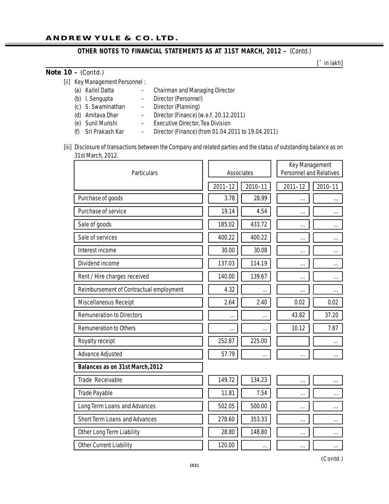**[**` in lakh**]**

#### **Note 10 –** *(Contd.)*

| [ii] Key Management Personnel : |  |
|---------------------------------|--|
|---------------------------------|--|

- (a) Kallol Datta Chairman and Managing Director
- (b) I. Sengupta Director (Personnel)
- (c) S. Swaminathan Director (Planning)
- (d) Amitava Dhar Director (Finance) (w.e.f. 20.12.2011)
- (e) Sunil Munshi Executive Director, Tea Division
- (f) Sri Prakash Kar Director (Finance) (from 01.04.2011 to 19.04.2011)
- [iii] Disclosure of transactions between the Company and related parties and the status of outstanding balance as on 31st March, 2012.

| <b>Particulars</b>                      |             | <b>Associates</b> |             | Key Management<br><b>Personnel and Relatives</b> |
|-----------------------------------------|-------------|-------------------|-------------|--------------------------------------------------|
|                                         | $2011 - 12$ | 2010-11           | $2011 - 12$ | 2010-11                                          |
| Purchase of goods                       | 3.78        | 28.99             |             |                                                  |
| Purchase of service                     | 19.14       | 4.54              |             | $\cdots$                                         |
| Sale of goods                           | 185.02      | 433.72            |             |                                                  |
| Sale of services                        | 400.22      | 400.22            |             |                                                  |
| Interest income                         | 30.00       | 30.08             |             |                                                  |
| Dividend income                         | 137.03      | 114.19            |             |                                                  |
| Rent / Hire charges received            | 140.00      | 139.67            |             |                                                  |
| Reimbursement of Contractual employment | 4.32        |                   |             |                                                  |
| Miscellaneous Receipt                   | 2.64        | 2.40              | 0.02        | 0.02                                             |
| <b>Remuneration to Directors</b>        | $\cdots$    | $\cdots$          | 43.82       | 37.20                                            |
| <b>Remuneration to Others</b>           |             |                   | 10.12       | 7.87                                             |
| Royalty receipt                         | 252.87      | 225.00            |             |                                                  |
| <b>Advance Adjusted</b>                 | 57.79       | $\cdots$          |             |                                                  |
| Balances as on 31st March, 2012         |             |                   |             |                                                  |
| Trade Receivable                        | 149.72      | 134.23            |             |                                                  |
| <b>Trade Payable</b>                    | 11.81       | 7.54              |             |                                                  |
| <b>Long Term Loans and Advances</b>     | 502.05      | 500.00            |             | .                                                |
| <b>Short Term Loans and Advances</b>    | 278.60      | 353.33            |             |                                                  |
| <b>Other Long Term Liability</b>        | 28.80       | 148.80            |             | .                                                |
| <b>Other Current Liability</b>          | 120.00      |                   |             |                                                  |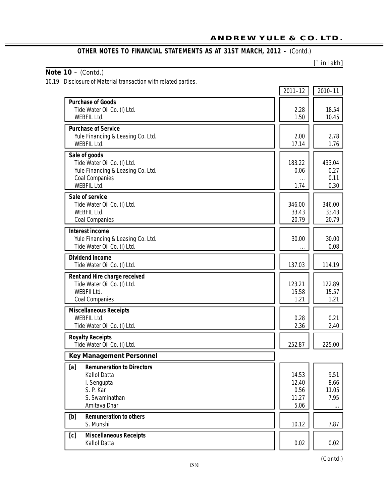**[**` **in lakh]**

٠.

## **Note 10 –** *(Contd.)*

10.19 Disclosure of Material transaction with related parties.

|                                                                                                                                  | $2011 - 12$                             | 2010-11                           |
|----------------------------------------------------------------------------------------------------------------------------------|-----------------------------------------|-----------------------------------|
| <b>Purchase of Goods</b><br>Tide Water Oil Co. (I) Ltd.<br><b>WEBFIL Ltd.</b>                                                    | 2.28<br>1.50                            | 18.54<br>10.45                    |
| <b>Purchase of Service</b><br>Yule Financing & Leasing Co. Ltd.<br><b>WEBFIL Ltd.</b>                                            | 2.00<br>17.14                           | 2.78<br>1.76                      |
| Sale of goods<br>Tide Water Oil Co. (I) Ltd.<br>Yule Financing & Leasing Co. Ltd.<br><b>Coal Companies</b><br><b>WEBFIL Ltd.</b> | 183.22<br>0.06<br>1.74                  | 433.04<br>0.27<br>0.11<br>0.30    |
| Sale of service<br>Tide Water Oil Co. (I) Ltd.<br><b>WEBFIL Ltd.</b><br><b>Coal Companies</b>                                    | 346.00<br>33.43<br>20.79                | 346.00<br>33.43<br>20.79          |
| <b>Interest income</b><br>Yule Financing & Leasing Co. Ltd.<br>Tide Water Oil Co. (I) Ltd.                                       | 30.00                                   | 30.00<br>0.08                     |
| <b>Dividend income</b><br>Tide Water Oil Co. (I) Ltd.                                                                            | 137.03                                  | 114.19                            |
| Rent and Hire charge received<br>Tide Water Oil Co. (I) Ltd.<br><b>WEBFII Ltd.</b><br><b>Coal Companies</b>                      | 123.21<br>15.58<br>1.21                 | 122.89<br>15.57<br>1.21           |
| <b>Miscellaneous Receipts</b><br><b>WEBFIL Ltd.</b><br>Tide Water Oil Co. (I) Ltd.                                               | 0.28<br>2.36                            | 0.21<br>2.40                      |
| <b>Royalty Receipts</b><br>Tide Water Oil Co. (I) Ltd.                                                                           | 252.87                                  | 225.00                            |
| <b>Key Management Personnel</b>                                                                                                  |                                         |                                   |
| [a]<br><b>Remuneration to Directors</b><br><b>Kallol Datta</b><br>I. Sengupta<br>S. P. Kar<br>S. Swaminathan<br>Amitava Dhar     | 14.53<br>12.40<br>0.56<br>11.27<br>5.06 | 9.51<br>8.66<br>11.05<br>7.95<br> |
| <b>Remuneration to others</b><br>[b]<br>S. Munshi                                                                                | 10.12                                   | 7.87                              |
| [c]<br><b>Miscellaneous Receipts</b><br><b>Kallol Datta</b>                                                                      | 0.02                                    | 0.02                              |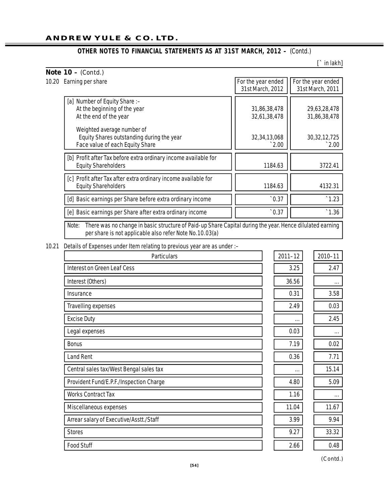**[**` in lakh**]**

| For the year ended | For the year ended                 |
|--------------------|------------------------------------|
|                    | 31st March, 2011                   |
|                    |                                    |
| 31,86,38,478       | 29,63,28,478                       |
| 32,61,38,478       | 31,86,38,478                       |
|                    |                                    |
| 32, 34, 13, 068    | 30, 32, 12, 725                    |
| $\degree$ 2.00     | $\degree$ 2.00                     |
|                    |                                    |
| 1184.63            | 3722.41                            |
|                    |                                    |
| 1184.63            | 4132.31                            |
| $\hat{0.37}$       | $.1.23$                            |
| $\hat{0.37}$       | $\degree{1.36}$                    |
|                    | 31st March, 2012<br>$\blacksquare$ |

Note: There was no change in basic structure of Paid-up Share Capital during the year. Hence dilulated earning per share is not applicable also refer Note No.10.03(a)

#### 10.21 Details of Expenses under Item relating to previous year are as under :–

| <b>Particulars</b>                      | $2011 - 12$ | 2010-11  |
|-----------------------------------------|-------------|----------|
| <b>Interest on Green Leaf Cess</b>      | 3.25        | 2.47     |
| Interest (Others)                       | 36.56       | $\cdots$ |
| Insurance                               | 0.31        | 3.58     |
| <b>Travelling expenses</b>              | 2.49        | 0.03     |
| <b>Excise Duty</b>                      | $\cdots$    | 2.45     |
| Legal expenses                          | 0.03        | $\cdots$ |
| <b>Bonus</b>                            | 7.19        | 0.02     |
| <b>Land Rent</b>                        | 0.36        | 7.71     |
| Central sales tax/West Bengal sales tax | $\cdots$    | 15.14    |
| Provident Fund/E.P.F./Inspection Charge | 4.80        | 5.09     |
| <b>Works Contract Tax</b>               | 1.16        |          |
| Miscellaneous expenses                  | 11.04       | 11.67    |
| Arrear salary of Executive/Asstt./Staff | 3.99        | 9.94     |
| <b>Stores</b>                           | 9.27        | 33.32    |
| <b>Food Stuff</b>                       | 2.66        | 0.48     |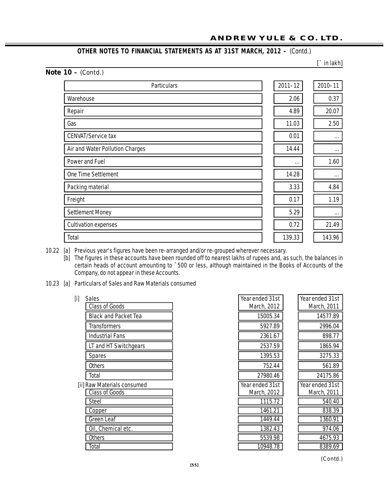**[**` in lakh**]**

## **Note 10 –** *(Contd.)*

| <b>Particulars</b>              | $2011 - 12$ | 2010-11  |
|---------------------------------|-------------|----------|
| Warehouse                       | 2.06        | 0.37     |
| Repair                          | 4.89        | 20.07    |
| Gas                             | 11.03       | 2.50     |
| <b>CENVAT/Service tax</b>       | 0.01        | $\cdots$ |
| Air and Water Pollution Charges | 14.44       | $\cdots$ |
| <b>Power and Fuel</b>           | $\cdots$    | 1.60     |
| <b>One Time Settlement</b>      | 14.28       | $\cdots$ |
| Packing material                | 3.33        | 4.84     |
| Freight                         | 0.17        | 1.19     |
| <b>Settlement Money</b>         | 5.29        | $\cdots$ |
| <b>Cultivation expenses</b>     | 0.72        | 21.49    |
| Total                           | 139.33      | 143.96   |

10.22 [a] Previous year's figures have been re-arranged and/or re-grouped wherever necessary.

[b] The figures in these accounts have been rounded off to nearest lakhs of rupees and, as such, the balances in certain heads of account amounting to `500 or less, although maintained in the Books of Accounts of the Company, do not appear in these Accounts.

- 10.23 [a] Particulars of Sales and Raw Materials consumed
	-

| <b>Class of Goods</b>       |
|-----------------------------|
| <b>Black and Packet Tea</b> |
| <b>Transformers</b>         |
| <b>Industrial Fans</b>      |
| LT and HT Switchgears       |
| Spares                      |
| <b>Others</b>               |
| Total                       |
| Raw Materials consumed      |

| $[$ i] | <b>Sales</b>                | Year ended 31st | Year ended 31st |
|--------|-----------------------------|-----------------|-----------------|
|        | <b>Class of Goods</b>       | March, 2012     | March, 2011     |
|        | <b>Black and Packet Tea</b> | 15005.34        | 14577.89        |
|        | <b>Transformers</b>         | 5927.89         | 2996.04         |
|        | Industrial Fans             | 2361.67         | 898.77          |
|        | LT and HT Switchgears       | 2537.59         | 1865.94         |
|        | <b>Spares</b>               | 1395.53         | 3275.33         |
|        | <b>Others</b>               | 752.44          | 561.89          |
|        | Total                       | 27980.46        | 24175.86        |
|        | [ii] Raw Materials consumed | Year ended 31st | Year ended 31st |
|        | <b>Class of Goods</b>       | March, 2012     | March, 2011     |
|        | <b>Steel</b>                | 1115.72         | 540.40          |
|        | Copper                      | 1461.21         | 838.39          |
|        | <b>Green Leaf</b>           | 1449.44         | 1360.91         |
|        | Oil, Chemical etc.          | 1382.43         | 974.06          |
|        | <b>Others</b>               | 5539.98         | 4675.93         |
|        | Total                       | 10948.78        | 8389.69         |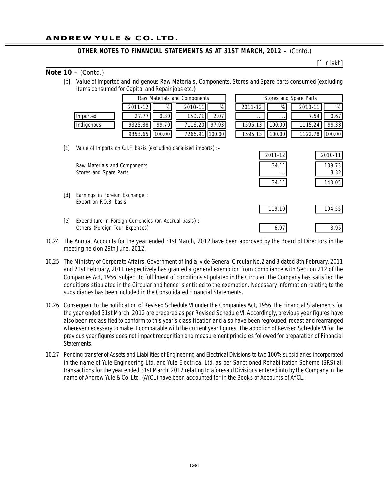**[**` in lakh**]**

#### **Note 10 –** *(Contd.)*

[b] Value of Imported and Indigenous Raw Materials, Components, Stores and Spare parts consumed (excluding items consumed for Capital and Repair jobs etc.)

|            | Raw Materials and Components         |                      | Stores and Spare Parts |       |
|------------|--------------------------------------|----------------------|------------------------|-------|
|            | %<br>%<br>2011-12<br>2010-11         | %<br>2011-12         | 2010-11                | %     |
| Imported   | 27.77<br>2.071<br>0.301<br>150.71    | $\cdots$<br>$\cdots$ | 7.54                   | 0.67  |
| Indigenous | 97.93<br>99.70<br>9325.88<br>7116.20 | 100.00<br>1595.13    | 1115.24                | 99.33 |
|            | 9353.65 1100.001<br>7266.91   100.00 | 100.001<br>1595.13   |                        |       |

| Raw Materials and Components |       |                  | Stores and Spare Parts                |
|------------------------------|-------|------------------|---------------------------------------|
| 2011-12                      | %     | %<br>2010-11     | 2011-12<br>%<br>%<br>2010-11          |
| 27.77                        | 0.301 | 150.71<br>2.071  | 0.67<br>7.54<br>$\cdots$              |
| 9325.88                      | 99.70 | 97.93<br>7116.20 | 1595.13<br>99.33<br>100.00<br>1115.24 |
| 9353.65   100.00             |       | 7266.91 100.00   | 1122.78 100.00<br>1595.13<br>100.00   |

[c] Value of Imports on C.I.F. basis (excluding canalised imports) :–

| .   | value of imports on only pasts (excluding canalised imports) is |          |         |
|-----|-----------------------------------------------------------------|----------|---------|
|     |                                                                 | 2011-12  | 2010-11 |
|     | Raw Materials and Components                                    | 34.11    | 139.73  |
|     | Stores and Spare Parts                                          | $\cdots$ | 3.32    |
|     |                                                                 | 34.11    | 143.05  |
| [d] | Earnings in Foreign Exchange:                                   |          |         |
|     | Export on F.O.B. basis                                          | 119.10   | 194.55  |
| [e] | Expenditure in Foreign Currencies (on Accrual basis) :          |          |         |
|     | Others (Foreign Tour Expenses)                                  | 6.97     | 3.95    |

- 10.24 The Annual Accounts for the year ended 31st March, 2012 have been approved by the Board of Directors in the meeting held on 29th June, 2012.
- 10.25 The Ministry of Corporate Affairs, Government of India, vide General Circular No.2 and 3 dated 8th February, 2011 and 21st February, 2011 respectively has granted a general exemption from compliance with Section 212 of the Companies Act, 1956, subject to fulfilment of conditions stipulated in the Circular. The Company has satisfied the conditions stipulated in the Circular and hence is entitled to the exemption. Necessary information relating to the subsidiaries has been included in the Consolidated Financial Statements.
- 10.26 Consequent to the notification of Revised Schedule VI under the Companies Act, 1956, the Financial Statements for the year ended 31st March, 2012 are prepared as per Revised Schedule VI. Accordingly, previous year figures have also been reclassified to conform to this year's classification and also have been regrouped, recast and rearranged wherever necessary to make it comparable with the current year figures. The adoption of Revised Schedule VI for the previous year figures does not impact recognition and measurement principles followed for preparation of Financial Statements.
- 10.27 Pending transfer of Assets and Liabilities of Engineering and Electrical Divisions to two 100% subsidiaries incorporated in the name of Yule Engineering Ltd. and Yule Electrical Ltd. as per Sanctioned Rehabilitation Scheme (SRS) all transactions for the year ended 31st March, 2012 relating to aforesaid Divisions entered into by the Company in the name of Andrew Yule & Co. Ltd. (AYCL) have been accounted for in the Books of Accounts of AYCL.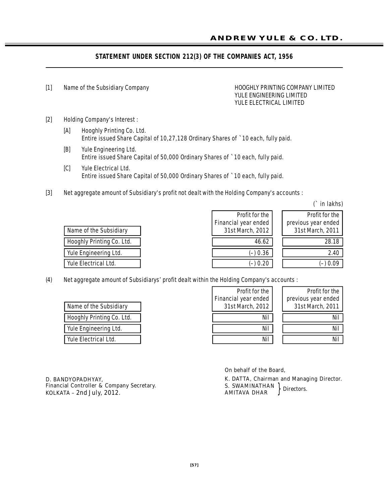## **STATEMENT UNDER SECTION 212(3) OF THE COMPANIES ACT, 1956**

#### [1] Name of the Subsidiary Company **Hooght COMPANY LIMITED** HOOGHLY PRINTING COMPANY LIMITED YULE ENGINEERING LIMITED YULE ELECTRICAL LIMITED

- [2] Holding Company's Interest :
	- [A] Hooghly Printing Co. Ltd. Entire issued Share Capital of 10,27,128 Ordinary Shares of `10 each, fully paid.
	- [B] Yule Engineering Ltd. Entire issued Share Capital of 50,000 Ordinary Shares of `10 each, fully paid.
	- [C] Yule Electrical Ltd. Entire issued Share Capital of 50,000 Ordinary Shares of `10 each, fully paid.
- [3] Net aggregate amount of Subsidiary's profit not dealt with the Holding Company's accounts :

(` in lakhs)

| Name of the Subsidiary    |
|---------------------------|
| Hooghly Printing Co. Ltd. |
| Yule Engineering Ltd.     |
| Yule Electrical Ltd.      |

|                           | Profit for the<br>Financial year ended | Profit for the<br>previous year ended |
|---------------------------|----------------------------------------|---------------------------------------|
| Name of the Subsidiary    | 31st March, 2012                       | 31st March, 2011                      |
| Hooghly Printing Co. Ltd. | 46.62                                  | 28.18                                 |
| Yule Engineering Ltd.     | (–) 0.36                               | 2.40                                  |
| Yule Electrical Ltd.      | (–) 0.20                               | (–) 0.09                              |

(4) Net aggregate amount of Subsidiarys' profit dealt within the Holding Company's accounts :

| Name of the Subsidiary      |
|-----------------------------|
| Hooghly Printing Co. Ltd.   |
| Vule Engineering Ltd.       |
| <b>Yule Electrical Ltd.</b> |

| Name of the Subsidiary    | Profit for the<br>Financial year ended<br>31st March, 2012 | Profit for the<br>previous year ended<br>31st March, 2011 |
|---------------------------|------------------------------------------------------------|-----------------------------------------------------------|
| Hooghly Printing Co. Ltd. | Nil                                                        | Ni                                                        |
| Yule Engineering Ltd.     | Nil                                                        | Nil                                                       |
| Yule Electrical Ltd.      | Nil                                                        | Nil                                                       |

**D. BANDYOPADHYAY,** *Financial Controller & Company Secretary.* **KOLKATA – 2nd July, 2012. But all the secretary. Example 2012. ROLKATA – 2nd July, 2012.** *ROLKATA – 2nd July, 2012.* 

#### **On behalf of the Board,**

**K. DATTA,** *Chairman and Managing Director.* **S. SWAMINATHAN AMITAVA DHAR** *Directors.*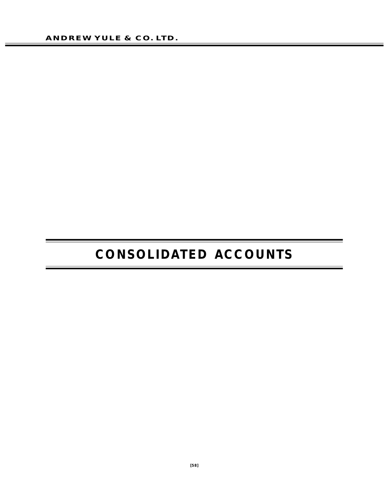# **CONSOLIDATED ACCOUNTS**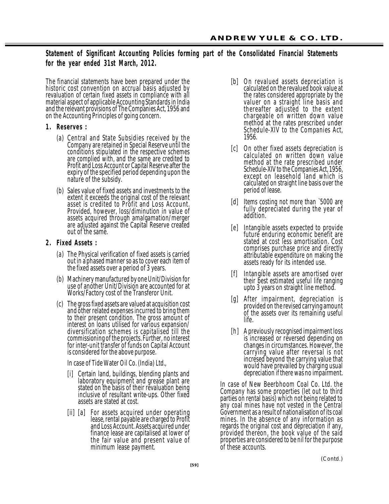## **Statement of Significant Accounting Policies forming part of the Consolidated Financial Statements for the year ended 31st March, 2012.**

The financial statements have been prepared under the historic cost convention on accrual basis adjusted by revaluation of certain fixed assets in compliance with all material aspect of applicable Accounting Standards in India and the relevant provisions of The Companies Act, 1956 and on the Accounting Principles of going concern.

#### **1.** Reserves :

- (a) Central and State Subsidies received by the Company are retained in Special Reserve until the conditions stipulated in the respective schemes are complied with, and the same are credited to Profit and Loss Account or Capital Reserve after the expiry of the specified period depending upon the nature of the subsidy.
- (b) Sales value of fixed assets and investments to the extent it exceeds the original cost of the relevant asset is credited to Profit and Loss Account. Provided, however, loss/diminution in value of assets acquired through amalgamation/merger are adjusted against the Capital Reserve created out of the same.

## **2 . F ix ed As s ets :**

- (a) The Physical verification of fixed assets is carried out in a phased manner so as to cover each item of the fixed assets over a period of 3 years.
- (b) Machinery manufactured by one Unit/Division for use of another Unit/Division are accounted for at Works/Factory cost of the Transferor Unit.
- (c) The gross fixed assets are valued at acquisition cost and other related expenses incurred to bring them to their present condition. The gross amount of interest on loans utilised for various expansion/ diversification schemes is capitalised till the commissioning of the projects. Further, no interest for inter-unit transfer of funds on Capital Account is considered for the above purpose.

In case of Tide Water Oil Co. (India) Ltd.,

- [i] Certain land, buildings, blending plants and laboratory equipment and grease plant are stated on the basis of their revaluation being inclusive of resultant write-ups. Other fixed assets are stated at cost.
- [ii] [a] For assets acquired under operating lease, rental payable are charged to Profit and Loss Account. Assets acquired under finance lease are capitalised at lower of the fair value and present value of minimum lease payment.
- [b] On revalued assets depreciation is calculated on the revalued book value at the rates considered appropriate by the valuer on a straight line basis and thereafter adjusted to the extent chargeable on written down value method at the rates prescribed under Schedule-XIV to the Companies Act, 1956.
- [c] On other fixed assets depreciation is calculated on written down value method at the rate prescribed under Schedule-XIV to the Companies Act, 1956, except on leasehold land which is calculated on straight line basis over the period of lease.
- [d] Items costing not more than `5000 are fully depreciated during the year of addition.
- [e] Intangible assets expected to provide future enduring economic benefit are stated at cost less amortisation. Cost comprises purchase price and directly attributable expenditure on making the assets ready for its intended use.
- [f] Intangible assets are amortised over their best estimated useful life ranging upto 3 years on straight line method.
- [g] After impairment, depreciation is provided on the revised carrying amount of the assets over its remaining useful life.
- [h] A previously recognised impairment loss is increased or reversed depending on changes in circumstances. However, the carrying value after reversal is not incresed beyond the carrying value that would have prevailed by charging usual depreciation if there was no impairment.

In case of New Beerbhoom Coal Co. Ltd. the Company has some properties (let out to third parties on rental basis) which not being related to any coal mines have not vested in the Central Government as a result of nationalisation of its coal mines. In the absence of any information as regards the original cost and depreciation if any, provided thereon, the book value of the said properties are considered to be nil for the purpose of these accounts.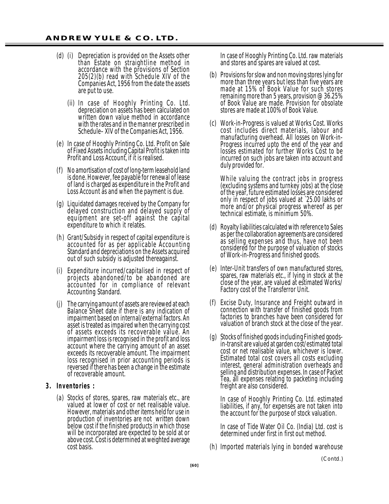- (d) (i) Depreciation is provided on the Assets other than Estate on straightline method in accordance with the provisions of Section 205(2)(b) read with Schedule XIV of the Companies Act, 1956 from the date the assets are put to use.
	- (ii) In case of Hooghly Printing Co. Ltd. depreciation on assets has been calculated on written down value method in accordance with the rates and in the manner prescribed in Schedule–XIV of the Companies Act, 1956.
- (e) In case of Hooghly Printing Co. Ltd. Profit on Sale of Fixed Assets including Capital Profit is taken into Profit and Loss Account, if it is realised.
- (f) No amortisation of cost of long-term leasehold land is done. However, fee payable for renewal of lease of land is charged as expenditure in the Profit and Loss Account as and when the payment is due.
- (g) Liquidated damages received by the Company for delayed construction and delayed supply of equipment are set-off against the capital expenditure to which it relates.
- (h) Grant/Subsidy in respect of capital expenditure is accounted for as per applicable Accounting Standard and depreciations on the Assets acquired out of such subsidy is adjusted thereagainst.
- (i) Expenditure incurred/capitalised in respect of projects abandoned/to be abandoned are accounted for in compliance of relevant Accounting Standard.
- (j) The carrying amount of assets are reviewed at each Balance Sheet date if there is any indication of impairment based on internal/external factors. An asset is treated as impaired when the carrying cost of assets exceeds its recoverable value. An impairment loss is recognised in the profit and loss account where the carrying amount of an asset exceeds its recoverable amount. The impairment loss recognised in prior accounting periods is reversed if there has been a change in the estimate of recoverable amount.
- **3 . I n v e n to r ie s :**
	- (a) Stocks of stores, spares, raw materials etc., are valued at lower of cost or net realisable value. However, materials and other items held for use in production of inventories are not written down below cost if the finished products in which those will be incorporated are expected to be sold at or above cost. Cost is determined at weighted average cost basis.

In case of Hooghly Printing Co. Ltd. raw materials and stores and spares are valued at cost.

- (b) Provisions for slow and non moving stores lying for more than three years but less than five years are made at 15% of Book Value for such stores remaining more than 5 years, provision @ 36.25% of Book Value are made. Provision for obsolate stores are made at 100% of Book Value.
- (c) Work-in-Progress is valued at Works Cost. Works cost includes direct materials, labour and manufacturing overhead. All losses on Work-in-Progress incurred upto the end of the year and losses estimated for further Works Cost to be incurred on such jobs are taken into account and duly provided for.

While valuing the contract jobs in progress (excluding systems and turnkey jobs) at the close of the year, future estimated losses are considered only in respect of jobs valued at `25.00 lakhs or more and/or physical progress whereof as per technical estimate, is minimum 50%.

- (d) Royalty liabilities calculated with reference to Sales as per the collaboration agreements are considered as selling expenses and thus, have not been considered for the purpose of valuation of stocks of Work-in-Progress and finished goods.
- (e) Inter-Unit transfers of own manufactured stores, spares, raw materials etc., if lying in stock at the close of the year, are valued at estimated Works/ Factory cost of the Transferror Unit.
- (f) Excise Duty, Insurance and Freight outward in connection with transfer of finished goods from factories to branches have been considered for valuation of branch stock at the close of the year.
- (g) Stocks of finished goods including Finished goodsin-transit are valued at garden cost/estimated total cost or net realisable value, whichever is lower. Estimated total cost covers all costs excluding interest, general administration overheads and selling and distribution expenses. In case of Packet Tea, all expenses relating to packeting including freight are also considered.

In case of Hooghly Printing Co. Ltd. estimated liabilities, if any, for expenses are not taken into the account for the purpose of stock valuation.

In case of Tide Water Oil Co. (India) Ltd. cost is determined under first in first out method.

(h) Imported materials lying in bonded warehouse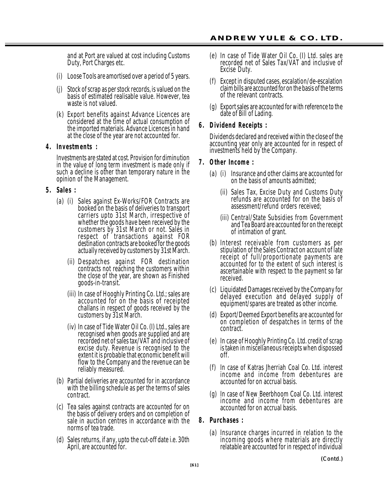and at Port are valued at cost including Customs Duty, Port Charges etc.

- (i) Loose Tools are amortised over a period of 5 years.
- (j) Stock of scrap as per stock records, is valued on the basis of estimated realisable value. However, tea waste is not valued.
- (k) Export benefits against Advance Licences are considered at the time of actual consumption of the imported materials. Advance Licences in hand at the close of the year are not accounted for.

#### **4 . I n v e s tm e n ts :**

Investments are stated at cost. Provision for diminution in the value of long term investment is made only if such a decline is other than temporary nature in the opinion of the Management.

#### **5 . Sa le s :**

- (a) (i) Sales against Ex-Works/FOR Contracts are booked on the basis of deliveries to transport carriers upto 31st March, irrespective of whether the goods have been received by the customers by 31st March or not. Sales in respect of transactions against FOR destination contracts are booked for the goods actually received by customers by 31st March.
	- (ii) Despatches against FOR destination contracts not reaching the customers within the close of the year, are shown as Finished goods-in-transit.
	- (iii) In case of Hooghly Printing Co. Ltd.; sales are accounted for on the basis of receipted challans in respect of goods received by the customers by 31st March.
	- (iv) In case of Tide Water Oil Co. (I) Ltd., sales are recognised when goods are supplied and are recorded net of sales tax/VAT and inclusive of excise duty. Revenue is recognised to the extent it is probable that economic benefit will flow to the Company and the revenue can be reliably measured.
- (b) Partial deliveries are accounted for in accordance with the billing schedule as per the terms of sales contract.
- (c) Tea sales against contracts are accounted for on the basis of delivery orders and on completion of sale in auction centres in accordance with the norms of tea trade.
- (d) Sales returns, if any, upto the cut-off date i.e. 30th April, are accounted for.
- (e) In case of Tide Water Oil Co. (I) Ltd. sales are recorded net of Sales Tax/VAT and inclusive of Excise Duty.
- (f) Except in disputed cases, escalation/de-escalation claim bills are accounted for on the basis of the terms of the relevant contracts.
- (g) Export sales are accounted for with reference to the date of Bill of Lading.

#### **6.** Dividend Receipts :

Dividends declared and received within the close of the accounting year only are accounted for in respect of investments held by the Company.

#### **7 . Oth er In c om e :**

- (a) (i) Insurance and other claims are accounted for on the basis of amounts admitted;
	- (ii) Sales Tax, Excise Duty and Customs Duty refunds are accounted for on the basis of assessment/refund orders received;
	- (iii) Central/State Subsidies from Government and Tea Board are accounted for on the receipt of intimation of grant.
- (b) Interest receivable from customers as per stipulation of the Sales Contract on account of late receipt of full/proportionate payments are accounted for to the extent of such interest is ascertainable with respect to the payment so far received.
- (c) Liquidated Damages received by the Company for delayed execution and delayed supply of equipment/spares are treated as other income.
- (d) Export/Deemed Export benefits are accounted for on completion of despatches in terms of the contract.
- (e) In case of Hooghly Printing Co. Ltd. credit of scrap is taken in miscellaneous receipts when dispossed off.
- (f) In case of Katras Jherriah Coal Co. Ltd. interest income and income from debentures are accounted for on accrual basis.
- (g) In case of New Beerbhoom Coal Co. Ltd. interest income and income from debentures are accounted for on accrual basis.

#### 8. Purchases :

(a) Insurance charges incurred in relation to the incoming goods where materials are directly relatable are accounted for in respect of individual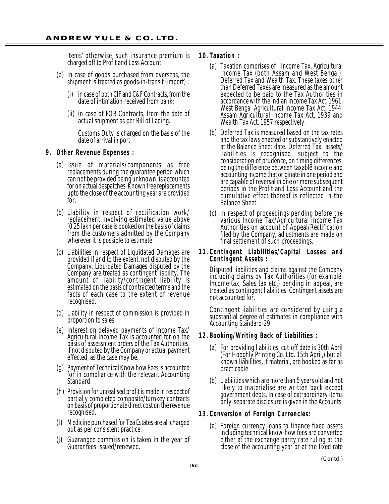items' otherwise, such insurance premium is charged off to Profit and Loss Account.

- (b) In case of goods purchased from overseas, the shipment is treated as goods-in-transit (import) :
	- (i) in case of both CIF and C&F Contracts, from the date of intimation received from bank;
	- (ii) in case of FOB Contracts, from the date of actual shipment as per Bill of Lading.

Customs Duty is charged on the basis of the date of arrival in port.

#### **9.** Other Revenue Expenses :

- (a) Issue of materials/components as free replacements during the guarantee period which can not be provided being unknown, is accounted for on actual despatches. Known free replacements upto the close of the accounting year are provided for.
- (b) Liability in respect of rectification work/ replacement involving estimated value above `0.25 lakh per case is booked on the basis of claims from the customers admitted by the Company wherever it is possible to estimate.
- (c) Liabilities in respect of Liquidated Damages are provided if and to the extent, not disputed by the Company. Liquidated Damages disputed by the Company are treated as contingent liability. The amount of liability/contingent liability is estimated on the basis of contracted terms and the facts of each case to the extent of revenue recognised.
- (d) Liability in respect of commission is provided in proportion to sales.
- (e) Interest on delayed payments of Income Tax/ Agricultural Income Tax is accounted for on the basis of assessment orders of the Tax Authorities, if not disputed by the Company or actual payment effected, as the case may be.
- (g) Payment of Technical Know how Fees is accounted for in compliance with the relevant Accounting Standard.
- (h) Provision for unrealised profit is made in respect of partially completed composite/turnkey contracts on basis of proportionate direct cost on the revenue recognised.
- (i) Medicine purchased for Tea Estates are all charged out as per consistent practice.
- Guarangee commission is taken in the year of Guarantees issued/renewed.

#### **1 0 . T a x a t io n :**

- (a) Taxation comprises of Income Tax, Agricultural Income Tax (both Assam and West Bengal), Deferred Tax and Wealth Tax. These taxes other than Deferred Taxes are measured as the amount expected to be paid to the Tax Authorities in accordance with the Indian Income Tax Act, 1961, West Bengal Agricultural Income Tax Act, 1944, Assam Agricultural Income Tax Act, 1939 and Wealth Tax Act, 1957 respectively.
- (b) Deferred Tax is measured based on the tax rates and the tax laws enacted or substantively enacted at the Balance Sheet date. Deferred Tax assets/ liabilities is recognised, subject to the consideration of prudence, on timing differences, being the difference between taxable income and accounting income that originate in one period and are capable of reversal in one or more subsequent periods in the Profit and Loss Account and the cumulative effect thereof is reflected in the Balance Sheet.
- (c) In respect of proceedings pending before the various Income Tax/Agricultural Income Tax Authorities on account of Appeal/Rectification filed by the Company, adjustments are made on final settlement of such proceedings.

#### **11. Contingent Liabilities/Capital Losses and Contingent Assets:**

Disputed liabilities and claims against the Company including claims by Tax Authorities (for example, Income-tax, Sales tax etc.) pending in appeal, are treated as contingent liabilities. Contingent assets are not accounted for.

Contingent liabilities are considered by using a substantial degree of estimates in compliance with Accounting Standard-29.

#### **12. Booking/Writing Back of Liabilities :**

- (a) For providing liabilities, cut-off date is 30th April (For Hooghly Printing Co. Ltd. 15th April,) but all known liabilities, if material, are booked as far as practicable.
- (b) Liabilities which are more than 5 years old and not likely to materialise are written back except government debts. In case of extraordinary items only, separate disclosure is given in the Accounts.

#### **1 3 . C o nv e r sio n of F or e ig n C u r re n c ie s :**

(a) Foreign currency loans to finance fixed assets including technical know-how fees are converted either at the exchange parity rate ruling at the close of the accounting year or at the fixed rate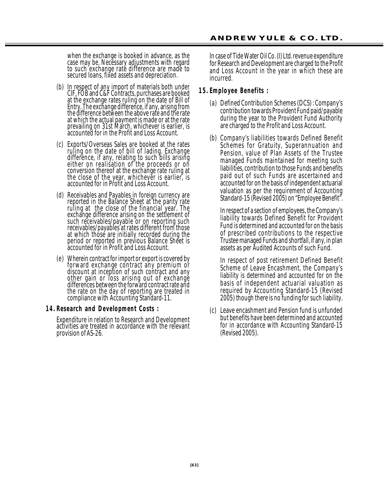when the exchange is booked in advance, as the case may be. Necessary adjustments with regard to such exchange rate difference are made to secured loans, fixed assets and depreciation.

- (b) In respect of any import of materials both under CIF, FOB and C&F Contracts, purchases are booked at the exchange rates ruling on the date of Bill of Entry. The exchange difference, if any, arising from the difference between the above rate and the rate at which the actual payment is made or at the rate prevailing on 31st March, whichever is earlier, is accounted for in the Profit and Loss Account.
- (c) Exports/Overseas Sales are booked at the rates ruling on the date of bill of lading. Exchange difference, if any, relating to such bills arising either on realisation of the proceeds or on conversion thereof at the exchange rate ruling at the close of the year, whichever is earlier, is accounted for in Profit and Loss Account.
- (d) Receivables and Payables in foreign currency are reported in the Balance Sheet at the parity rate ruling at the close of the financial year. The exchange difference arising on the settlement of such receivables/payable or on reporting such receivables/payables at rates different from those at which those are initially recorded during the period or reported in previous Balance Sheet is accounted for in Profit and Loss Account.
- (e) Wherein contract for import or export is covered by forward exchange contract any premium or discount at inception of such contract and any other gain or loss arising out of exchange differences between the forward contract rate and the rate on the day of reporting are treated in compliance with Accounting Standard-11.

#### **14. Research and Development Costs:**

Expenditure in relation to Research and Development activities are treated in accordance with the relevant provision of AS-26.

In case of Tide Water Oil Co. (I) Ltd. revenue expenditure for Research and Development are charged to the Profit and Loss Account in the year in which these are incurred.

#### **1 5 . E m p lo y e e B e n e f its :**

- (a) Defined Contribution Schemes (DCS) : Company's contribution towards Provident Fund paid/payable during the year to the Provident Fund Authority are charged to the Profit and Loss Account.
- (b) Company's liabilities towards Defined Benefit Schemes for Gratuity, Superannuation and Pension, value of Plan Assets of the Trustee managed Funds maintained for meeting such liabilities, contribution to those Funds and benefits paid out of such Funds are ascertained and accounted for on the basis of independent actuarial valuation as per the requirement of Accounting Standard-15 (Revised 2005) on "Employee Benefit".

In respect of a section of employees, the Company's liability towards Defined Benefit for Provident Fund is determined and accounted for on the basis of prescribed contributions to the respective Trustee managed Funds and shortfall, if any, in plan assets as per Audited Accounts of such Fund.

In respect of post retirement Defined Benefit Scheme of Leave Encashment, the Company's liability is determined and accounted for on the basis of independent actuarial valuation as required by Accounting Standard-15 (Revised 2005) though there is no funding for such liability.

(c) Leave encashment and Pension fund is unfunded but benefits have been determined and accounted for in accordance with Accounting Standard-15 (Revised 2005).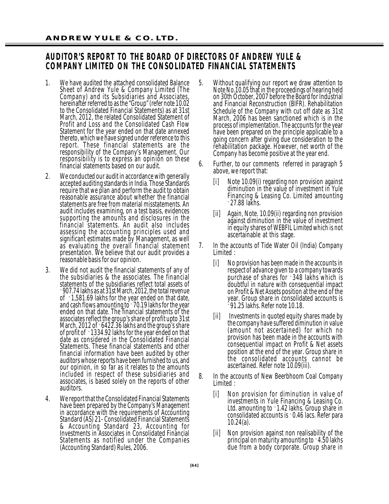## **AUDITOR'S REPORT TO THE BOARD OF DIRECTORS OF ANDREW YULE & COMPANY LIMITED ON THE CONSOLIDATED FINANCIAL STATEMENTS**

- 1. We have audited the attached consolidated Balance Sheet of Andrew Yule & Company Limited (The Company) and its Subsidiaries and Associates, hereinafter referred to as the "Group" (refer note 10.02 to the Consolidated Financial Statements) as at 31st March, 2012, the related Consolidated Statement of Profit and Loss and the Consolidated Cash Flow Statement for the year ended on that date annexed thereto, which we have signed under reference to this report. These financial statements are the responsibility of the Company's Management. Our responsibility is to express an opinion on these financial statements based on our audit.
- 2. We conducted our audit in accordance with generally accepted auditing standards in India. Those Standards require that we plan and perform the audit to obtain reasonable assurance about whether the financial statements are free from material misstatements. An audit includes examining, on a test basis, evidences supporting the amounts and disclosures in the financial statements. An audit also includes assessing the accounting principles used and significant estimates made by Management, as well as evaluating the overall financial statement presentation. We believe that our audit provides a reasonable basis for our opinion.
- 3. We did not audit the financial statements of any of the subsidiaries & the associates. The financial statements of the subsidiaries reflect total assets of `907.74 lakhs as at 31st March, 2012, the total revenue of `1,581.69 lakhs for the year ended on that date, and cash flows amounting to `70.19 lakhs for the year ended on that date. The financial statements of the associates reflect the group's share of profit upto 31st March, 2012 of `6422.36 lakhs and the group's share of profit of `1334.92 lakhs for the year ended on that date as considered in the Consolidated Financial Statements. These financial statements and other financial information have been audited by other auditors whose reports have been furnished to us, and our opinion, in so far as it relates to the amounts included in respect of these subsidiaries and associates, is based solely on the reports of other auditors.
- 4. We report that the Consolidated Financial Statements have been prepared by the Company's Management in accordance with the requirements of Accounting Standard (AS) 21- Consolidated Financial Statements & Accounting Standard 23, Accounting for Investments in Associates in Consolidated Financial Statements as notified under the Companies (Accounting Standard) Rules, 2006.
- 5. Without qualifying our report we draw attention to Note No.10.05 that in the proceedings of hearing held on 30th October, 2007 before the Board for Industrial and Financial Reconstruction (BIFR). Rehabilitation Schedule of the Company with cut off date as 31st March, 2006 has been sanctioned which is in the process of implementation. The accounts for the year have been prepared on the principle applicable to a going concern after giving due consideration to the rehabilitation package. However, net worth of the Company has become positive at the year end.
- 6. Further, to our comments referred in paragraph 5 above, we report that:
	- [i] Note 10.09(i) regarding non provision against diminution in the value of investment in Yule Financing & Leasing Co. Limited amounting `27.88 lakhs.
	- [ii] Again, Note. 10.09(ii) regarding non provision against diminution in the value of investment in equity shares of WEBFIL Limited which is not ascertainable at this stage.
- 7. In the accounts of Tide Water Oil (India) Company Limited :
	- [i] No provision has been made in the accounts in respect of advance given to a company towards purchase of shares for `348 lakhs which is doubtful in nature with consequential impact on Profit & Net Assets position at the end of the year. Group share in consolidated accounts is  $\frac{5}{3}$ 91.25 lakhs. Refer note 10.18.
	- [ii] Investments in quoted equity shares made by the company have suffered diminution in value (amount not ascertained) for which no provision has been made in the accounts with consequential impact on Profit & Net assets position at the end of the year. Group share in the consolidated accounts cannot be ascertained. Refer note 10.09(iii).
- 8. In the accounts of New Beerbhoom Coal Company Limited :
	- [i] Non provision for diminution in value of investments in Yule Financing & Leasing Co. Ltd. amounting to 1.42 lakhs. Group share in consolidated accounts is `0.46 lacs. Refer para 10.24(a).
	- [ii] Non provision against non realisability of the principal on maturity amounting to  $\cdot$  4.50 lakhs due from a body corporate. Group share in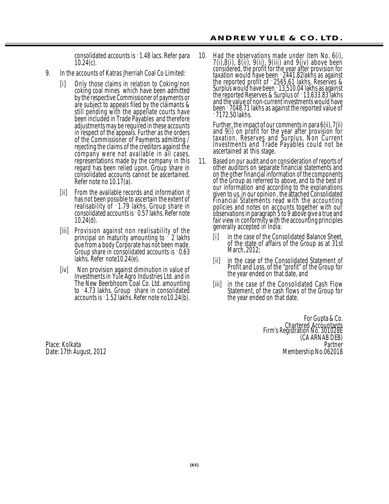consolidated accounts is `1.48 lacs. Refer para 10.24(c).

- 9. In the accounts of Katras Jherriah Coal Co Limited:
	- [i] Only those claims in relation to Coking/non coking coal mines which have been admitted by the respective Commissioner of payments or are subject to appeals filed by the claimants & still pending with the appellate courts have been included in Trade Payables and therefore adjustments may be required in these accounts in respect of the appeals. Further as the orders of the Commissioner of Payments admitting / rejecting the claims of the creditors against the company were not available in all cases, representations made by the company in this regard has been relied upon. Group share in consolidated accounts cannot be ascertained. Refer note no 10.17(a).
	- [ii] From the available records and information it has not been possible to ascertain the extent of realisability of `1.79 lakhs. Group share in consolidated accounts is `0.57 lakhs. Refer note 10.24(d).
	- [iii] Provision against non realisability of the principal on maturity amounting to  $\zeta$  2 lakhs due from a body Corporate has not been made. Group share in consolidated accounts is `0.63 lakhs. Refer note10.24(e).
	- [iv] Non provision against diminution in value of Investments in Yule Agro Industries Ltd. and in The New Beerbhoom Coal Co. Ltd. amounting to `4.73 lakhs. Group share in consolidated accounts is `1.52 lakhs. Refer note no10.24(b).

10. Had the observations made under item No. 6(i), 7(i),8(i), 8(ii), 9(ii), 9(iii) and 9(iv) above been considered, the profit for the year after provision for taxation would have been `2441.82lakhs as against the reported profit of `2565.61 lakhs, Reserves & Surplus would have been `13,510.04 lakhs as against the reported Reserves & Surplus of `13,633.83 lakhs and the value of non-current investments would have been `7048.71 lakhs as against the reported value of  $\cdot$  7172.50 lakhs.

Further, the impact of our comments in para 6(ii), 7(ii) and 9(i) on profit for the year after provision for taxation, Reserves and Surplus, Non Current Investments and Trade Payables could not be ascertained at this stage.

- 11. Based on our audit and on consideration of reports of other auditors on separate financial statements and on the other financial information of the components of the Group as referred to above, and to the best of our information and according to the explanations given to us, in our opinion , the attached Consolidated Financial Statements read with the accounting policies and notes on accounts together with our observations in paragraph 5 to 9 above give a true and fair view in conformity with the accounting principles generally accepted in India:
	- [i] in the case of the Consolidated Balance Sheet, of the state of affairs of the Group as at 31st March, 2012;
	- [ii] in the case of the Consolidated Statement of Profit and Loss, of the "profit" of the Group for the year ended on that date, and
	- [iii] in the case of the Consolidated Cash Flow Statement, of the cash flows of the Group for the year ended on that date.

For Gupta & Co. Chartered Accountants Firm's Registration No. 301028E (CA ARNAB DEB)<br>Partner Place: Kolkata Partner Date: 17th August, 2012 **Membership No.062018** Membership No.062018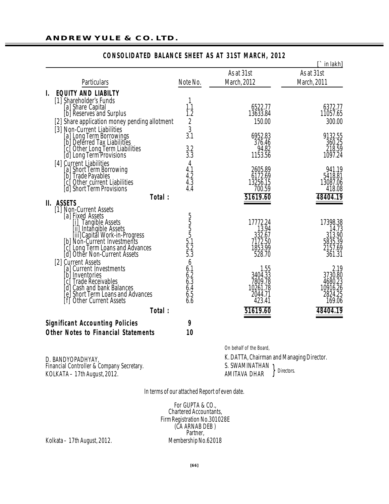|    |                                                                                                                                                                                                                                                                              |                                                                                       |                                                             | $\Gamma$ in lakh]                                           |
|----|------------------------------------------------------------------------------------------------------------------------------------------------------------------------------------------------------------------------------------------------------------------------------|---------------------------------------------------------------------------------------|-------------------------------------------------------------|-------------------------------------------------------------|
|    |                                                                                                                                                                                                                                                                              |                                                                                       | As at 31st                                                  | As at 31st                                                  |
|    | <b>Particulars</b>                                                                                                                                                                                                                                                           | Note No.                                                                              | March, 2012                                                 | March, 2011                                                 |
| I. | <b>EQUITY AND LIABILTY</b>                                                                                                                                                                                                                                                   |                                                                                       |                                                             |                                                             |
|    | [1] Shareholder's Funds<br>[a] Share Capital<br>[b] Reserves and Surplus<br>[2] Share application money pending allotment<br>[3] Non-Current Liabilities                                                                                                                     | 1<br>1.1<br>1.2<br>$\sqrt{2}$<br>$\frac{3}{3.1}$                                      | 6522.77<br>13633.84<br>150.00<br>6952.83<br>376.46          | 6372.77<br>11057.65<br>300.00<br>9132.55<br>360.25          |
|    | Tal Long Term Borrowings<br>[a] Long Term Borrowings<br>[b] Deferred Tax Liabilities<br>[c] Other Long Term Liabilities<br>[d] Long Term Provisions                                                                                                                          | $3.2$<br>$3.3$                                                                        | 94.82<br>1153.56                                            | 218.59<br>1097.24                                           |
|    | [4] Current Liabilities<br>[a] Short Term Borrowing<br>[b] Trade Payables<br>[c] Other_current Liabilities<br>[d] Short Term Provisions<br>Total:                                                                                                                            | 4<br>$4.1$<br>$4.2$<br>$4.3$<br>$4.4$                                                 | 2605.89<br>6172.69<br>13256.15<br>700.59<br>51619.60        | 941.19<br>5418.81<br>13087.06<br>418.08<br>48404.19         |
|    | II. ASSETS                                                                                                                                                                                                                                                                   |                                                                                       |                                                             |                                                             |
|    | [1] Non-Current Assets<br>[a] Fixed Assets<br><sup>La</sup> [i] Tangible Assets<br>[ii] Intangible Assets<br>[iii] Capital Work-in-Progress<br>[b] Non-Current Investments<br><b>Community</b><br><b>Community</b> Loans and Advances<br><b>[d]</b> Other Non-Current Assets | 5<br>5<br>5<br>5<br>5<br>5<br>5<br>5<br>5<br>5<br>5<br>5<br>5<br>5<br>5<br><br>5<br>5 | 17772.24<br>13.94<br>332.67<br>7172.50<br>1853.99<br>528.70 | 17398.38<br>14.73<br>313.90<br>5835.39<br>2157.69<br>361.31 |
|    | [2] Current Assets<br>[a] Current Investments<br>[b] Inventories<br>c] Trade Receivables<br>d] Cash and bank Balances<br>e] Short Term Loans and Advances<br><b>Other Current Assets</b><br>[f]                                                                              | 6<br>$6.1$<br>$6.2$<br>$6.3$<br>6.4<br>6.5<br>$6.\overline{6}$                        | 1.55<br>3404.33<br>7809.78<br>10261.78<br>2044.71<br>423.41 | 2.19<br>3730.80<br>4680.23<br>10916.26<br>2824.25<br>169.06 |
|    | Total:                                                                                                                                                                                                                                                                       |                                                                                       | 51619.60                                                    | 48404.19                                                    |
|    | <b>Significant Accounting Policies</b>                                                                                                                                                                                                                                       | 9                                                                                     |                                                             |                                                             |
|    | <b>Other Notes to Financial Statements</b>                                                                                                                                                                                                                                   | 10                                                                                    |                                                             |                                                             |

## **CONSOLIDATED BALANCE SHEET AS AT 31ST MARCH, 2012**

D. BANDYOPADHYAY, *Financial Controller & Company Secretary.* KOLKATA – 17th August, 2012. }

On behalf of the Board,

K. DATTA, *Chairman and Managing Director.* S. SWAMINATHAN AMITAVA DHAR *Directors.*

In terms of our attached Report of even date.

For GUPTA & CO., *Chartered Accountants, Firm Registration No.301028E* (CA ARNAB DEB ) Partner,<br>Membership No.62018

Kolkata – 17th August, 2012.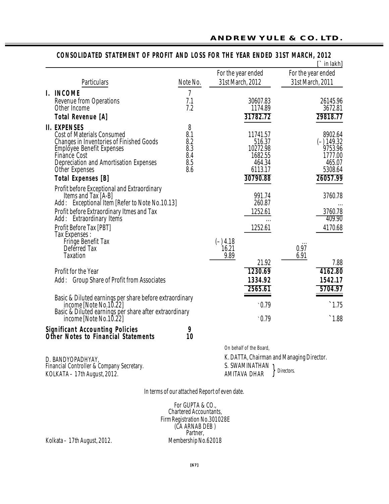|                                                                                      |                |                         | $\Gamma$ in lakh]                         |
|--------------------------------------------------------------------------------------|----------------|-------------------------|-------------------------------------------|
|                                                                                      |                | For the year ended      | For the year ended                        |
| Particulars                                                                          | Note No.       | 31st March, 2012        | 31st March, 2011                          |
| I. INCOME                                                                            | $\overline{1}$ |                         |                                           |
| <b>Revenue from Operations</b><br>Other Income                                       | 7.1<br>7.2     | 30607.83<br>1174.89     | 26145.96<br>3672.81                       |
| <b>Total Revenue [A]</b>                                                             |                | 31782.72                | 29818.77                                  |
|                                                                                      |                |                         |                                           |
| <b>II. EXPENSES</b><br><b>Cost of Materials Consumed</b>                             | 8<br>8.1       | 11741.57                | 8902.64                                   |
| <b>Changes in Inventories of Finished Goods</b>                                      | 8.2            | 516.37                  | $(-) 149.32$                              |
| Employee Benefit Expenses                                                            | 8.3            | 10272.98                | 9753.96                                   |
| Finance Cost                                                                         | 8.4            | 1682.55                 | 1777.00                                   |
| Depreciation and Amortisation Expenses                                               | 8.5            | 464.34                  | 465.07                                    |
| <b>Other Expenses</b>                                                                | 8.6            | 6113.17                 | 5308.64                                   |
| <b>Total Expenses [B]</b>                                                            |                | 30790.88                | 26057.99                                  |
| Profit before Exceptional and Extraordinary                                          |                |                         |                                           |
| Items and Tax [A-B]                                                                  |                | 991.74                  | 3760.78                                   |
| Add: Exceptional Item [Refer to Note No.10.13]                                       |                | 260.87                  |                                           |
| Profit before Extraordinary Itmes and Tax                                            |                | 1252.61                 | 3760.78<br>409.90                         |
| Add: Extraordinary Items                                                             |                |                         |                                           |
| Profit Before Tax [PBT]<br><b>Tax Expenses:</b>                                      |                | 1252.61                 | 4170.68                                   |
| Fringe Benefit Tax                                                                   |                | $(-)$ 4.18              |                                           |
| Deferred Tax                                                                         |                | 16.21                   | 0.97                                      |
| <b>Taxation</b>                                                                      |                | 9.89                    | 6.91                                      |
|                                                                                      |                | 21.92                   | 7.88                                      |
| Profit for the Year                                                                  |                | 1230.69                 | 4162.80                                   |
| Add: Group Share of Profit from Associates                                           |                | 1334.92                 | 1542.17                                   |
|                                                                                      |                | 2565.61                 | 5704.97                                   |
| Basic & Diluted earnings per share before extraordinary                              |                |                         |                                           |
| income [Note No.10.22]                                                               |                | .0.79                   | $^{\degree}1.75$                          |
| Basic & Diluted earnings per share after extraordinary<br>income [Note No.10.22]     |                | $\cdot$ 0.79            | $\hat{}$ 1.88                             |
| <b>Significant Accounting Policies</b><br><b>Other Notes to Financial Statements</b> | 9<br>10        |                         |                                           |
|                                                                                      |                | On behalf of the Board, |                                           |
| D. BANDYOPADHYAY,                                                                    |                |                         | K. DATTA, Chairman and Managing Director. |
| Financial Controller & Company Secretary.                                            |                | S. SWAMINATHAN          |                                           |
| KOLKATA - 17th August, 2012.                                                         |                | AMITAVA DHAR            | Directors.                                |

## **CONSOLIDATED STATEMENT OF PROFIT AND LOSS FOR THE YEAR ENDED 31ST MARCH, 2012**

In terms of our attached Report of even date.

For GUPTA & CO., *Chartered Accountants, Firm Registration No.301028E* (CA ARNAB DEB ) *Partner,* Kolkata – 17th August, 2012. Membership No.62018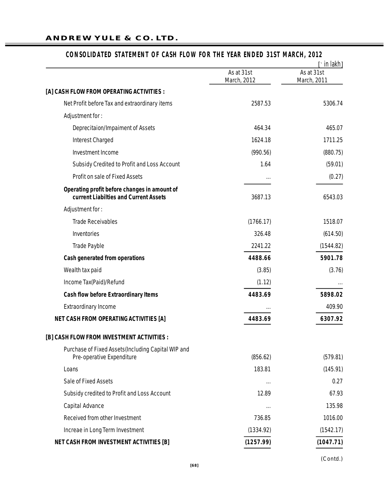#### **ANDREW YULE & CO. LTD.**

# As at 31st As at 31st March, 2012 March, 2011 **[A] CASH FLOW FROM OPERATING ACTIVITIES :** Net Profit before Tax and extraordinary items 2587.53 5306.74 Adjustment for : Deprecitaion/Impaiment of Assets 464.34 465.07 Interest Charged 1624.18 1711.25 Investment Income (990.56) (880.75) Subsidy Credited to Profit and Loss Account 1.64 1.64 (59.01) *Profit on sale of Fixed Assets* ... (0.27) **Operating profit before changes in amount of current Liabilties and Current Assets** 3687.13 6543.03 Adjustment for : Trade Receivables **Trade Receivables** (1766.17) 1518.07 Inventories 326.48 (614.50) Trade Payble 2241.22 (1544.82) **Cash generated from operations 4488.66 5901.78** Wealth tax paid (3.76) (3.76) Income Tax(Paid)/Refund in the contract of the contract of the contract of the contract of the contract of the contract of the contract of the contract of the contract of the contract of the contract of the contract of the **Cash flow before Extraordinary Items 4483.69 5898.02** *Extraordinary Income* ... 409.90 **NET CASH FROM OPERATING ACTIVITIES [A] 4483.69 6307.92 [B] CASH FLOW FROM INVESTMENT ACTIVITIES :** Purchase of Fixed Assets(Including Capital WIP and Pre-operative Expenditure (856.62) (579.81) Loans 183.81 (145.91) *Sale of Fixed Assets* ... 0.27 Subsidy credited to Profit and Loss Account 12.89 67.93 *Capital Advance* ... 135.98 Received from other Investment 1000 and 1016.00 and 1016.00 and 1016.00 and 1016.00 and 1016.00 and 1016.00 and 1016.00 and 1016.00 and 1016.00 and 1016.00 and 1016.00 and 1016.00 and 1016.00 and 1016.00 and 1016.00 and 10 Increae in Long Term Investment (1334.92) (1542.17) **NET CASH FROM INVESTMENT ACTIVITIES [B] (1257.99) (1047.71) [**` in lakh**]**

#### **CONSOLIDATED STATEMENT OF CASH FLOW FOR THE YEAR ENDED 31ST MARCH, 2012**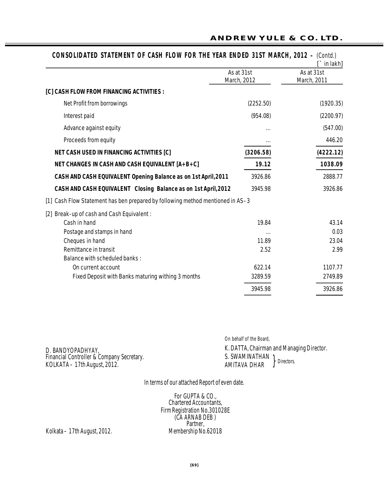|                                                                                     | As at 31st<br>March, 2012 | As at 31st<br>March, 2011 |
|-------------------------------------------------------------------------------------|---------------------------|---------------------------|
| [C] CASH FLOW FROM FINANCING ACTIVITIES :                                           |                           |                           |
| Net Profit from borrowings                                                          | (2252.50)                 | (1920.35)                 |
| Interest paid                                                                       | (954.08)                  | (2200.97)                 |
| Advance against equity                                                              |                           | (547.00)                  |
| Proceeds from equity                                                                |                           | 446.20                    |
| <b>NET CASH USED IN FINANCING ACTIVITIES [C]</b>                                    | (3206.58)                 | (4222.12)                 |
| <b>NET CHANGES IN CASH AND CASH EQUIVALENT [A+B+C]</b>                              | 19.12                     | 1038.09                   |
| CASH AND CASH EQUIVALENT Opening Balance as on 1st April, 2011                      | 3926.86                   | 2888.77                   |
| CASH AND CASH EQUIVALENT Closing Balance as on 1st April, 2012                      | 3945.98                   | 3926.86                   |
| Cash Flow Statement has ben prepared by following method mentioned in AS-3<br>$[1]$ |                           |                           |
| Break-up of cash and Cash Equivalent:<br>$[2]$                                      |                           |                           |
| Cash in hand                                                                        | 19.84                     | 43.14                     |
| Postage and stamps in hand                                                          |                           | 0.03                      |
| Cheques in hand                                                                     | 11.89                     | 23.04                     |
| Remittance in transit                                                               | 2.52                      | 2.99                      |
| <b>Balance with scheduled banks:</b>                                                |                           |                           |
| On current account                                                                  | 622.14                    | 1107.77                   |
| Fixed Deposit with Banks maturing withing 3 months                                  | 3289.59                   | 2749.89                   |
|                                                                                     | 3945.98                   | 3926.86                   |

D. BANDYOPADHYAY, *Financial Controller & Company Secretary.* KOLKATA – 17th August, 2012. }

On behalf of the Board, K. DATTA, *Chairman and Managing Director.* S. SWAMINATHAN

AMITAVA DHAR *Directors.*

In terms of our attached Report of even date.

For GUPTA & CO., *Chartered Accountants, Firm Registration No.301028E* (CA ARNAB DEB ) *Partner,*<br>Membership No.62018

Kolkata – 17th August, 2012.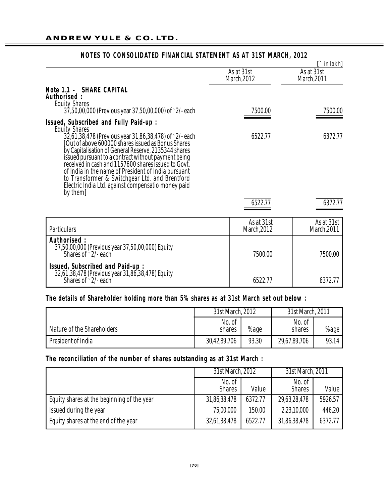|                                                                                                                                                                                                                                                                                                                                                                                                                                                                                      |                           | $\Gamma$ in lakh]         |  |
|--------------------------------------------------------------------------------------------------------------------------------------------------------------------------------------------------------------------------------------------------------------------------------------------------------------------------------------------------------------------------------------------------------------------------------------------------------------------------------------|---------------------------|---------------------------|--|
|                                                                                                                                                                                                                                                                                                                                                                                                                                                                                      | As at 31st<br>March, 2012 | As at 31st<br>March, 2011 |  |
| Note 1.1 - SHARE CAPITAL<br>Authorised:<br><b>Equity Shares</b><br>37,50,00,000 (Previous year 37,50,00,000) of `2/-each                                                                                                                                                                                                                                                                                                                                                             | 7500.00                   | 7500.00                   |  |
| Issued, Subscribed and Fully Paid-up:                                                                                                                                                                                                                                                                                                                                                                                                                                                |                           |                           |  |
| <b>Equity Shares</b><br>32,61,38,478 (Previous year 31,86,38,478) of `2/-each<br>[Out of above 600000 shares issued as Bonus Shares<br>by Capitalisation of General Reserve, 2135344 shares<br>issued pursuant to a contract without payment being<br>received in cash and 1157600 shares issued to Govt.<br>of India in the name of President of India pursuant<br>to Transformer & Switchgear Ltd. and Brentford<br>Electric India Ltd. against compensatio money paid<br>by them] | 6522.77                   | 6372.77                   |  |
|                                                                                                                                                                                                                                                                                                                                                                                                                                                                                      | 6522.77                   | 6372.77                   |  |
| <b>Particulars</b>                                                                                                                                                                                                                                                                                                                                                                                                                                                                   | As at 31st<br>March, 2012 | As at 31st<br>March, 2011 |  |
| Authorised:<br>37,50,00,000 (Previous year 37,50,00,000) Equity<br>Shares of $\cdot$ 2/-each                                                                                                                                                                                                                                                                                                                                                                                         | 7500.00                   | 7500.00                   |  |
| <b>Issued, Subscribed and Paid-up:</b><br>32,61,38,478 (Previous year 31,86,38,478) Equity<br>Shares of $\frac{1}{2}$ /-each                                                                                                                                                                                                                                                                                                                                                         | 6522.77                   | 6372.77                   |  |

## **NOTES TO CONSOLIDATED FINANCIAL STATEMENT AS AT 31ST MARCH, 2012**

#### The details of Shareholder holding more than 5% shares as at 31st March set out below :

|                            | 31st March, 2012 |       | 31st March, 2011 |       |
|----------------------------|------------------|-------|------------------|-------|
| Nature of the Shareholders | No. of<br>shares | %age  | No. of<br>shares | %age  |
| President of India         | 30,42,89,706     | 93.30 | 29,67,89,706     | 93.14 |

## The reconciliation of the number of shares outstanding as at 31st March :

|                                            | 31st March, 2012        |         | 31st March, 2011        |         |
|--------------------------------------------|-------------------------|---------|-------------------------|---------|
|                                            | No. of<br><b>Shares</b> | Value   | No. of<br><b>Shares</b> | Value   |
| Equity shares at the beginning of the year | 31,86,38,478            | 6372.77 | 29,63,28,478            | 5926.57 |
| Issued during the year                     | 75,00,000               | 150.00  | 2,23,10,000             | 446.20  |
| Equity shares at the end of the year       | 32,61,38,478            | 6522.77 | 31,86,38,478            | 6372.77 |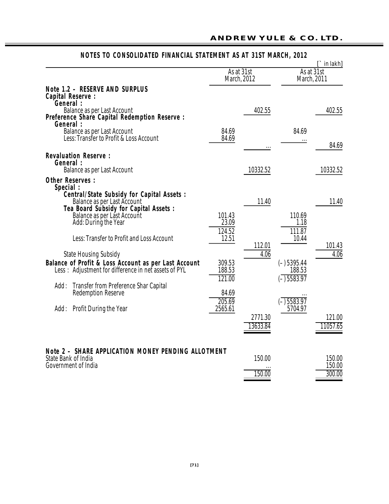|                                                                                                                                                                                                                                                                                                                                                                                                                     |                                                        | As at 31st              |                                                              | $\Gamma$ in lakh]<br>As at 31st |
|---------------------------------------------------------------------------------------------------------------------------------------------------------------------------------------------------------------------------------------------------------------------------------------------------------------------------------------------------------------------------------------------------------------------|--------------------------------------------------------|-------------------------|--------------------------------------------------------------|---------------------------------|
|                                                                                                                                                                                                                                                                                                                                                                                                                     |                                                        | March, 2012             | March, 2011                                                  |                                 |
| Note 1.2 - RESERVE AND SURPLUS<br><b>Capital Reserve:</b><br>General :<br>Balance as per Last Account<br>Preference Share Capital Redemption Reserve :<br>General :<br>Balance as per Last Account                                                                                                                                                                                                                  | 84.69                                                  | 402.55                  | 84.69                                                        | 402.55                          |
| Less: Transfer to Profit & Loss Account                                                                                                                                                                                                                                                                                                                                                                             | 84.69                                                  |                         | $\cdots$                                                     | 84.69                           |
| <b>Revaluation Reserve:</b><br>General :<br><b>Balance as per Last Account</b>                                                                                                                                                                                                                                                                                                                                      |                                                        | 10332.52                |                                                              | 10332.52                        |
| <b>Other Reserves:</b><br>Special:<br><b>Central/State Subsidy for Capital Assets:</b><br>Balance as per Last Account<br>Tea Board Subsidy for Capital Assets :<br>Balance as per Last Account<br>Add: During the Year<br>Less: Transfer to Profit and Loss Account<br><b>State Housing Subsidy</b><br>Balance of Profit & Loss Account as per Last Account<br>Less: Adjustment for difference in net assets of PYL | 101.43<br>23.09<br>124.52<br>12.51<br>309.53<br>188.53 | 11.40<br>112.01<br>4.06 | 110.69<br>1.18<br>111.87<br>10.44<br>$(-)$ 5395.44<br>188.53 | 11.40<br>101.43<br>4.06         |
| <b>Transfer from Preference Shar Capital</b><br>Add:<br><b>Redemption Reserve</b><br>Add: Profit During the Year                                                                                                                                                                                                                                                                                                    | 121.00<br>84.69<br>$\overline{205.69}$<br>2565.61      | 2771.30<br>13633.84     | $\overline{(-)}$ 5583.97<br>$\sqrt{-15583.97}$<br>5704.97    | 121.00<br>11057.65              |
| Note 2 - SHARE APPLICATION MONEY PENDING ALLOTMENT<br>State Bank of India<br>Government of India                                                                                                                                                                                                                                                                                                                    |                                                        | 150.00<br>150.00        |                                                              | 150.00<br>150.00<br>300.00      |

# **NOTES TO CONSOLIDATED FINANCIAL STATEMENT AS AT 31ST MARCH, 2012**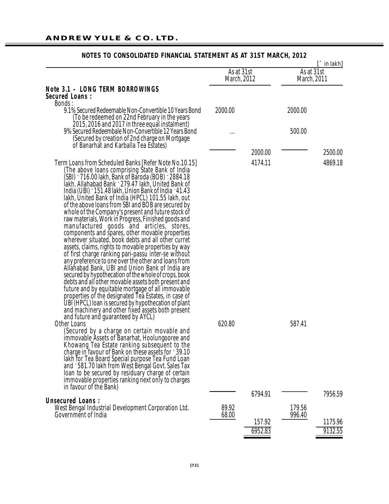| As at 31st<br>March, 2012                                                                                                                                                                                                                                                                                                                                                                                                                                                                                                                                                                                                                                                                                                                                                                                                                                                                                                                                                                                                                                                                                                                                                                                                     |                |                   | $\Gamma$ in lakh]<br>As at 31st<br>March, 2011 |                    |
|-------------------------------------------------------------------------------------------------------------------------------------------------------------------------------------------------------------------------------------------------------------------------------------------------------------------------------------------------------------------------------------------------------------------------------------------------------------------------------------------------------------------------------------------------------------------------------------------------------------------------------------------------------------------------------------------------------------------------------------------------------------------------------------------------------------------------------------------------------------------------------------------------------------------------------------------------------------------------------------------------------------------------------------------------------------------------------------------------------------------------------------------------------------------------------------------------------------------------------|----------------|-------------------|------------------------------------------------|--------------------|
| <b>Note 3.1 - LONG TERM BORROWINGS</b><br><b>Secured Loans:</b>                                                                                                                                                                                                                                                                                                                                                                                                                                                                                                                                                                                                                                                                                                                                                                                                                                                                                                                                                                                                                                                                                                                                                               |                |                   |                                                |                    |
| Bonds:                                                                                                                                                                                                                                                                                                                                                                                                                                                                                                                                                                                                                                                                                                                                                                                                                                                                                                                                                                                                                                                                                                                                                                                                                        |                |                   |                                                |                    |
| 9.1% Secured Redeemable Non-Convertible 10 Years Bond<br>(To be redeemed on 22nd February in the years                                                                                                                                                                                                                                                                                                                                                                                                                                                                                                                                                                                                                                                                                                                                                                                                                                                                                                                                                                                                                                                                                                                        | 2000.00        |                   | 2000.00                                        |                    |
| 2015, 2016 and 2017 in three equal instalment)<br>9% Secured Redeembale Non-Convertible 12 Years Bond<br>(Secured by creation of 2nd charge on Mortgage                                                                                                                                                                                                                                                                                                                                                                                                                                                                                                                                                                                                                                                                                                                                                                                                                                                                                                                                                                                                                                                                       |                |                   | 500.00                                         |                    |
| of Banarhat and Karballa Tea Estates)                                                                                                                                                                                                                                                                                                                                                                                                                                                                                                                                                                                                                                                                                                                                                                                                                                                                                                                                                                                                                                                                                                                                                                                         |                |                   |                                                |                    |
|                                                                                                                                                                                                                                                                                                                                                                                                                                                                                                                                                                                                                                                                                                                                                                                                                                                                                                                                                                                                                                                                                                                                                                                                                               |                | 2000.00           |                                                | 2500.00            |
| Term Loans from Scheduled Banks [Refer Note No.10.15]<br>(The above loans comprising State Bank of India<br>(SBI) ` 716.00 lakh, Bank of Baroda (BOB) ` 2884.18<br>lakh, Allahabad Bank `279.47 lakh, United Bank of<br>India (UBI) ` 151.48 lakh, Union Bank of India ` 41.43<br>lakh, United Bank of India (HPCL) 101.55 lakh, out<br>of the above loans from SBI and BOB are secured by<br>whole of the Company's present and future stock of<br>raw materials, Work in Progress, Finished goods and<br>manufactured goods and articles, stores,<br>components and spares, other movable properties<br>wherever situated, book debts and all other curret<br>assets, claims, rights to movable properties by way<br>of first charge ranking pari-passu inter-se without<br>any preference to one over the other and loans from<br>Allahabad Bank, UBI and Union Bank of India are<br>secured by hypothecation of the whole of crops, book<br>debts and all other movable assets both present and<br>future and by equitable mortgage of all immovable<br>properties of the designated Tea Estates, in case of<br>UBI (HPCL) loan is secured by hypothecation of plant<br>and machinery and other fixed assets both present |                | 4174.11           |                                                | 4869.18            |
| and future and quaranteed by AYCL)<br><b>Other Loans</b>                                                                                                                                                                                                                                                                                                                                                                                                                                                                                                                                                                                                                                                                                                                                                                                                                                                                                                                                                                                                                                                                                                                                                                      | 620.80         |                   | 587.41                                         |                    |
| (Secured by a charge on certain movable and<br>immovable Assets of Banarhat, Hoolungooree and<br>Khowang Tea Estate ranking subsequent to the<br>charge in favour of Bank on these assets for 39.10<br>lakh for Tea Board Special purpose Tea Fund Loan<br>and `581.70 lakh from West Bengal Govt. Sales Tax<br>loan to be secured by residuary charge of certain<br>immovable properties ranking next only to charges<br>in favour of the Bank)                                                                                                                                                                                                                                                                                                                                                                                                                                                                                                                                                                                                                                                                                                                                                                              |                |                   |                                                |                    |
|                                                                                                                                                                                                                                                                                                                                                                                                                                                                                                                                                                                                                                                                                                                                                                                                                                                                                                                                                                                                                                                                                                                                                                                                                               |                | 6794.91           |                                                | 7956.59            |
| <b>Unsecured Loans:</b><br>West Bengal Industrial Development Corporation Ltd.<br>Government of India                                                                                                                                                                                                                                                                                                                                                                                                                                                                                                                                                                                                                                                                                                                                                                                                                                                                                                                                                                                                                                                                                                                         | 89.92<br>68.00 |                   | 179.56<br>996.40                               |                    |
|                                                                                                                                                                                                                                                                                                                                                                                                                                                                                                                                                                                                                                                                                                                                                                                                                                                                                                                                                                                                                                                                                                                                                                                                                               |                | 157.92<br>6952.83 |                                                | 1175.96<br>9132.55 |

## **NOTES TO CONSOLIDATED FINANCIAL STATEMENT AS AT 31ST MARCH, 2012**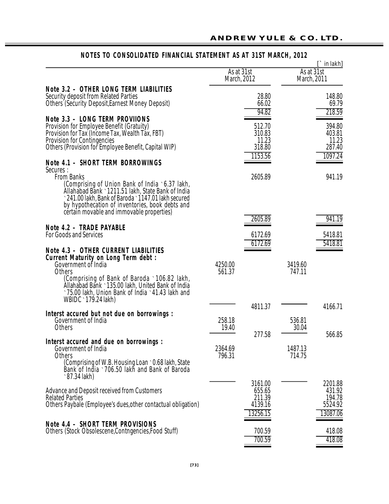#### As at 31st<br>March, 2012 March, 2011 March, 2011 **Note 3.2 - OTHER LONG TERM LIABILITIES** Security deposit from Related Parties 28.80 28.80 28.80 28.80 28.80 28.80 28.80 28.80 28.80 28.80 28.80 28.80 2 Others (Security Deposit,Earnest Money Deposit) 66.02<br>
94.82 218.59 **Note 3.3 – LONG TERM PROVIIONS** Provision for Employee Benefit (Gratuity) 512.70 394.80 Provision for Tax (Income Tax, Wealth Tax, FBT) 310.83 403.81 Provision for Contingencies 11.23 11.23 Others (Provision for Employee Benefit, Capital WIP)  $\frac{318.80}{1153.56}$  287.40 1153.56 **Note 4.1 – SHORT TERM BORROWINGS** Secures :<br>From Banks From Banks 2605.89 941.19 (Comprising of Union Bank of India `6.37 lakh, Allahabad Bank `1211.51 lakh, State Bank of India `241.00 lakh, Bank of Baroda `1147.01 lakh secured by hypothecation of inventories, book debts and certain movable and immovable properties) 2605.89 941.19 Note 4.2 - TRADE PAYABLE For Goods and Services 6172.69 5418.81 6172.69 5418.81 **Note 4.3 - OTHER CURRENT LIABILITIES Cu rr ent Matu rity on Lo ng Te rm de bt :** Government of India 4250.00 3419.60 Others 561.37 747.11 (Comprising of Bank of Baroda `106.82 lakh, Allahabad Bank `135.00 lakh, United Bank of India `75.00 lakh, Union Bank of India `41.43 lakh and WBIDC `179.24 lakh) 4811.37 4166.71 **Interst accured but not due on borrowings :** Government of India 258.18 536.81<br>Others 258.18 19.40 258.18 258.18 536.81 Others 30.04  $277.58$   $566.85$ **Interst accured and due on borrowings:** Government of India 2364.69 1487.13<br>Others 2016 1487.13 114.75 Others 796.31 714.75 (Comprising of W.B. Housing Loan `0.68 lakh, State Bank of India `706.50 lakh and Bank of Baroda `87.34 lakh) 3161.00 2201.88 Advance and Deposit received from Customers 655.65 431.92 Related Parties 201.39 194.78<br>211.39 194.78 Others Paybale (Employee's dues,other contactual obligation)  $\frac{4139.16}{13256.15}$  5524.92 13256.15 **Note 4.4 – SHORT TERM PROVISIONS** Others (Stock Obsolescene,Contngencies,Food Stuff) 700.59 418.08 700.59 418.08 **[**` in lakh**]**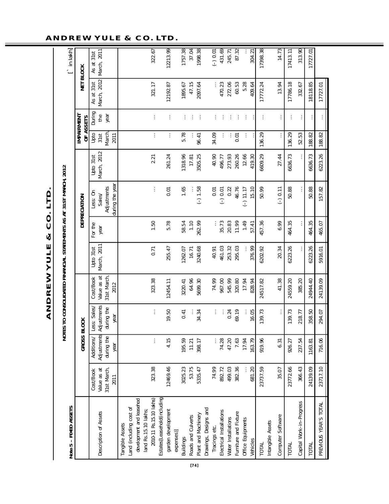| Note 5 - FIXED ASSETS |                                                 | <b>NOTE</b>                                     |                                                  |                                                |                                  |                 | S TO CONSOLIDATED FINANCIAL STATEMENTS AS AT 31ST MARCH, 2012 |                                     |                               |                            |                                 | $\ln  \text{akh} $              |
|-----------------------|-------------------------------------------------|-------------------------------------------------|--------------------------------------------------|------------------------------------------------|----------------------------------|-----------------|---------------------------------------------------------------|-------------------------------------|-------------------------------|----------------------------|---------------------------------|---------------------------------|
|                       |                                                 | GROSS BI                                        | <b>LOCK</b>                                      |                                                |                                  |                 | DEPRECIATION                                                  |                                     |                               | IMPAIRMENT<br>OF ASSETS    | <b>NET BLOCK</b>                |                                 |
|                       | 31st March,<br>Value as at<br>Cost/Book<br>2011 | Adjustments<br>during the<br>Additions/<br>year | Adjustments<br>ess: Sales/<br>during the<br>year | 31st March<br>Value as at<br>Cost/Book<br>2012 | March, 2011<br>31st<br>i<br>Doto | For the<br>year | during the yea<br>Adjustments<br>Less: On<br>Sales            | March, 2012<br>$31$ st<br>Upto<br>B | March<br>Upto<br>2011<br>31st | During<br>the<br>year      | March, 2012<br>$31$ st<br>As at | March, 2011<br>$31$ st<br>As at |
|                       |                                                 |                                                 |                                                  |                                                |                                  |                 |                                                               |                                     |                               |                            |                                 |                                 |
|                       | 323.38                                          | $\vdots$                                        | $\vdots$                                         | 323.38                                         | 0.71                             | 1.50            | $\vdots$                                                      | 2.21                                | $\vdots$                      | $\vdots$                   | 321.17                          | 322.67                          |
|                       | 12469.46                                        | 4.15                                            | 19.50                                            | 12454.11                                       | 255.47                           | 5.78            | 0.01                                                          | 261.24                              | $\vdots$                      | ÷                          | 12192.87                        | 12213.99                        |
|                       | 3025.23                                         | 195.59                                          | 0.41                                             | 3220.41                                        | 1262.07                          | 58.54           | 1.65                                                          | 1318.96                             | 5.78                          | $\vdots$                   | 1895.67                         | 1757.38                         |
|                       | 53.75                                           | 11.21                                           |                                                  | 64.96                                          | 16.71                            | 1.10            |                                                               | 17.81                               |                               | ÷                          | 47.15                           | 37.04                           |
|                       | 5335.47                                         | 398.17                                          | 34.34                                            | 5699.30                                        | 3240.68                          | 262.99          | $(-) 1.58$                                                    | 3505.25                             | 96.41                         | ÷                          | 2097.64                         | 1998.38                         |
|                       | 74.99                                           |                                                 |                                                  | 74.99                                          | 40.91                            |                 | 0.01                                                          | 40.90                               | 34.09                         |                            |                                 | $(-) 0.01$                      |
|                       | 892.72                                          | 74.28                                           | $\vdots$<br>$\vdots$                             | 967.00                                         | 461.03                           | 35.73           | $(-) 0.01$                                                    | 496.77                              | $\vdots$                      | $\ddot{\cdot}$<br>$\vdots$ | 470.23                          | 431.69                          |
|                       | 499.03                                          | 47.20                                           | 0.24                                             | 545.99                                         | 253.32                           | 20.83           | 0.22                                                          | 273.93                              |                               | ÷                          | 272.06                          | 245.71                          |
|                       | 382.36                                          | 7.63                                            | 69.19                                            | 320.80                                         | 295.03                           | 11.99           | 46.76                                                         | 260.26                              | 0.01                          | ÷                          | 60.53                           | 87.32                           |
|                       | 681.20                                          | 163.79<br>17.94                                 | 16.05                                            | 17.94<br>828.94                                | 376.99                           | 1.49<br>57.41   | 5.10<br>$(-) 11.17$                                           | 12.66<br>419.30                     | $\vdots$                      | ÷                          | 5.28<br>409.64                  | 304.21                          |
|                       | 23737.59                                        | 919.96                                          | 139.73                                           | 24517.82                                       | 6202.92                          | 457.36          | 50.99                                                         | 6609.29                             | 136.29                        | $\vdots$                   | 17772.24                        | 17398.38                        |
|                       | 35.07                                           | 6.31                                            |                                                  | 41.38                                          | 20.34                            | 6.99            | $(-) 0.11$                                                    | 27.44                               | $\vdots$                      |                            | 13.94                           | 14.73                           |
|                       | 23772.66                                        | 926.27                                          | 139.73                                           | 24559.20                                       | 6223.26                          | 464.35          | 50.88                                                         | 6636.73                             | 136.29                        | ÷                          | 17786.18                        | 17413.11                        |
|                       | 366.43                                          | 237.54                                          | 218.77                                           | 385.20                                         |                                  |                 | $\vdots$                                                      |                                     | 52.53                         | ÷                          | 332.67                          | 313.90                          |
|                       | 24139.09                                        | 1163.81                                         | 358.50                                           | 24944.40                                       | 6223.26                          | 464.35          | 50.88                                                         | 6636.73                             | 188.82                        | $\vdots$                   | 18118.85                        | 17727.01                        |
|                       | 23717.10                                        | 716.06                                          | 294.07                                           | 24139.09                                       | 5916.01                          | 465.07          | 157.82                                                        | 6223.26                             | 188.82                        | $\vdots$                   | 17727.01                        |                                 |
|                       |                                                 |                                                 |                                                  |                                                |                                  |                 |                                                               |                                     |                               |                            |                                 |                                 |

ANDREW YULE & CO. LTD. **ANDREW YULE & CO. LTD.**

#### **ANDREW YULE & CO. LTD.**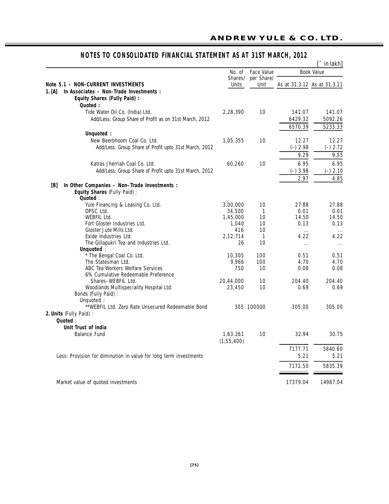|                                                                   |                  |                    |            | in lakh]                    |
|-------------------------------------------------------------------|------------------|--------------------|------------|-----------------------------|
|                                                                   | No. of           | <b>Face Value</b>  |            | <b>Book Value</b>           |
| <b>Note 5.1 - NON-CURRENT INVESTMENTS</b>                         | Shares/<br>Units | per Share/<br>Unit |            | As at 31.3.12 As at 31.3.11 |
| In Associates - Non-Trade Investments :<br>1. [A]                 |                  |                    |            |                             |
| <b>Equity Shares (Fully Paid):</b>                                |                  |                    |            |                             |
| Quoted:                                                           |                  |                    |            |                             |
|                                                                   |                  | 10                 | 141.07     | 141.07                      |
| Tide Water Oil Co. (India) Ltd.                                   | 2,28,390         |                    |            |                             |
| Add/Less: Group Share of Profit as on 31st March, 2012            |                  |                    | 6429.32    | 5092.26                     |
|                                                                   |                  |                    | 6570.39    | 5233.33                     |
| Unquoted :                                                        |                  |                    |            |                             |
| New Beerbhoom Coal Co. Ltd.                                       | 1,05,355         | 10                 | 12.27      | 12.27                       |
| Add/Less: Group Share of Profit upto 31st March, 2012             |                  |                    | $(-)$ 2.98 | $(-) 2.72$                  |
|                                                                   |                  |                    | 9.29       | 9.55                        |
| Katras Jherriah Coal Co. Ltd.                                     | 60,260           | 10                 | 6.95       | 6.95                        |
| Add/Less: Group Share of Profit upto 31st March, 2012             |                  |                    |            | $(-)$ 2.10                  |
|                                                                   |                  |                    | $(-)3.98$  |                             |
|                                                                   |                  |                    | 2.97       | 4.85                        |
| In Other Companies - Non-Trade Investments :<br>[B]               |                  |                    |            |                             |
| Equity Shares (Fully Paid) :                                      |                  |                    |            |                             |
| Quoted:                                                           |                  |                    |            |                             |
| Yule Financing & Leasing Co. Ltd.                                 | 3,00,000         | 10                 | 27.88      | 27.88                       |
| DPSC Ltd.                                                         | 34,500           | $\mathbf{1}$       | 0.01       | 0.01                        |
| <b>WEBFIL Ltd.</b>                                                | 1,45,000         | 10                 | 14.50      | 14.50                       |
| Fort Gloster Industries Ltd.                                      | 1,040            | 10                 | 0.13       | 0.13                        |
| Gloster Jute Mills Ltd.                                           | 416              | 10                 | $\cdots$   | $\cdots$                    |
| Exide Industries Ltd.                                             | 2,12,714         | $\mathbf{1}$       | 4.22       | 4.22                        |
| The Gillapukri Tea and Industries Ltd.                            | 26               | 10                 | $\cdots$   | $\cdots$                    |
| Unquoted:<br>* The Bengal Coal Co. Ltd.                           |                  | 100                | 0.51       | 0.51                        |
| The Statesman Ltd.                                                | 10,305<br>9,966  | 100                | 4.70       | 4.70                        |
| ABC Tea Workers Welfare Services                                  | 750              | 10                 | 0.08       | 0.08                        |
| 6% Cumulative Redeemable Preference                               |                  |                    |            |                             |
| Shares-WEBFIL Ltd.                                                | 20,44,000        | 10                 | 204.40     | 204.40                      |
| Woodlands Multispeciality Hospital Ltd.                           | 23,450           | 10                 | 0.69       | 0.69                        |
| Bonds (Fully Paid) :                                              |                  |                    |            |                             |
| Unquoted:                                                         |                  |                    |            |                             |
| **WEBFIL Ltd. Zero Rate Unsecured Redeemable Bond                 |                  | 305 100000         | 305.00     | 305.00                      |
| 2. Units (Fully Paid) :                                           |                  |                    |            |                             |
| Quoted:                                                           |                  |                    |            |                             |
| Unit Trust of India                                               |                  |                    |            |                             |
| <b>Balance Fund</b>                                               |                  | 10                 | 32.94      | 30.75                       |
|                                                                   | 1,63,261         |                    |            |                             |
|                                                                   | (1, 55, 400)     |                    |            |                             |
|                                                                   |                  |                    | 7177.71    | 5840.60                     |
| Less: Provision for diminution in value for long term investments |                  |                    | 5.21       | 5.21                        |
|                                                                   |                  |                    | 7172.50    | 5835.39                     |
|                                                                   |                  |                    |            |                             |
| Market value of quoted investments                                |                  |                    | 17379.04   | 14987.04                    |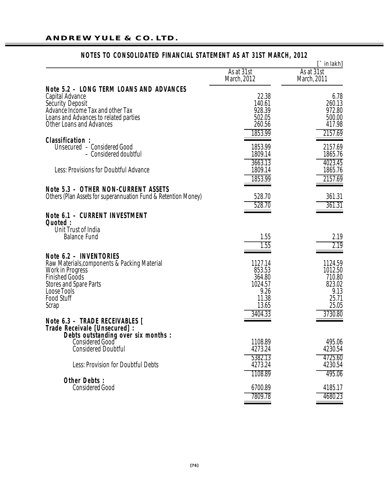|                                                                                                        | As at 31st<br>March, 2012 | $\Gamma$ in lakh]<br>As at 31st<br>March, 2011 |
|--------------------------------------------------------------------------------------------------------|---------------------------|------------------------------------------------|
| Note 5.2 - LONG TERM LOANS AND ADVANCES                                                                |                           |                                                |
| Capital Advance                                                                                        | 22.38                     | 6.78                                           |
| <b>Security Deposit</b>                                                                                | 140.61                    | 260.13                                         |
| Advance Income Tax and other Tax                                                                       | 928.39                    | 972.80<br>500.00                               |
| Loans and Advances to related parties<br><b>Other Loans and Advances</b>                               | 502.05<br>260.56          | 417.98                                         |
|                                                                                                        | 1853.99                   | 2157.69                                        |
| <b>Classification:</b>                                                                                 |                           |                                                |
| Unsecured - Considered Good                                                                            | 1853.99                   | 2157.69                                        |
| - Considered doubtful                                                                                  | 1809.14<br>3663.13        | 1865.76<br>4023.45                             |
| Less: Provisions for Doubtful Advance                                                                  | 1809.14                   | 1865.76                                        |
|                                                                                                        | 1853.99                   | 2157.69                                        |
| Note 5.3 - OTHER NON-CURRENT ASSETS                                                                    |                           |                                                |
| Others (Plan Assets for superannuation Fund & Retention Money)                                         | 528.70                    | 361.31                                         |
|                                                                                                        | 528.70                    | 361.31                                         |
| Note 6.1 - CURRENT INVESTMENT                                                                          |                           |                                                |
| Quoted:                                                                                                |                           |                                                |
| Unit Trust of India                                                                                    |                           |                                                |
| <b>Balance Fund</b>                                                                                    | 1.55                      | 2.19                                           |
|                                                                                                        | 1.55                      | 2.19                                           |
| <b>Note 6.2 - INVENTORIES</b><br>Raw Materials, components & Packing Material                          | 1127.14                   | 1124.59                                        |
| <b>Work in Progress</b>                                                                                | 853.53                    | 1012.50                                        |
| <b>Finished Goods</b>                                                                                  | 364.80                    | 710.80                                         |
| <b>Stores and Spare Parts</b>                                                                          | 1024.57                   | 823.02                                         |
| Loose Tools<br><b>Food Stuff</b>                                                                       | 9.26<br>11.38             | 9.13<br>25.71                                  |
| Scrap                                                                                                  | 13.65                     | 25.05                                          |
|                                                                                                        | 3404.33                   | 3730.80                                        |
| Note 6.3 - TRADE RECEIVABLES [<br>Trade Receivale [Unsecured] :<br>Debts outstanding over six months : |                           |                                                |
|                                                                                                        |                           |                                                |
| Considered Good                                                                                        | 1108.89                   | 495.06                                         |
| <b>Considered Doubtful</b>                                                                             | 4273.24                   | 4230.54                                        |
|                                                                                                        | 5382.13                   | 4725.60                                        |
| Less: Provision for Doubtful Debts                                                                     | 4273.24                   | 4230.54                                        |
| <b>Other Debts:</b>                                                                                    | 1108.89                   | 495.06                                         |
| <b>Considered Good</b>                                                                                 | 6700.89                   | 4185.17                                        |
|                                                                                                        | 7809.78                   | 4680.23                                        |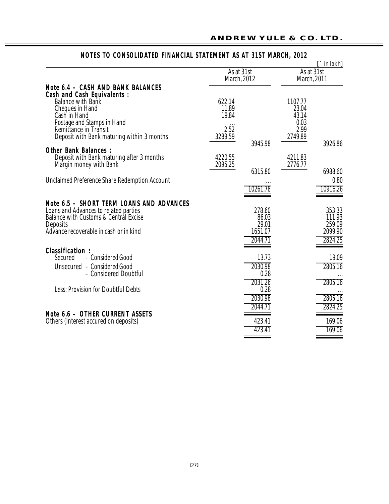|                                                                                                                                                                                                    |                           |                                                |                                   | $\lceil \cdot \rceil$ in lakh]                   |
|----------------------------------------------------------------------------------------------------------------------------------------------------------------------------------------------------|---------------------------|------------------------------------------------|-----------------------------------|--------------------------------------------------|
|                                                                                                                                                                                                    | As at 31st<br>March, 2012 |                                                | As at 31st<br>March, 2011         |                                                  |
| <b>Note 6.4 - CASH AND BANK BALANCES</b><br><b>Cash and Cash Equivalents:</b>                                                                                                                      |                           |                                                |                                   |                                                  |
| <b>Balance with Bank</b><br><b>Cheques in Hand</b><br>Cash in Hand                                                                                                                                 | 622.14<br>11.89<br>19.84  |                                                | 1107.77<br>23.04<br>43.14<br>0.03 |                                                  |
| Postage and Stamps in Hand<br>Remittance in Transit<br>Deposit with Bank maturing within 3 months                                                                                                  | 2.52<br>3289.59           | 3945.98                                        | 2.99<br>2749.89                   | 3926.86                                          |
| <b>Other Bank Balances:</b><br>Deposit with Bank maturing after 3 months<br>Margin money with Bank                                                                                                 | 4220.55<br>2095.25        | 6315.80                                        | 4211.83<br>2776.77                | 6988.60                                          |
| <b>Unclaimed Preference Share Redemption Account</b>                                                                                                                                               |                           | 10261.78                                       |                                   | 0.80<br>10916.26                                 |
| Note 6.5 - SHORT TERM LOANS AND ADVANCES<br>Loans and Advances to related parties<br><b>Balance with Customs &amp; Central Excise</b><br><b>Deposits</b><br>Advance recoverable in cash or in kind |                           | 278.60<br>86.03<br>29.01<br>1651.07<br>2044.71 |                                   | 353.33<br>111.93<br>259.09<br>2099.90<br>2824.25 |
| <b>Classification:</b><br>- Considered Good<br>Secured<br>Unsecured - Considered Good<br>- Considered Doubtful                                                                                     |                           | 13.73<br>2030.98<br>0.28<br>2031.26            |                                   | 19.09<br>2805.16<br>2805.16                      |
| <b>Less: Provision for Doubtful Debts</b>                                                                                                                                                          |                           | 0.28<br>2030.98<br>2044.71                     |                                   | 2805.16<br>2824.25                               |
| Note 6.6 - OTHER CURRENT ASSETS<br>Others (Interest accured on deposits)                                                                                                                           |                           | 423.41<br>423.41                               |                                   | 169.06<br>169.06                                 |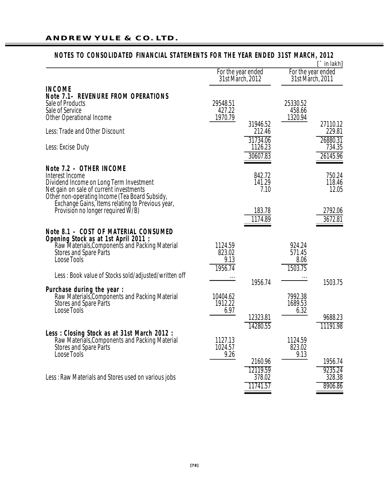|                                                                                                                                                                                                                                                                             |                                        |                                           |                                        | $\Gamma$ in lakh]                       |
|-----------------------------------------------------------------------------------------------------------------------------------------------------------------------------------------------------------------------------------------------------------------------------|----------------------------------------|-------------------------------------------|----------------------------------------|-----------------------------------------|
|                                                                                                                                                                                                                                                                             | For the year ended<br>31st March, 2012 |                                           | For the year ended<br>31st Márch, 2011 |                                         |
| <b>INCOME</b><br><b>Note 7.1- REVENURE FROM OPERATIONS</b><br>Sale of Products<br>Sale of Service<br><b>Other Operational Income</b>                                                                                                                                        | 29548.51<br>427.22<br>1970.79          |                                           | 25330.52<br>458.66<br>1320.94          |                                         |
| Less: Trade and Other Discount                                                                                                                                                                                                                                              |                                        | 31946.52<br>212.46                        |                                        | 27110.12<br>229.81                      |
| Less: Excise Duty                                                                                                                                                                                                                                                           |                                        | 31734.06<br>1126.23<br>30607.83           |                                        | 26880.31<br>734.35<br>26145.96          |
| Note 7.2 - OTHER INCOME<br>Interest Income<br>Dividend Income on Long Term Investment<br>Net gain on sale of current investments<br>Other non-operating Income (Tea Board Subsidy,<br>Exchange Gains, Items relating to Previous year,<br>Provision no longer required W/B) |                                        | 842.72<br>141.29<br>7.10<br>183.78        |                                        | 750.24<br>118.46<br>12.05<br>2792.06    |
|                                                                                                                                                                                                                                                                             |                                        | 1174.89                                   |                                        | 3672.81                                 |
| Note 8.1 - COST OF MATERIAL CONSUMED<br>Opening Stock as at 1st April 2011 :<br>Raw Materials, Components and Packing Material<br><b>Stores and Spare Parts</b><br><b>Loose Tools</b><br>Less : Book value of Stocks sold/adjusted/written off                              | 1124.59<br>823.02<br>9.13<br>1956.74   |                                           | 924.24<br>571.45<br>8.06<br>1503.75    |                                         |
| Purchase during the year :<br>Raw Materials, Components and Packing Material<br><b>Stores and Spare Parts</b><br><b>Loose Tools</b>                                                                                                                                         | 10404.62<br>1912.22<br>6.97            | 1956.74<br>12323.81                       | 7992.38<br>1689.53<br>6.32             | 1503.75<br>9688.23                      |
| Less: Closing Stock as at 31st March 2012:<br>Raw Materials, Components and Packing Material<br><b>Stores and Spare Parts</b><br><b>Loose Tools</b>                                                                                                                         | 1127.13<br>1024.57<br>9.26             | 14280.55                                  | 1124.59<br>823.02<br>9.13              | 11191.98                                |
| Less: Raw Materials and Stores used on various jobs                                                                                                                                                                                                                         |                                        | 2160.96<br>12119.59<br>378.02<br>11741.57 |                                        | 1956.74<br>9235.24<br>328.38<br>8906.86 |

# **NOTES TO CONSOLIDATED FINANCIAL STATEMENTS FOR THE YEAR ENDED 31ST MARCH, 2012**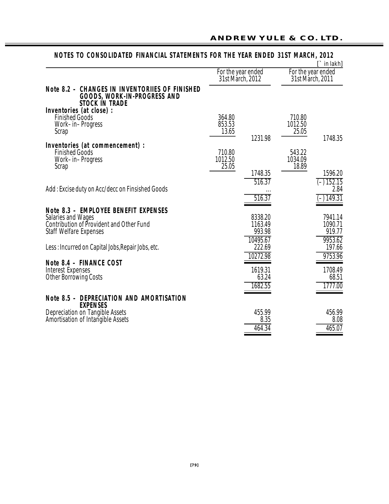|                                                                                                                                                |                                        |                                         |                            | $\Gamma$ in lakh]                         |
|------------------------------------------------------------------------------------------------------------------------------------------------|----------------------------------------|-----------------------------------------|----------------------------|-------------------------------------------|
|                                                                                                                                                | For the year ended<br>31st March, 2012 |                                         |                            | For the year ended<br>31st Márch, 2011    |
| <b>Note 8.2 - CHANGES IN INVENTORIIES OF FINISHED</b><br><b>GOODS, WORK-IN-PROGRESS AND</b><br><b>STOCK IN TRADE</b>                           |                                        |                                         |                            |                                           |
| Inventories (at close) :<br><b>Finished Goods</b><br>Work-in-Progress<br>Scrap                                                                 | 364.80<br>853.53<br>13.65              | 1231.98                                 | 710.80<br>1012.50<br>25.05 | 1748.35                                   |
| Inventories (at commencement) :<br><b>Finished Goods</b><br>Work-in-Progress<br>Scrap                                                          | 710.80<br>1012.50<br>25.05             |                                         | 543.22<br>1034.09<br>18.89 |                                           |
| Add: Excise duty on Acc/decc on Finsished Goods                                                                                                |                                        | 1748.35<br>516.37<br>516.37             |                            | 1596.20<br>$(-) 152.15$<br>2.84<br>149.31 |
| Note 8.3 - EMPLOYEE BENEFIT EXPENSES<br><b>Salaries and Wages</b><br>Contribution of Provident and Other Fund<br><b>Staff Welfare Expenses</b> |                                        | 8338.20<br>1163.49<br>993.98            |                            | 7941.14<br>1090.71<br>919.77              |
| Less: Incurred on Capital Jobs, Repair Jobs, etc.                                                                                              |                                        | 10495.67<br>222.69                      |                            | 9953.62<br>197.66                         |
| Note 8.4 - FINANCE COST<br>Interest Expenses<br><b>Other Borrowing Costs</b>                                                                   |                                        | 10272.98<br>1619.31<br>63.24<br>1682.55 |                            | 9753.96<br>1708.49<br>68.51<br>1777.00    |
| <b>Note 8.5 - DEPRECIATION AND AMORTISATION</b><br><b>EXPENSES</b>                                                                             |                                        |                                         |                            |                                           |
| Depreciation on Tangible Assets<br>Amortisation of Intangible Assets                                                                           |                                        | 455.99<br>8.35<br>464.34                |                            | 456.99<br>8.08<br>465.07                  |

## NOTES TO CONSOLIDATED FINANCIAL STATEMENTS FOR THE YEAR ENDED 31ST MARCH, 2012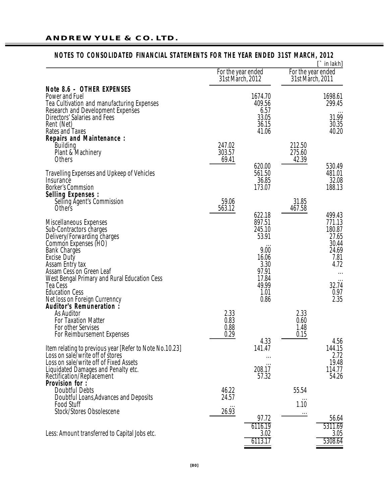|                                                                                                                                                                                                           |                                        |                                                              |                                        | $\Gamma$ in lakh]                                                     |
|-----------------------------------------------------------------------------------------------------------------------------------------------------------------------------------------------------------|----------------------------------------|--------------------------------------------------------------|----------------------------------------|-----------------------------------------------------------------------|
|                                                                                                                                                                                                           | For the year ended<br>31st March, 2012 |                                                              | For the year ended<br>31st March, 2011 |                                                                       |
| Note 8.6 - OTHER EXPENSES<br>Power and Fuel<br>Tea Cultivation and manufacturing Expenses<br>Research and Development Expenses                                                                            |                                        | 1674.70<br>409.56<br>6.57                                    |                                        | 1698.61<br>299.45                                                     |
| Directors' Salaries and Fees<br>Rent (Net)<br>Rates and Taxes<br><b>Repairs and Maintenance:</b>                                                                                                          |                                        | 33.05<br>36.15<br>41.06                                      |                                        | 31.99<br>30.35<br>40.20                                               |
| Building<br>Plant & Machinery<br><b>Others</b>                                                                                                                                                            | 247.02<br>303.57<br>69.41              |                                                              | 212.50<br>275.60<br>42.39              |                                                                       |
| <b>Travelling Expenses and Upkeep of Vehicles</b><br>Insurance<br><b>Borker's Commsion</b><br><b>Selling Expenses:</b>                                                                                    |                                        | 620.00<br>561.50<br>36.85<br>173.07                          |                                        | 530.49<br>481.01<br>32.08<br>188.13                                   |
| Selling Agent's Commission<br>Others                                                                                                                                                                      | 59.06<br>563.12                        |                                                              | 31.85<br>467.58                        |                                                                       |
| <b>Miscellaneous Expenses</b><br>Sub-Contractors charges<br>Delivery/Forwarding charges<br>Common Expenses (HO)<br><b>Bank Charges</b><br>Excise Duty<br>Assam Entry tax                                  |                                        | 622.18<br>897.51<br>245.10<br>53.91<br>9.00<br>16.06<br>3.30 |                                        | 499.43<br>771.13<br>180.87<br>27.65<br>30.44<br>24.69<br>7.81<br>4.72 |
| Assam Cess on Green Leaf<br>West Bengal Primary and Rural Education Cess<br>Tea Cess<br><b>Education Cess</b><br>Net loss on Foreign Currenncy                                                            |                                        | 97.91<br>17.84<br>49.99<br>1.01<br>0.86                      |                                        | $\cdots$<br>32.74<br>0.97<br>2.35                                     |
| Auditor's Remuneration:<br>As Auditor<br><b>For Taxation Matter</b><br>For other Servises<br>For Reimbursement Expenses                                                                                   | 2.33<br>0.83<br>0.88<br>0.29           | 4.33                                                         | 2.33<br>0.60<br>1.48<br>0.15           | 4.56                                                                  |
| Item relating to previous year [Refer to Note No.10.23]<br>Loss on sale/write off of stores<br>Loss on sale/write off of Fixed Assets<br>Liquidated Damages and Penalty etc.<br>Rectification/Replacement |                                        | 141.47<br>208.17<br>57.32                                    |                                        | 144.15<br>2.72<br>19.48<br>114.77<br>54.26                            |
| Provision for :<br><b>Doubtful Debts</b><br>Doubtful Loans, Advances and Deposits<br><b>Food Stuff</b><br>Stock/Stores Obsolescene                                                                        | 46.22<br>24.57<br>26.93                |                                                              | 55.54<br>1.10<br>$\ldots$              |                                                                       |
| Less: Amount transferred to Capital Jobs etc.                                                                                                                                                             |                                        | 97.72<br>6116.19<br>3.02<br>6113.17                          |                                        | 56.64<br>5311.69<br>3.05<br>5308.64                                   |

# NOTES TO CONSOLIDATED FINANCIAL STATEMENTS FOR THE YEAR ENDED 31ST MARCH, 2012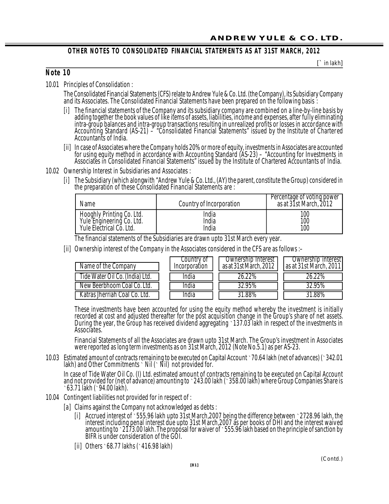## **OTHER NOTES TO CONSOLIDATED FINANCIAL STATEMENTS AS AT 31ST MARCH, 2012**

**[**` in lakh**]**

## **N ote 1 0**

10.01 Principles of Consolidation :

The Consolidated Financial Statements (CFS) relate to Andrew Yule & Co. Ltd. (the Company), its Subsidiary Company and its Associates. The Consolidated Financial Statements have been prepared on the following basis :

- [i] The financial statements of the Company and its subsidiary company are combined on a line-by-line basis by adding together the book values of like items of assets, liabilities, income and expenses, after fully eliminating intra-group balances and intra-group transactions resulting in unrealized profits or losses in accordance with Accounting Standard (AS-21) – "Consolidated Financial Statements" issued by the Institute of Chartered Accountants of India.
- [ii] In case of Associates where the Company holds 20% or more of equity, investments in Associates are accounted for using equity method in accordance with Accounting Standard (AS-23) – "Accounting for Investments in Associates in Consolidated Financial Statements" issued by the Institute of Chartered Accountants of India.
- 10.02 Ownership Interest in Subsidiaries and Associates :
	- [i] The Subsidiary (which alongwith "Andrew Yule & Co. Ltd., (AY) the parent, constitute the Group) considered in the preparation of these Consolidated Financial Statements are :

| Name                      | Country of Incorporation | Percentage of voting power<br>as at 31st March, 2012 |
|---------------------------|--------------------------|------------------------------------------------------|
| Hooghly Printing Co. Ltd. | India                    | 100                                                  |
| Yule Engineering Co. Ltd. | India                    | 100                                                  |
| Yule Electrical Co. Ltd.  | India                    | 100                                                  |

The financial statements of the Subsidiaries are drawn upto 31st March every year.

[ii] Ownership interest of the Company in the Associates considered in the CFS are as follows :–

| Name of the Company             | Country of<br>Incorporation | Ownership Interest<br>as at 31st March, 2012 | Ownership interest<br>as at 31st March, 2011 |
|---------------------------------|-----------------------------|----------------------------------------------|----------------------------------------------|
| Tide Water Oil Co. (India) Ltd. | India                       | 26.22%                                       | 26.22%                                       |
| New Beerbhoom Coal Co. Ltd.     | India                       | 32.95%                                       | 32.95%                                       |
| Katras Jherriah Coal Co. Ltd.   | ndia                        | $31.88\%$                                    | 31.88%                                       |

These investments have been accounted for using the equity method whereby the investment is initially recorded at cost and adjusted thereafter for the post acquisition change in the Group's share of net assets. During the year, the Group has received dividend aggregating `137.03 lakh in respect of the investments in Associates.

Financial Statements of all the Associates are drawn upto 31st March. The Group's investment in Associates were reported as long term investments as on 31st March, 2012 (Note No.5.1) as per AS-23.

10.03 Estimated amount of contracts remaining to be executed on Capital Account `70.64 lakh (net of advances) (`342.01 lakh) and Other Commitments  $\cdot$  Nil ( $\cdot$  Nil) not provided for.

In case of Tide Water Oil Co. (I) Ltd. estimated amount of contracts remaining to be executed on Capital Account and not provided for (net of advance) amounting to `243.00 lakh (`358.00 lakh) where Group Companies Share is `63.71 lakh (`94.00 lakh).

- 10.04 Contingent liabilities not provided for in respect of :
	- [a] Claims against the Company not acknowledged as debts :
		- [i] Accrued interest of `555.96 lakh upto 31st March,2007 being the difference between `2728.96 lakh, the interest including penal interest due upto 31st March,2007 as per books of DHI and the interest waived amounting to `2173.00 lakh. The proposal for waiver of `555.96 lakh based on the principle of sanction by BIFR is under consideration of the GOI.
		- [ii] Others `68.77 lakhs (`416.98 lakh)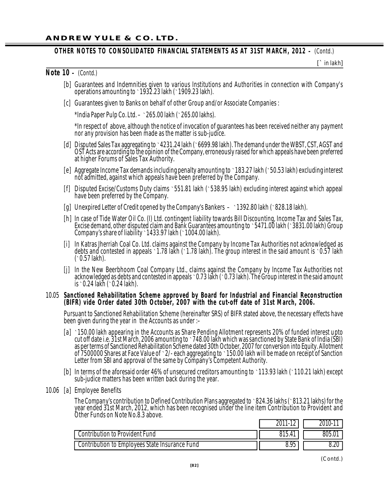#### **OTHER NOTES TO CONSOLIDATED FINANCIAL STATEMENTS AS AT 31ST MARCH, 2012 –** *(Contd.)*

**[**` in lakh**]**

#### **Note 10 –** *(Contd.)*

- [b] Guarantees and Indemnities given to various Institutions and Authorities in connection with Company's operations amounting to `1932.23 lakh (`1909.23 lakh).
- [c] Guarantees given to Banks on behalf of other Group and/or Associate Companies :

\*India Paper Pulp Co. Ltd.  $\cdot$  265.00 lakh ( $\cdot$  265.00 lakhs).

\*In respect of above, although the notice of invocation of guarantees has been received neither any payment nor any provision has been made as the matter is sub-judice.

- [d] Disputed Sales Tax aggregating to `4231.24 lakh (`6699.98 lakh). The demand under the WBST, CST, AGST and OST Acts are according to the opinion of the Company, erroneously raised for which appeals have been preferred at higher Forums of Sales Tax Authority.
- [e] Aggregate Income Tax demands including penalty amounting to `183.27 lakh (`50.53 lakh) excluding interest not admitted, against which appeals have been preferred by the Company.
- [f] Disputed Excise/Customs Duty claims `551.81 lakh (`538.95 lakh) excluding interest against which appeal have been preferred by the Company.
- [g] Unexpired Letter of Credit opened by the Company's Bankers `1392.80 lakh (`828.18 lakh).
- [h] In case of Tide Water Oil Co. (I) Ltd. contingent liability towards Bill Discounting, Income Tax and Sales Tax, Excise demand, other disputed claim and Bank Guarantees amounting to `5471.00 lakh (`3831.00 lakh) Group Company's share of liability  $\cdot$  1433.97 lakh ( $\cdot$  1004.00 lakh).
- [i] In Katras Jherriah Coal Co. Ltd. claims against the Company by Income Tax Authorities not acknowledged as debts and contested in appeals `1.78 lakh (`1.78 lakh). The group interest in the said amount is `0.57 lakh  $($  0.57 lakh).
- [j] In the New Beerbhoom Coal Company Ltd., claims against the Company by Income Tax Authorities not acknowledged as debts and contested in appeals `0.73 lakh (`0.73 lakh). The Group interest in the said amount is `0.24 lakh (`0.24 lakh).

#### 10.05 **San ctione d Reha bilita tion Scheme appro ved by Board for I ndustr ial a nd Fin ancial Recon struction** (BIFR) vide Order dated 30th October, 2007 with the cut-off date of 31st March, 2006.

Pursuant to Sanctioned Rehabilitation Scheme (hereinafter SRS) of BIFR stated above, the necessary effects have been given during the year in the Accounts as under :–

- [a] `150.00 lakh appearing in the Accounts as Share Pending Allotment represents 20% of funded interest upto cut off date i.e. 31st March, 2006 amounting to `748.00 lakh which was sanctioned by State Bank of India (SBI) as per terms of Sanctioned Rehabilitation Scheme dated 30th October, 2007 for conversion into Equity. Allotment of 7500000 Shares at Face Value of `2/- each aggregating to `150.00 lakh will be made on receipt of Sanction Letter from SBI and approval of the same by Company's Competent Authority.
- [b] In terms of the aforesaid order 46% of unsecured creditors amounting to `113.93 lakh (`110.21 lakh) except sub-judice matters has been written back during the year.
- 10.06 [a] Employee Benefits

The Company's contribution to Defined Contribution Plans aggregated to `824.36 lakhs (`813.21 lakhs) for the year ended 31st March, 2012, which has been recognised under the line item Contribution to Provident and Other Funds on Note No.8.3 above.

|                                                | 2011<br>$\overline{\phantom{a}}$ | $2010 -$ |
|------------------------------------------------|----------------------------------|----------|
| <b>Contribution to Provident Fund</b>          | 815.41                           | 805.01   |
| Contribution to Employees State Insurance Fund | 8.95                             | 8.20     |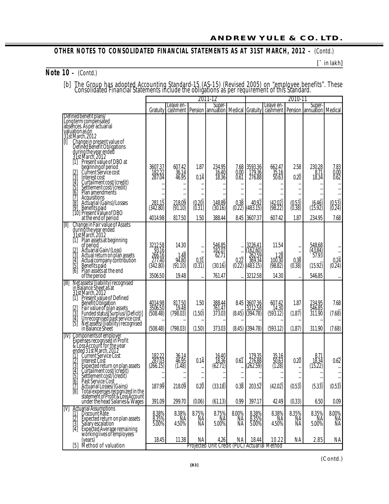#### **OTHER NOTES TO CONSOLIDATED FINANCIAL STATEMENTS AS AT 31ST MARCH, 2012 - (Contd.)**

**[**` in lakh**]**

**Note 10 –** *(Contd.)*

[b] The Group has adopted Accounting Standard-15 (AS-15) (Revised 2005) on "employee benefits". These Consolidated Financial Statements include the obligations as per requirement of this Sťandard.

|                                                                                                                                                                                                                                                                                                    |                                                                    |                                             | J                                                    | 2011-12                                              |                                 | 2010-11                                                        |                                                          |                          |                                                   |                                       |
|----------------------------------------------------------------------------------------------------------------------------------------------------------------------------------------------------------------------------------------------------------------------------------------------------|--------------------------------------------------------------------|---------------------------------------------|------------------------------------------------------|------------------------------------------------------|---------------------------------|----------------------------------------------------------------|----------------------------------------------------------|--------------------------|---------------------------------------------------|---------------------------------------|
|                                                                                                                                                                                                                                                                                                    | Gratuity                                                           | Leave en-<br>cashment                       |                                                      | Super-<br>Pension   annuation   Medical   Gratuity   |                                 |                                                                | Leave en-<br>cashment                                    |                          | Super-<br><b>Pension Jannuation   Medical</b>     |                                       |
| Defined benefit plans/<br>Long term compensated<br>absences. As per actuarial<br>valuation as on<br>31st March, 2012<br>D                                                                                                                                                                          |                                                                    |                                             |                                                      |                                                      |                                 |                                                                |                                                          |                          |                                                   |                                       |
| Change in present value of<br>Defined Benefit Obligations<br>during the year ended<br>3.1st March, 2012<br>[1] Present value of DBO at<br>beginning of period<br>Current Service cost<br>كامنطاق ولكا<br>Interest cost<br>Curtailment cost/(credit)<br>Settlement cost/(credit)<br>Plan amendments | 3607.37<br>182.22<br>287.04<br><br>                                | 607.42<br>$\frac{36.14}{46.95}$<br><br><br> | 1.87<br>0.14<br><br><br>                             | 234.95<br>16.40<br>18.36<br><br>                     | 0.00<br>0.61<br><br><br>        | 7.68 3593.36<br>179.36<br>276.88<br>$\ddot{\phantom{0}}$       | 662.47<br>$\frac{35.16}{50.63}$<br><br><br>              | 2.58<br>0.20<br><br><br> | 230.28<br>8.71<br>18.34                           | 7.83<br>0.00<br>0.62<br><br>          |
| 17 Acquisitions<br>8 Actuarial (Gains)/Losses<br>9 Benefits paid<br>10 Present Value of DBO                                                                                                                                                                                                        | 281.15<br>(342.80)                                                 | 218.09<br>(91.10)                           | $(0.20)$<br>$(0.31)$                                 | 148.89<br>(30.16)                                    | 0.38<br>(0.22)                  | 40.92<br>(483.15)                                              | (42.02)<br>(98.22)                                       | $(0.53)$<br>$(0.38)$     | $(6.46)$<br>(15.92)                               | (0.53)<br>(0.24)                      |
| at the end of period<br>Change in Fair value of Assets<br>during the year ended<br>31st March, 2012<br>M                                                                                                                                                                                           | 4014.98                                                            | 817.50                                      | 1.50                                                 | 388.44                                               |                                 | 8.45 3607.37                                                   | 607.42                                                   | 1.87                     | 234.95                                            | 7.68                                  |
| Ĭ1<br>Plan assets at beginning<br>of period<br>actuarial Gain/(Loss)<br>Actual return on plan assets<br>Actual company contribution<br>Benefits paid<br>Benefits paid<br>$\frac{2}{3}$<br>$\begin{bmatrix} 5 \\ 6 \end{bmatrix}$<br>Plan assets at the end<br>of the period                        | 3212.58<br>$\frac{93.16}{266.16}$<br>277.40<br>(342.80)<br>3506.50 | 14.30<br>1.48<br>94.80<br>(91.10)<br>19.48  | $\cdots$<br><br>$0.3\ddot{1}$<br>(0.31)<br>$\ddotsc$ | 546.85<br>182.07<br>62.71<br>(30.16)<br>761.47       | <br>$0.2\overline{2}$<br>(0.22) | 3226.41<br>(162.60)<br>262.59<br>369.34<br>(483.15)<br>3212.58 | 11.54<br>1.28<br>$100.\overline{30}$<br>(98.82)<br>14.30 | <br><br>0.38<br>(0.38)   | 548.68<br>$(43.84)$<br>57.93<br>(15.92)<br>546.85 | $0.24$<br>(0.24)<br>                  |
| Net assets/(liability) recognised<br>in Balance Sheet as at<br>[III]                                                                                                                                                                                                                               |                                                                    |                                             |                                                      |                                                      |                                 |                                                                |                                                          |                          |                                                   |                                       |
| 31st March, 2012<br>Present value of Defined<br>$[1]$<br>Present Value of<br>Benefit Obligation<br>Fair value of plan assets<br>Funded status (Surplus/(Deficit)]<br>Unrecognised past service cost<br>Net assets/(liability) recognised<br>in Balance Sheet<br><u>   ازن جاری</u>                 | 4014.98<br>3506.50<br>(508.48)<br>(508.48)                         | 817.50<br>19.48<br>(798.03)<br>(798.03)     | 1.50<br>(1.50)<br>(1.50)                             | 388.44<br>761.47<br>373.03<br>373.03                 | (8.45)<br>(8.45)                | 8.45 3607.36<br>(394.78)<br>(394.78)                           | 607.42<br>14.30<br>(593.12)<br>(593.12)                  | 1.87<br>(1.87)<br>(1.87) | 234.95<br>546.85<br>311.90<br>311.90              | 7.68<br>(7.68)<br>(7.68)              |
| Components of employer<br>Expenses recognised in Profit<br>& Loss Account for the year<br>ended 31st March, 2012<br>IIVI<br>Current Service Cost<br>كانتخان<br>Expected return on plan assets<br>Curtailment cost/credit)<br>Settlement cost/(credit)                                              | 182.22<br>287.03<br>(266.15)<br>                                   | 36.14<br>46.95<br>(1.48)<br>$\cdots$        | $0.1\ddot{4}$<br><br><br>$\cdots$                    | 16.40<br>18.36<br>(62.71)<br>                        | $0.6\ddot{1}$<br><br><br>       | 179.35<br>276.88<br>(262.59)<br>$\ddotsc$                      | 35.16<br>(1.28)<br><br>$\cdots$                          | 0.20<br><br><br>$\cdots$ | $8.71$<br>$18.34$<br>(15.22)                      | $0.6\overline{2}$<br><br><br>$\cdots$ |
| Past Service Cost<br>10<br>Actuarial Losses/(Gains)<br>Total expenses recognized in the<br>statement of Profit & Loss Account<br>tét                                                                                                                                                               | 187.99                                                             | 218.09                                      | 0.20                                                 | (33.18)                                              | 0.38                            | 203.52                                                         | (42.02)                                                  | (0.53)                   | (5.33)                                            | (0.53)                                |
| under the head Salaries & Wages                                                                                                                                                                                                                                                                    | 391.09                                                             | 299.70                                      | (0.06)                                               | (61.13)                                              | 0.99                            | 397.17                                                         | 42.49                                                    | (0.33)                   | 6.50                                              | 0.09                                  |
| <b>Actuarial Assumptions</b><br>IM<br>Discount Rate<br>$\frac{1}{2}$ $\frac{2}{3}$ $\frac{1}{4}$<br>Expected refurn on plan assets<br>Salary escalation<br>Expected Average remaining<br>working lives of employees                                                                                | 8.38%<br>8.35%<br>5.00%                                            | 8.38%<br>ŅĄ<br>4.50%                        | 8.75%<br>ŅĄ<br>NА                                    | 8.75%<br>ŅÃ<br>5.00%                                 | 8.00%<br>ŅĄ<br>NA               | 8.38%<br>8.35%<br>5.00%                                        | 8.38%<br>NA<br>4.50%                                     | 8.35%<br>ŅA<br>NA        | 8.35%<br>ŅĄ<br>5.00%                              | 8.00%<br>ŅĀ<br>NÄ.                    |
| (years)<br>Method of valuation<br>[5]                                                                                                                                                                                                                                                              | 18.45                                                              | 11.38                                       | NA                                                   | 4.26<br>Projected Unit Credit (PUC) Actuarial Method | ΝA                              | 18.44                                                          | 10.22                                                    | ΝA                       | 2.85                                              | ΝA                                    |

*(Contd.)*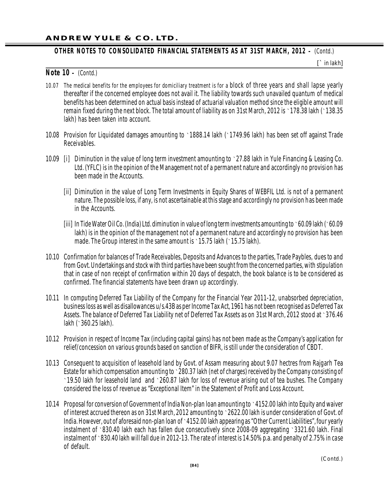## **OTHER NOTES TO CONSOLIDATED FINANCIAL STATEMENTS AS AT 31ST MARCH, 2012 –** *(Contd.)*

**[**` in lakh**]**

#### **Note 10 –** *(Contd.)*

- 10.07 The medical benefits for the employees for domiciliary treatment is for a block of three years and shall lapse yearly thereafter if the concerned employee does not avail it. The liability towards such unavailed quantum of medical benefits has been determined on actual basis instead of actuarial valuation method since the eligible amount will remain fixed during the next block. The total amount of liability as on 31st March, 2012 is `178.38 lakh (`138.35 lakh) has been taken into account.
- 10.08 Provision for Liquidated damages amounting to `1888.14 lakh (`1749.96 lakh) has been set off against Trade Receivables.
- 10.09 [i] Diminution in the value of long term investment amounting to `27.88 lakh in Yule Financing & Leasing Co. Ltd. (YFLC) is in the opinion of the Management not of a permanent nature and accordingly no provision has been made in the Accounts.
	- [ii] Diminution in the value of Long Term Investments in Equity Shares of WEBFIL Ltd. is not of a permanent nature. The possible loss, if any, is not ascertainable at this stage and accordingly no provision has been made in the Accounts.
	- [iii] In Tide Water Oil Co. (India) Ltd. diminution in value of long term investments amounting to `60.09 lakh (`60.09 lakh) is in the opinion of the management not of a permanent nature and accordingly no provision has been made. The Group interest in the same amount is `15.75 lakh (`15.75 lakh).
- 10.10 Confirmation for balances of Trade Receivables, Deposits and Advances to the parties, Trade Paybles, dues to and from Govt. Undertakings and stock with third parties have been sought from the concerned parties, with stipulation that in case of non receipt of confirmation within 20 days of despatch, the book balance is to be considered as confirmed. The financial statements have been drawn up accordingly.
- 10.11 In computing Deferred Tax Liability of the Company for the Financial Year 2011-12, unabsorbed depreciation, business loss as well as disallowances u/s.43B as per Income Tax Act, 1961 has not been recognised as Deferred Tax Assets. The balance of Deferred Tax Liability net of Deferred Tax Assets as on 31st March, 2012 stood at `376.46 lakh (`360.25 lakh).
- 10.12 Provision in respect of Income Tax (including capital gains) has not been made as the Company's application for relief/concession on various grounds based on sanction of BIFR, is still under the consideration of CBDT.
- 10.13 Consequent to acquisition of leasehold land by Govt. of Assam measuring about 9.07 hectres from Rajgarh Tea Estate for which compensation amounting to  $\cdot$  280.37 lakh (net of charges) received by the Company consisting of `19.50 lakh for leasehold land and `260.87 lakh for loss of revenue arising out of tea bushes. The Company considered the loss of revenue as "Exceptional Item" in the Statement of Profit and Loss Account.
- 10.14 Proposal for conversion of Government of India Non-plan loan amounting to `4152.00 lakh into Equity and waiver of interest accrued thereon as on 31st March, 2012 amounting to `2622.00 lakh is under consideration of Govt. of India. However, out of aforesaid non-plan loan of `4152.00 lakh appearing as "Other Current Liabilities", four yearly instalment of `830.40 lakh each has fallen due consecutively since 2008-09 aggregating `3321.60 lakh. Final instalment of `830.40 lakh will fall due in 2012-13. The rate of interest is 14.50% p.a. and penalty of 2.75% in case of default.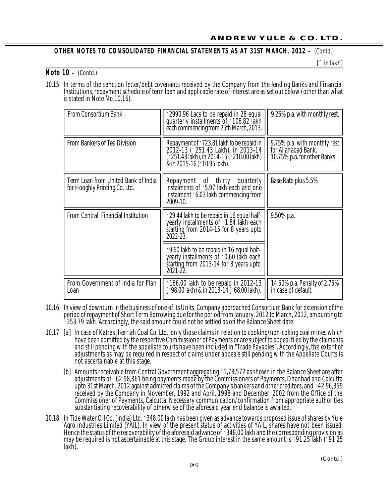## **OTHER NOTES TO CON SOLIDATED FI NANCIAL STAT EMENTS AS AT 31ST MARCH, 2012 –** *(Contd.)*

**[**` in lakh**]**

#### **Note 10 –** *(Contd.)*

10.15 In terms of the sanction letter/debt covenants received by the Company from the lending Banks and Financial Institutions, repayment schedule of term loan and applicable rate of interest are as set out below (other than what is stated in Note No.10.16).

| <b>From Consortium Bank</b>                                          | 2990.96 Lacs to be repaid in 28 equal<br>quarterly installments of 106.82 lakh<br>each commencing from 25th March, 2013.                                 | 9.25% p.a. with monthly rest.                                                       |
|----------------------------------------------------------------------|----------------------------------------------------------------------------------------------------------------------------------------------------------|-------------------------------------------------------------------------------------|
| <b>From Bankers of Tea Division</b>                                  | Repayment of >723.81 lakh to be repaid in<br>2012-13 (251.43 Lakh), in 2013-14<br>251.43 làkh), in 2014-15 (^ 210.00 lakh)<br>& in 2015-16 (10.95 lakh). | 9.75% p.a. with monthly rest<br>for Allahabad Bank.<br>10.75% p.a. for other Banks. |
| Term Loan from United Bank of India<br>for Hooghly Printing Co. Ltd. | Repayment of thirty quarterly<br>instalments of 5.97 lakh each and one<br>instalment 6.03 lakh commencing from<br>2009-10.                               | Base Rate plus 5.5%                                                                 |
| <b>From Central Financial Institution</b>                            | 29.44 lakh to be repaid in 16 equal half-<br>yearly installments of 21.84 lakh each<br>starting from 2014-15 for 8 years upto<br>2022-23.                | 9.50% p.a.                                                                          |
|                                                                      | 60 Y 9.60 lakh to be repaid in 16 equal half-<br>yearly installments of 10.60 lakh each<br>starting from 2013-14 for 8 years upto<br>2021-22.            |                                                                                     |
| From Government of India for Plan<br>Loan                            | 166.00 lakh to be repaid in 2012-13<br>(`98.00 lakh) & in 2013-14 (`68.00 lakh).                                                                         | 14.50% p.a. Penalty of 2.75%<br>in case of default.                                 |

- 10.16 In view of downturn in the business of one of its Units, Company approached Consortium Bank for extension of the period of repayment of Short Term Borrowing due for the period from January, 2012 to March, 2012, amounting to `353.79 lakh. Accordingly, the said amount could not be settled as on the Balance Sheet date.
- 10.17 [a] In case of Katras Jherriah Coal Co. Ltd., only those claims in relation to cooking/non-coking coal mines which have been admitted by the respective Commissioner of Payments or are subject to appeal filed by the claimants and still pending with the appellate courts have been included in "Trade Payables". Accordingly, the extent of adjustments as may be required in respect of claims under appeals still pending with the Appellate Courts is not ascertainable at this stage.
	- [b] Amounts receivable from Central Government aggregating `1,78,572 as shown in the Balance Sheet are after adjustments of `62,98,861 being payments made by the Commissioners of Payments, Dhanbad and Calcutta upto 31st March, 2012 against admitted claims of the Company's bankers and other creditors, and `42,96,359 received by the Company in November, 1992 and April, 1998 and December, 2002 from the Office of the Commissioner of Payments, Calcutta. Necessary communication/confirmation from appropriate authorities substantiating recoverability of otherwise of the aforesaid year end balance is awaited.
- 10.18 In Tide Water Oil Co. (India) Ltd. `348.00 lakh has been given as advance towards proposed issue of shares by Yule Agro Industries Limited (YAIL). In view of the present status of activities of YAIL, shares have not been issued. Hence the status of the recoverability of the aforesaid advance of `348.00 lakh and the corresponding provision as may be required is not ascertainable at this stage. The Group interest in the same amount is `91.25 lakh (`91.25 lakh).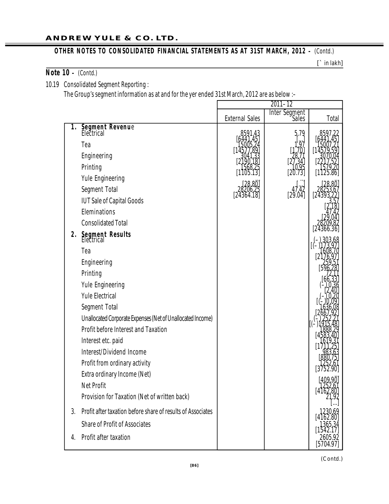#### **ANDREW YULE & CO. LTD.**

## **OTHER NOTES TO CONSOLIDATED FINANCIAL STATEMENTS AS AT 31ST MARCH, 2012** - *(Contd.)*

**[**` in lakh**]**

## **Note 10 –** *(Contd.)*

10.19 Consolidated Segment Reporting :

The Group's segment information as at and for the yer ended 31st March, 2012 are as below :–

|          |                                                                                                                                                                                                                                                                                                                                                                                                                                                                                                                                                                                                                            |                       | $2011 - 12$            |                      |
|----------|----------------------------------------------------------------------------------------------------------------------------------------------------------------------------------------------------------------------------------------------------------------------------------------------------------------------------------------------------------------------------------------------------------------------------------------------------------------------------------------------------------------------------------------------------------------------------------------------------------------------------|-----------------------|------------------------|----------------------|
|          |                                                                                                                                                                                                                                                                                                                                                                                                                                                                                                                                                                                                                            | <b>External Sales</b> | Inter Segment<br>Sales | Total                |
| 1.<br>2. | <b>Segment Revenue</b><br>Electrical<br>Tea<br>Engineering<br>Printing<br>Yule Engineering<br>Segment Total<br><b>IUT Sale of Capital Goods</b><br>Eleminations<br><b>Consolidated Total</b><br>Segment Results<br>Electrical<br>Tea<br>Engineering<br>Printing<br>Yule Engineering<br><b>Yule Electrical</b><br>Segment Total<br>Unallocated Corporate Expenses (Net of Unallocated Income)<br>Profit before Interest and Taxation<br>Interest etc. paid<br>Interest/Dividend Income<br>Profit from ordinary activity<br>Extra ordinary Income (Net)<br><b>Net Profit</b><br>Provision for Taxation (Net of written back) | [24364.18]            | 47.42<br>[29.04]       | [4162.80]            |
| 3.       | Profit after taxation before share of results of Associates                                                                                                                                                                                                                                                                                                                                                                                                                                                                                                                                                                |                       |                        |                      |
|          | <b>Share of Profit of Associates</b>                                                                                                                                                                                                                                                                                                                                                                                                                                                                                                                                                                                       |                       |                        |                      |
| 4.       | Profit after taxation                                                                                                                                                                                                                                                                                                                                                                                                                                                                                                                                                                                                      |                       |                        | 2605.92<br>[5704.97] |

*(Contd.)*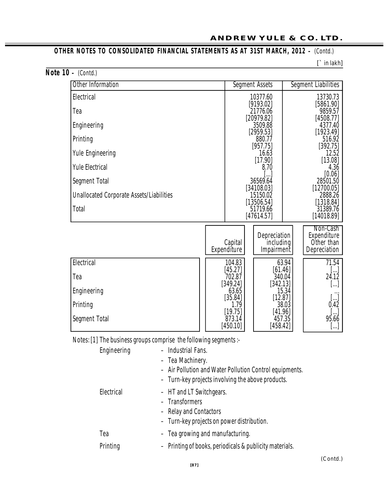# **OTHER NOTES TO CONSOLIDATED FINANCIAL STATEMENTS AS AT 31ST MARCH, 2012** – *(Contd.)*

**[**` in lakh**]**

|  | Note $10 - (Cond.)$ |  |
|--|---------------------|--|
|  |                     |  |

| Other Information                               |  |                                    | Segment Assets                 |       | Segment Liabilities        |  |  |
|-------------------------------------------------|--|------------------------------------|--------------------------------|-------|----------------------------|--|--|
| Electrical                                      |  |                                    | 10377.60<br>[9193.02]          |       | 13730.73<br>[5861.90]      |  |  |
| Tea                                             |  |                                    | 21776.06<br>[20979.82]         |       | 9859.57                    |  |  |
| Engineering                                     |  |                                    | 3509.88                        |       | [4508.77]<br>4377.40       |  |  |
| Printing                                        |  |                                    | [2959.53]<br>880.77            |       | [1923.49]<br>516.92        |  |  |
| <b>Yule Engineering</b>                         |  |                                    | [957.75]<br>16.63              |       | [392.75]<br>12.52          |  |  |
| <b>Yule Electrical</b>                          |  | [17.90]<br>[13.08]<br>4.36<br>8.70 |                                |       |                            |  |  |
|                                                 |  |                                    | [0.06]<br>36569.64<br>28501.50 |       |                            |  |  |
| Segment Total                                   |  |                                    | [34108.03]                     |       | [12700.05]                 |  |  |
| <b>Unallocated Corporate Assets/Liabilities</b> |  |                                    | 15150.02<br>[13506.54]         |       | 2888.26<br>[1318.84]       |  |  |
| <b>Total</b>                                    |  |                                    | 51719.66<br>[47614.57]         |       | 31389.76<br>[14018.89]     |  |  |
|                                                 |  |                                    | Depreciation                   |       | Non-Cash<br>Expenditure    |  |  |
|                                                 |  | Capital<br>Expenditure             | including<br>Impairment        |       | Other than<br>Depreciation |  |  |
| Electrical                                      |  | 104.83                             |                                | 63.94 | 71.54                      |  |  |
| Tea                                             |  | [45.27]<br>702.87                  | [61.46]<br>340.04              |       | []<br>24.12                |  |  |
| Engineering                                     |  | [349.24]<br>63.65                  | [342.13]                       | 15.34 | []                         |  |  |
| Printing                                        |  | [35.84]<br>1.79                    | [12.87]                        | 38.03 | $[]$<br>0.42               |  |  |
| Segment Total                                   |  | [19.75]<br>873.14<br>[450.10]      | [41.96]<br>457.35<br>[458.42]  |       | []<br>95.66<br>[…]         |  |  |

Notes: [1] The business groups comprise the following segments :-

| Engineering | - Industrial Fans.<br>- Tea Machinery.<br>- Air Pollution and Water Pollution Control equipments.<br>- Turn-key projects involving the above products. |
|-------------|--------------------------------------------------------------------------------------------------------------------------------------------------------|
| Electrical  | - HT and LT Switchgears.<br>- Transformers<br>- Relay and Contactors<br>- Turn-key projects on power distribution.                                     |
| Tea         | - Tea growing and manufacturing.                                                                                                                       |
| Printing    | - Printing of books, periodicals & publicity materials.                                                                                                |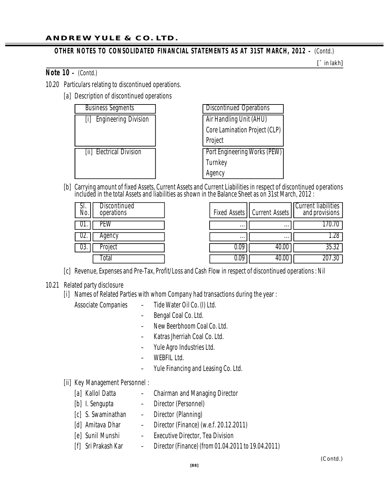## **OTHER NOTES TO CONSOLIDATED FINANCIAL STATEMENTS AS AT 31ST MARCH, 2012 - (Contd.)**

**[**` in lakh**]**

**Note 10 –** *(Contd.)*

- 10.20 Particulars relating to discontinued operations.
	- [a] Description of discontinued operations

| <b>Business Segments</b>         | <b>Discontinued Operations</b>      |
|----------------------------------|-------------------------------------|
| <b>Engineering Division</b><br>Ш | Air Handling Unit (AHU)             |
|                                  | Core Lamination Project (CLP)       |
|                                  | Project                             |
| [ii] Electrical Division         | <b>Port Engineering Works (PEW)</b> |
|                                  | Turnkey                             |
|                                  | Agency                              |

[b] Carrying amount of fixed Assets, Current Assets and Current Liabilities in respect of discontinued operations included in the total Assets and liabilities as shown in the Balance Sheet as on 31st March, 2012 :

| Discontinued<br>SI.<br>No<br>operations |          | Fixed Assets    Current Assets | <b>Current liabilities</b><br>and provisions |
|-----------------------------------------|----------|--------------------------------|----------------------------------------------|
| UI.                                     | $\cdots$ | $\cdots$                       |                                              |
| Aqency<br>UZ.                           | $\cdots$ | $\cdots$                       | 1.28                                         |
| roject<br>U3.                           | 0.09     | 40.UU                          | JJ.JZ                                        |
| otal                                    | 0.09     | 40.00                          | .30                                          |

- [c] Revenue, Expenses and Pre-Tax, Profit/Loss and Cash Flow in respect of discontinued operations : Nil
- 10.21 Related party disclosure
	- [i] Names of Related Parties with whom Company had transactions during the year :
		- Associate Companies Tide Water Oil Co. (I) Ltd.
			- Bengal Coal Co. Ltd.
			- New Beerbhoom Coal Co. Ltd.
			- Katras Jherriah Coal Co. Ltd.
			- Yule Agro Industries Ltd.
			- WEBFIL Ltd.
			- Yule Financing and Leasing Co. Ltd.

### [ii] Key Management Personnel :

- [a] Kallol Datta Chairman and Managing Director
- [b] I. Sengupta Director (Personnel)
- [c] S. Swaminathan Director (Planning)
- [d] Amitava Dhar Director (Finance) (w.e.f. 20.12.2011)
- [e] Sunil Munshi Executive Director, Tea Division
- [f] Sri Prakash Kar Director (Finance) (from 01.04.2011 to 19.04.2011)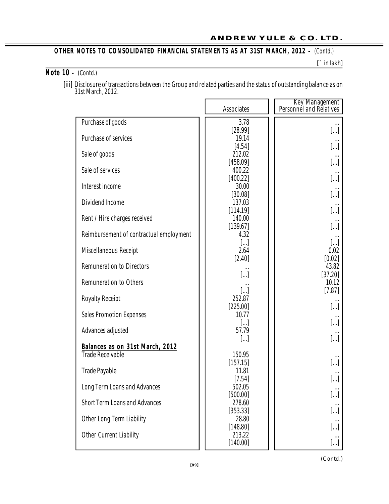#### **ANDREW YULE & CO. LTD.**

## **OTHER NOTES TO CONSOLIDATED FINANCIAL STATEMENTS AS AT 31ST MARCH, 2012 - (Contd.)**

**[**` in lakh**]**

# **Note 10 –** *(Contd.)*

[iii] Disclosure of transactions between the Group and related parties and the status of outstanding balance as on 31st March, 2012.

|                                         | Associates            | Key Management<br>Personnel and Relatives |
|-----------------------------------------|-----------------------|-------------------------------------------|
| Purchase of goods                       | 3.78                  |                                           |
|                                         | [28.99]               | $\left[\ldots\right]$                     |
| Purchase of services                    | 19.14                 |                                           |
|                                         | [4.54]                | []                                        |
| Sale of goods                           | 212.02                |                                           |
| Sale of services                        | [458.09]<br>400.22    | []                                        |
|                                         | [400.22]              | []                                        |
| Interest income                         | 30.00                 |                                           |
|                                         | [30.08]               | […]                                       |
| Dividend Income                         | 137.03                |                                           |
|                                         | [114.19]              | []                                        |
| Rent / Hire charges received            | 140.00                |                                           |
| Reimbursement of contractual employment | [139.67]<br>4.32      | []                                        |
|                                         | $\left[\ldots\right]$ | […]                                       |
| Miscellaneous Receipt                   | 2.64                  | 0.02                                      |
|                                         | $[2.40]$              | [0.02]                                    |
| <b>Remuneration to Directors</b>        |                       | 43.82                                     |
|                                         | $\left[\ldots\right]$ | [37.20]                                   |
| <b>Remuneration to Others</b>           |                       | 10.12                                     |
|                                         | $[]$                  | [7.87]                                    |
| <b>Royalty Receipt</b>                  | 252.87<br>[225.00]    |                                           |
| <b>Sales Promotion Expenses</b>         | 10.77                 | []                                        |
|                                         | $\left[\ldots\right]$ | []                                        |
| Advances adjusted                       | 57.79                 |                                           |
|                                         | $\left[\ldots\right]$ | []                                        |
| Balances as on 31st March, 2012         |                       |                                           |
| <b>Trade Receivable</b>                 | 150.95                |                                           |
|                                         | [157.15]<br>11.81     | []                                        |
| <b>Trade Payable</b>                    | [7.54]                | []                                        |
| Long Term Loans and Advances            | 502.05                | $\cdots$                                  |
|                                         | [500.00]              | []                                        |
| <b>Short Term Loans and Advances</b>    | 278.60                |                                           |
|                                         | [353.33]              | []                                        |
| Other Long Term Liability               | 28.80                 |                                           |
|                                         | [148.80]              | []                                        |
| Other Current Liability                 | 213.22<br>[140.00]    |                                           |
|                                         |                       | []                                        |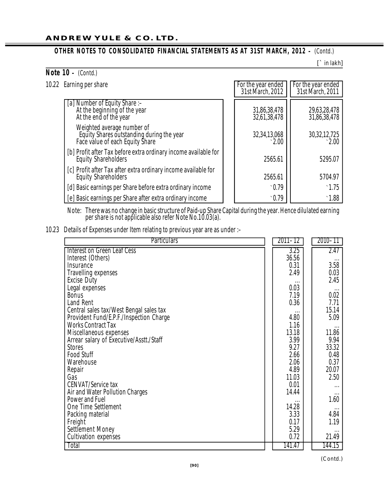## **OTHER NOTES TO CONSOLIDATED FINANCIAL STATEMENTS AS AT 31ST MARCH, 2012 - (Contd.)**

**[**` in lakh**]**

| Note $10 - (Contd.)$                                                                                       |                                        |                                        |
|------------------------------------------------------------------------------------------------------------|----------------------------------------|----------------------------------------|
| 10.22 Earning per share                                                                                    | For the year ended<br>31st March, 2012 | For the year ended<br>31st March, 2011 |
| [a] Number of Equity Share :-<br>At the beginning of the year<br>At the end of the year                    | 31,86,38,478<br>32,61,38,478           | 29,63,28,478<br>31,86,38,478           |
| Weighted average number of<br>Equity Shares outstanding during the year<br>Face value of each Equity Share | 32,34,13,068<br>$\cdot$ 2.00           | 30,32,12,725                           |
| [b] Profit after Tax before extra ordinary income available for<br><b>Equity Shareholders</b>              | 2565.61                                | 5295.07                                |
| [c] Profit after Tax after extra ordinary income available for<br><b>Equity Shareholders</b>               | 2565.61                                | 5704.97                                |
| [d] Basic earnings per Share before extra ordinary income                                                  | $\cdot$ 0.79                           | $\cdot$ 1.75                           |
| [e] Basic earnings per Share after extra ordinary income                                                   | $\cdot$ 0.79                           | $\cdot$ 1.88                           |

Note: There was no change in basic structure of Paid-up Share Capital during the year. Hence dilulated earning per share is not applicable also refer Note No.10.03(a).

10.23 Details of Expenses under Item relating to previous year are as under :-

| <b>Particulars</b>                      | 2011–12 | 2010-11  |
|-----------------------------------------|---------|----------|
| Interest on Green Leaf Cess             | 3.25    | 2.47     |
| Interest (Others)                       | 36.56   |          |
| Insurance                               | 0.31    | 3.58     |
| <b>Travelling expenses</b>              | 2.49    | 0.03     |
| <b>Excise Duty</b>                      |         | 2.45     |
| Legal expenses                          | 0.03    | $\cdots$ |
| <b>Bonus</b>                            | 7.19    | 0.02     |
| Land Rent                               | 0.36    | 7.71     |
| Central sales tax/West Bengal sales tax |         | 15.14    |
| Provident Fund/E.P.F./Inspection Charge | 4.80    | 5.09     |
| <b>Works Contract Tax</b>               | 1.16    |          |
| Miscellaneous expenses                  | 13.18   | 11.86    |
| Arrear salary of Executive/Asstt./Staff | 3.99    | 9.94     |
| <b>Stores</b>                           | 9.27    | 33.32    |
| <b>Food Stuff</b>                       | 2.66    | 0.48     |
| Warehouse                               | 2.06    | 0.37     |
| Repair                                  | 4.89    | 20.07    |
| Gas                                     | 11.03   | 2.50     |
| <b>CENVAT/Service tax</b>               | 0.01    | $\cdots$ |
| Air and Water Pollution Charges         | 14.44   |          |
| Power and Fuel                          |         | 1.60     |
| One Time Settlement                     | 14.28   |          |
| Packing material                        | 3.33    | 4.84     |
| Freight                                 | 0.17    | 1.19     |
| Settlement Money                        | 5.29    |          |
| <b>Cultivation expenses</b>             | 0.72    | 21.49    |
| Total                                   | 141.47  | 144.15   |

*(Contd.)*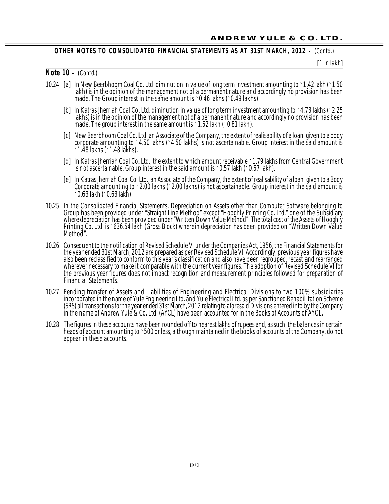#### **OTHER NOTES TO CON SOLIDATED FI NANCIAL STAT EMENTS AS AT 31ST MARCH, 2012 –** *(Contd.)*

**[**` in lakh**]**

#### **Note 10 –** *(Contd.)*

- 10.24 [a] In New Beerbhoom Coal Co. Ltd. diminution in value of long term investment amounting to `1.42 lakh (`1.50 lakh) is in the opinion of the management not of a permanent nature and accordingly no provision has been made. The Group interest in the same amount is  $\cdot$  0.46 lakhs ( $\cdot$  0.49 lakhs).
	- [b] In Katras Jherriah Coal Co. Ltd. diminution in value of long term investment amounting to `4.73 lakhs (`2.25 lakhs) is in the opinion of the management not of a permanent nature and accordingly no provision has been made. The group interest in the same amount is `1.52 lakh (`0.81 lakh).
	- [c] New Beerbhoom Coal Co. Ltd. an Associate of the Company, the extent of realisability of a loan given to a body corporate amounting to  $\cdot$  4.50 lakhs ( $\cdot$  4.50 lakhs) is not ascertainable. Group interest in the said amount is `1.48 lakhs (`1.48 lakhs).
	- [d] In Katras Jherriah Coal Co. Ltd., the extent to which amount receivable `1.79 lakhs from Central Government is not ascertainable. Group interest in the said amount is  $\cdot$  0.57 lakh ( $\cdot$  0.57 lakh).
	- [e] In Katras Jherriah Coal Co. Ltd., an Associate of the Company, the extent of realisability of a loan given to a Body Corporate amounting to \2.00 lakhs (\2.00 lakhs) is not ascertainable. Group interest in the said amount is `0.63 lakh (`0.63 lakh).
- 10.25 In the Consolidated Financial Statements, Depreciation on Assets other than Computer Software belonging to Group has been provided under "Straight Line Method" except "Hooghly Printing Co. Ltd." one of the Subsidiary where depreciation has been provided under "Written Down Value Method". The total cost of the Assets of Hooghly Printing Co. Ltd. is `636.54 lakh (Gross Block) wherein depreciation has been provided on "Written Down Value Method".
- 10.26 Consequent to the notification of Revised Schedule VI under the Companies Act, 1956, the Financial Statements for the year ended 31st March, 2012 are prepared as per Revised Schedule VI. Accordingly, previous year figures have also been reclassified to conform to this year's classification and also have been regrouped, recast and rearranged wherever necessary to make it comparable with the current year figures. The adoption of Revised Schedule VI for the previous year figures does not impact recognition and measurement principles followed for preparation of Financial Statements.
- 10.27 Pending transfer of Assets and Liabilities of Engineering and Electrical Divisions to two 100% subsidiaries incorporated in the name of Yule Engineering Ltd. and Yule Electrical Ltd. as per Sanctioned Rehabilitation Scheme (SRS) all transactions for the year ended 31st March, 2012 relating to aforesaid Divisions entered into by the Company in the name of Andrew Yule & Co. Ltd. (AYCL) have been accounted for in the Books of Accounts of AYCL.
- 10.28 The figures in these accounts have been rounded off to nearest lakhs of rupees and, as such, the balances in certain heads of account amounting to `500 or less, although maintained in the books of accounts of the Company, do not appear in these accounts.